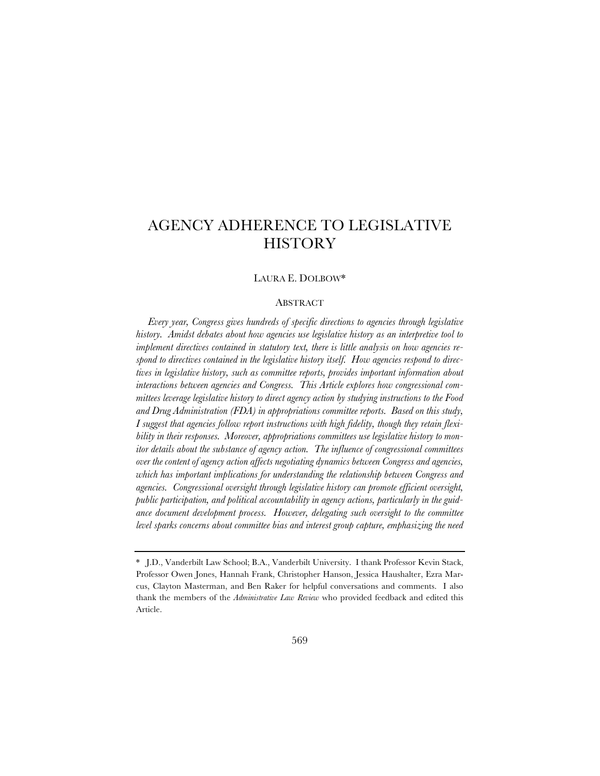# AGENCY ADHERENCE TO LEGISLATIVE **HISTORY**

## LAURA E. DOLBOW\*

## ABSTRACT

*Every year, Congress gives hundreds of specific directions to agencies through legislative history. Amidst debates about how agencies use legislative history as an interpretive tool to implement directives contained in statutory text, there is little analysis on how agencies respond to directives contained in the legislative history itself. How agencies respond to directives in legislative history, such as committee reports, provides important information about interactions between agencies and Congress. This Article explores how congressional committees leverage legislative history to direct agency action by studying instructions to the Food and Drug Administration (FDA) in appropriations committee reports. Based on this study, I suggest that agencies follow report instructions with high fidelity, though they retain flexibility in their responses. Moreover, appropriations committees use legislative history to monitor details about the substance of agency action. The influence of congressional committees over the content of agency action affects negotiating dynamics between Congress and agencies, which has important implications for understanding the relationship between Congress and agencies. Congressional oversight through legislative history can promote efficient oversight, public participation, and political accountability in agency actions, particularly in the guidance document development process. However, delegating such oversight to the committee level sparks concerns about committee bias and interest group capture, emphasizing the need* 

<sup>\*</sup> J.D., Vanderbilt Law School; B.A., Vanderbilt University. I thank Professor Kevin Stack, Professor Owen Jones, Hannah Frank, Christopher Hanson, Jessica Haushalter, Ezra Marcus, Clayton Masterman, and Ben Raker for helpful conversations and comments. I also thank the members of the *Administrative Law Review* who provided feedback and edited this Article.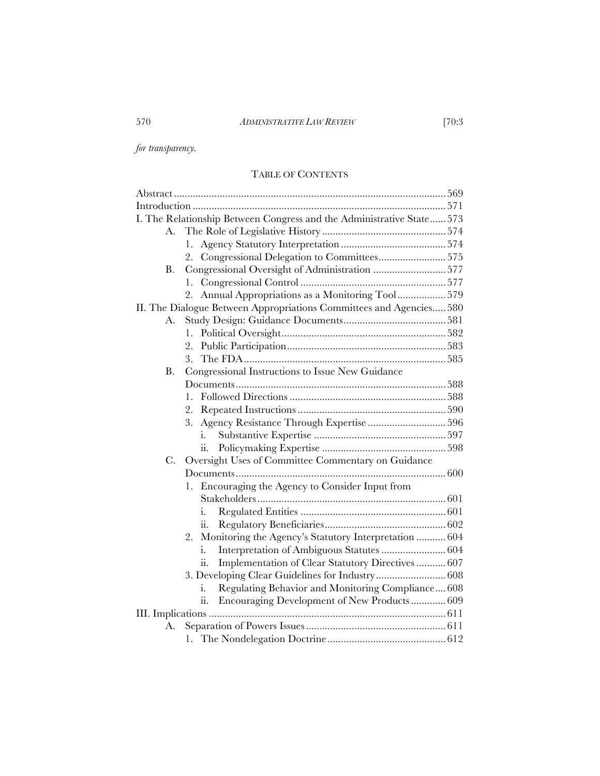*for transparency.* 

# TABLE OF CONTENTS

|    | I. The Relationship Between Congress and the Administrative State 573 |
|----|-----------------------------------------------------------------------|
| А. |                                                                       |
|    | 1.                                                                    |
|    | 2. Congressional Delegation to Committees575                          |
| В. | Congressional Oversight of Administration 577                         |
|    | 1.                                                                    |
|    | 2. Annual Appropriations as a Monitoring Tool579                      |
|    | II. The Dialogue Between Appropriations Committees and Agencies 580   |
| А. |                                                                       |
|    | 1.                                                                    |
|    | 2.                                                                    |
|    | 3.                                                                    |
| В. | Congressional Instructions to Issue New Guidance                      |
|    |                                                                       |
|    | 1.                                                                    |
|    |                                                                       |
|    | 3. Agency Resistance Through Expertise 596                            |
|    | i.                                                                    |
|    | ii.                                                                   |
| C. | Oversight Uses of Committee Commentary on Guidance                    |
|    |                                                                       |
|    | 1. Encouraging the Agency to Consider Input from                      |
|    |                                                                       |
|    | i.                                                                    |
|    | ii.                                                                   |
|    | Monitoring the Agency's Statutory Interpretation  604<br>2.           |
|    | Interpretation of Ambiguous Statutes  604<br>i.                       |
|    | Implementation of Clear Statutory Directives  607<br>11.              |
|    |                                                                       |
|    | Regulating Behavior and Monitoring Compliance 608<br>i.               |
|    | ii.<br>Encouraging Development of New Products 609                    |
|    |                                                                       |
| А. |                                                                       |
|    |                                                                       |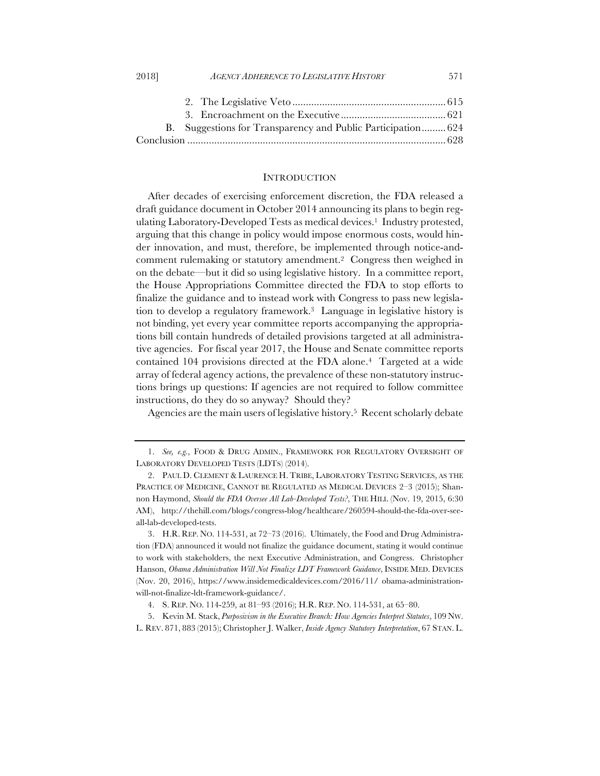| B. Suggestions for Transparency and Public Participation 624 |  |
|--------------------------------------------------------------|--|
|                                                              |  |

#### **INTRODUCTION**

After decades of exercising enforcement discretion, the FDA released a draft guidance document in October 2014 announcing its plans to begin regulating Laboratory-Developed Tests as medical devices.<sup>1</sup> Industry protested, arguing that this change in policy would impose enormous costs, would hinder innovation, and must, therefore, be implemented through notice-andcomment rulemaking or statutory amendment.2 Congress then weighed in on the debate—but it did so using legislative history. In a committee report, the House Appropriations Committee directed the FDA to stop efforts to finalize the guidance and to instead work with Congress to pass new legislation to develop a regulatory framework.3 Language in legislative history is not binding, yet every year committee reports accompanying the appropriations bill contain hundreds of detailed provisions targeted at all administrative agencies. For fiscal year 2017, the House and Senate committee reports contained 104 provisions directed at the FDA alone.4 Targeted at a wide array of federal agency actions, the prevalence of these non-statutory instructions brings up questions: If agencies are not required to follow committee instructions, do they do so anyway? Should they?

Agencies are the main users of legislative history.5 Recent scholarly debate

<sup>1.</sup> *See, e.g.*, FOOD & DRUG ADMIN., FRAMEWORK FOR REGULATORY OVERSIGHT OF LABORATORY DEVELOPED TESTS (LDTS) (2014).

<sup>2.</sup> PAUL D. CLEMENT & LAURENCE H. TRIBE, LABORATORY TESTING SERVICES, AS THE PRACTICE OF MEDICINE, CANNOT BE REGULATED AS MEDICAL DEVICES 2–3 (2015); Shannon Haymond, *Should the FDA Oversee All Lab-Developed Tests?*, THE HILL (Nov. 19, 2015, 6:30 AM), http://thehill.com/blogs/congress-blog/healthcare/260594-should-the-fda-over-seeall-lab-developed-tests.

<sup>3.</sup> H.R. REP. NO. 114-531, at 72–73 (2016). Ultimately, the Food and Drug Administration (FDA) announced it would not finalize the guidance document, stating it would continue to work with stakeholders, the next Executive Administration, and Congress. Christopher Hanson, *Obama Administration Will Not Finalize LDT Framework Guidance*, INSIDE MED. DEVICES (Nov. 20, 2016), https://www.insidemedicaldevices.com/2016/11/ obama-administrationwill-not-finalize-ldt-framework-guidance/.

<sup>4.</sup> S. REP. NO. 114-259, at 81–93 (2016); H.R. REP. NO. 114-531, at 65–80.

<sup>5.</sup> Kevin M. Stack, *Purposivism in the Executive Branch: How Agencies Interpret Statutes*, 109 NW.

L. REV. 871, 883 (2015); Christopher J. Walker, *Inside Agency Statutory Interpretation*, 67 STAN. L.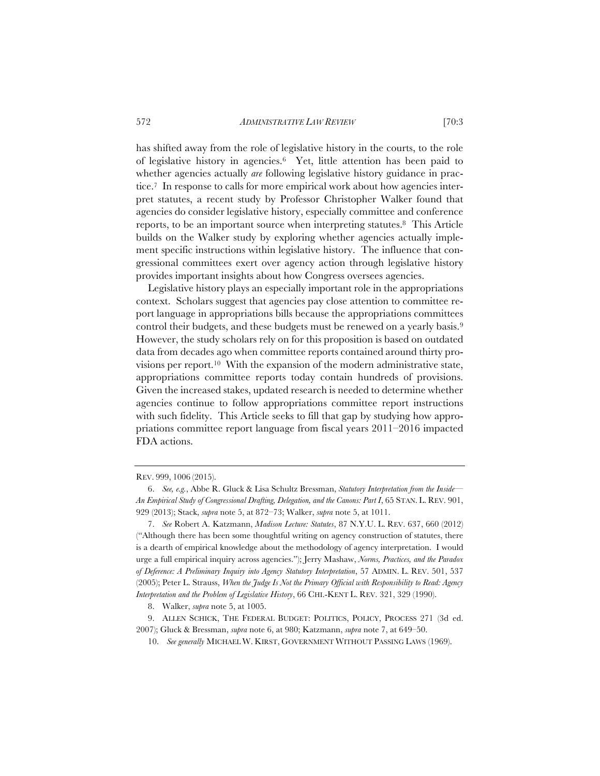has shifted away from the role of legislative history in the courts, to the role of legislative history in agencies.6 Yet, little attention has been paid to whether agencies actually *are* following legislative history guidance in practice.7 In response to calls for more empirical work about how agencies interpret statutes, a recent study by Professor Christopher Walker found that agencies do consider legislative history, especially committee and conference reports, to be an important source when interpreting statutes.8 This Article builds on the Walker study by exploring whether agencies actually implement specific instructions within legislative history. The influence that congressional committees exert over agency action through legislative history provides important insights about how Congress oversees agencies.

Legislative history plays an especially important role in the appropriations context. Scholars suggest that agencies pay close attention to committee report language in appropriations bills because the appropriations committees control their budgets, and these budgets must be renewed on a yearly basis.9 However, the study scholars rely on for this proposition is based on outdated data from decades ago when committee reports contained around thirty provisions per report.10 With the expansion of the modern administrative state, appropriations committee reports today contain hundreds of provisions. Given the increased stakes, updated research is needed to determine whether agencies continue to follow appropriations committee report instructions with such fidelity. This Article seeks to fill that gap by studying how appropriations committee report language from fiscal years 2011–2016 impacted FDA actions.

## REV. 999, 1006 (2015).

<sup>6.</sup> *See, e.g.*, Abbe R. Gluck & Lisa Schultz Bressman, *Statutory Interpretation from the Inside— An Empirical Study of Congressional Drafting, Delegation, and the Canons: Part I*, 65 STAN. L. REV. 901, 929 (2013); Stack, *supra* note 5, at 872–73; Walker, *supra* note 5, at 1011.

<sup>7.</sup> *See* Robert A. Katzmann, *Madison Lecture: Statutes*, 87 N.Y.U. L. REV. 637, 660 (2012) ("Although there has been some thoughtful writing on agency construction of statutes, there is a dearth of empirical knowledge about the methodology of agency interpretation. I would urge a full empirical inquiry across agencies."); Jerry Mashaw, *Norms, Practices, and the Paradox of Deference: A Preliminary Inquiry into Agency Statutory Interpretation*, 57 ADMIN. L. REV. 501, 537 (2005); Peter L. Strauss, *When the Judge Is Not the Primary Official with Responsibility to Read: Agency Interpretation and the Problem of Legislative History*, 66 CHI.-KENT L. REV. 321, 329 (1990).

<sup>8.</sup> Walker, *supra* note 5, at 1005.

<sup>9.</sup> ALLEN SCHICK, THE FEDERAL BUDGET: POLITICS, POLICY, PROCESS 271 (3d ed. 2007); Gluck & Bressman, *supra* note 6, at 980; Katzmann, *supra* note 7, at 649–50.

<sup>10.</sup> *See generally* MICHAEL W. KIRST, GOVERNMENT WITHOUT PASSING LAWS (1969).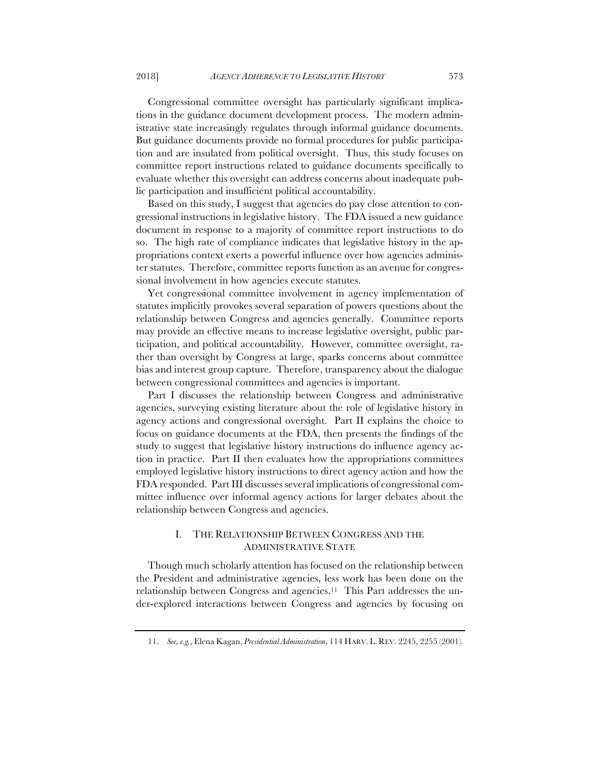Congressional committee oversight has particularly significant implications in the guidance document development process. The modern administrative state increasingly regulates through informal guidance documents. But guidance documents provide no formal procedures for public participation and are insulated from political oversight. Thus, this study focuses on committee report instructions related to guidance documents specifically to evaluate whether this oversight can address concerns about inadequate public participation and insufficient political accountability.

Based on this study, I suggest that agencies do pay close attention to congressional instructions in legislative history. The FDA issued a new guidance document in response to a majority of committee report instructions to do so. The high rate of compliance indicates that legislative history in the appropriations context exerts a powerful influence over how agencies administer statutes. Therefore, committee reports function as an avenue for congressional involvement in how agencies execute statutes.

Yet congressional committee involvement in agency implementation of statutes implicitly provokes several separation of powers questions about the relationship between Congress and agencies generally. Committee reports may provide an effective means to increase legislative oversight, public participation, and political accountability. However, committee oversight, rather than oversight by Congress at large, sparks concerns about committee bias and interest group capture. Therefore, transparency about the dialogue between congressional committees and agencies is important.

Part I discusses the relationship between Congress and administrative agencies, surveying existing literature about the role of legislative history in agency actions and congressional oversight. Part II explains the choice to focus on guidance documents at the FDA, then presents the findings of the study to suggest that legislative history instructions do influence agency action in practice. Part II then evaluates how the appropriations committees employed legislative history instructions to direct agency action and how the FDA responded. Part III discusses several implications of congressional committee influence over informal agency actions for larger debates about the relationship between Congress and agencies.

## I. THE RELATIONSHIP BETWEEN CONGRESS AND THE ADMINISTRATIVE STATE

Though much scholarly attention has focused on the relationship between the President and administrative agencies, less work has been done on the relationship between Congress and agencies.11 This Part addresses the under-explored interactions between Congress and agencies by focusing on

<sup>11.</sup> *See, e.g.*, Elena Kagan, *Presidential Administration*, 114 HARV. L. REV. 2245, 2255 (2001).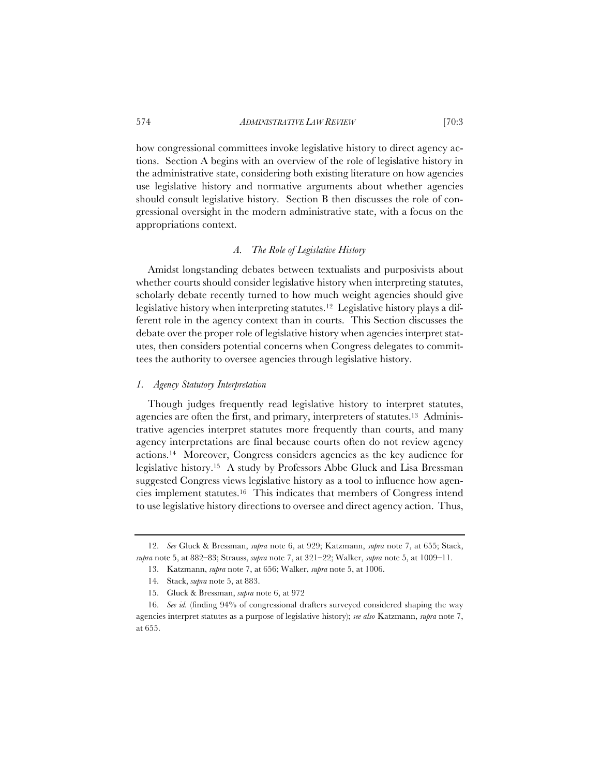how congressional committees invoke legislative history to direct agency actions. Section A begins with an overview of the role of legislative history in the administrative state, considering both existing literature on how agencies use legislative history and normative arguments about whether agencies should consult legislative history. Section B then discusses the role of congressional oversight in the modern administrative state, with a focus on the appropriations context.

## *A. The Role of Legislative History*

Amidst longstanding debates between textualists and purposivists about whether courts should consider legislative history when interpreting statutes, scholarly debate recently turned to how much weight agencies should give legislative history when interpreting statutes.12 Legislative history plays a different role in the agency context than in courts. This Section discusses the debate over the proper role of legislative history when agencies interpret statutes, then considers potential concerns when Congress delegates to committees the authority to oversee agencies through legislative history.

## *1. Agency Statutory Interpretation*

Though judges frequently read legislative history to interpret statutes, agencies are often the first, and primary, interpreters of statutes.<sup>13</sup> Administrative agencies interpret statutes more frequently than courts, and many agency interpretations are final because courts often do not review agency actions.14 Moreover, Congress considers agencies as the key audience for legislative history.15 A study by Professors Abbe Gluck and Lisa Bressman suggested Congress views legislative history as a tool to influence how agencies implement statutes.16 This indicates that members of Congress intend to use legislative history directions to oversee and direct agency action. Thus,

<sup>12.</sup> *See* Gluck & Bressman, *supra* note 6, at 929; Katzmann, *supra* note 7, at 655; Stack, *supra* note 5, at 882–83; Strauss, *supra* note 7, at 321–22; Walker, *supra* note 5, at 1009–11.

<sup>13.</sup> Katzmann, *supra* note 7, at 656; Walker, *supra* note 5, at 1006.

<sup>14.</sup> Stack, *supra* note 5, at 883.

<sup>15.</sup> Gluck & Bressman, *supra* note 6, at 972

<sup>16.</sup> *See id.* (finding 94% of congressional drafters surveyed considered shaping the way agencies interpret statutes as a purpose of legislative history); *see also* Katzmann, *supra* note 7, at 655.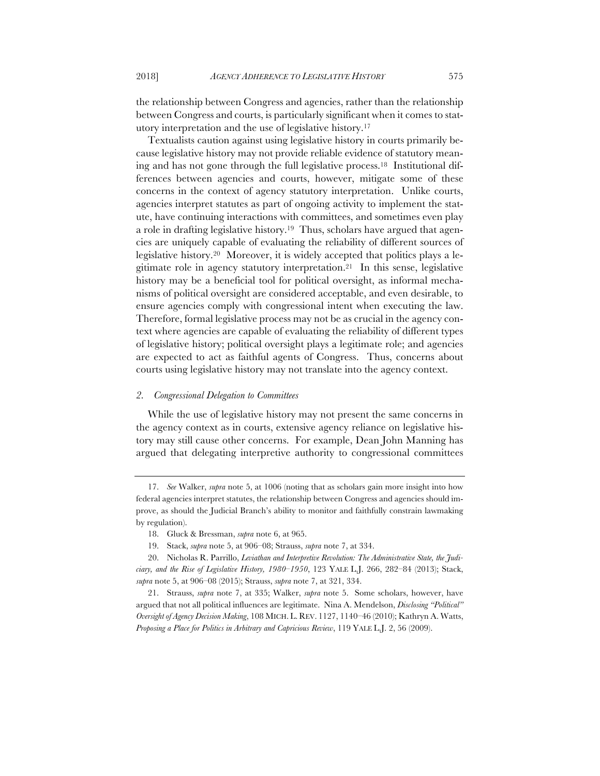the relationship between Congress and agencies, rather than the relationship between Congress and courts, is particularly significant when it comes to statutory interpretation and the use of legislative history.17

Textualists caution against using legislative history in courts primarily because legislative history may not provide reliable evidence of statutory meaning and has not gone through the full legislative process.18 Institutional differences between agencies and courts, however, mitigate some of these concerns in the context of agency statutory interpretation. Unlike courts, agencies interpret statutes as part of ongoing activity to implement the statute, have continuing interactions with committees, and sometimes even play a role in drafting legislative history.19 Thus, scholars have argued that agencies are uniquely capable of evaluating the reliability of different sources of legislative history.20 Moreover, it is widely accepted that politics plays a legitimate role in agency statutory interpretation.21 In this sense, legislative history may be a beneficial tool for political oversight, as informal mechanisms of political oversight are considered acceptable, and even desirable, to ensure agencies comply with congressional intent when executing the law. Therefore, formal legislative process may not be as crucial in the agency context where agencies are capable of evaluating the reliability of different types of legislative history; political oversight plays a legitimate role; and agencies are expected to act as faithful agents of Congress. Thus, concerns about courts using legislative history may not translate into the agency context.

## *2. Congressional Delegation to Committees*

While the use of legislative history may not present the same concerns in the agency context as in courts, extensive agency reliance on legislative history may still cause other concerns. For example, Dean John Manning has argued that delegating interpretive authority to congressional committees

<sup>17.</sup> *See* Walker, *supra* note 5, at 1006 (noting that as scholars gain more insight into how federal agencies interpret statutes, the relationship between Congress and agencies should improve, as should the Judicial Branch's ability to monitor and faithfully constrain lawmaking by regulation).

<sup>18.</sup> Gluck & Bressman, *supra* note 6, at 965.

<sup>19.</sup> Stack, *supra* note 5, at 906–08; Strauss, *supra* note 7, at 334.

<sup>20.</sup> Nicholas R. Parrillo, *Leviathan and Interpretive Revolution: The Administrative State, the Judiciary, and the Rise of Legislative History, 1980–1950*, 123 YALE L.J. 266, 282–84 (2013); Stack, *supra* note 5, at 906–08 (2015); Strauss, *supra* note 7, at 321, 334.

<sup>21.</sup> Strauss, *supra* note 7, at 335; Walker, *supra* note 5. Some scholars, however, have argued that not all political influences are legitimate. Nina A. Mendelson, *Disclosing "Political" Oversight of Agency Decision Making*, 108 MICH. L. REV. 1127, 1140–46 (2010); Kathryn A. Watts, *Proposing a Place for Politics in Arbitrary and Capricious Review*, 119 YALE L.J. 2, 56 (2009).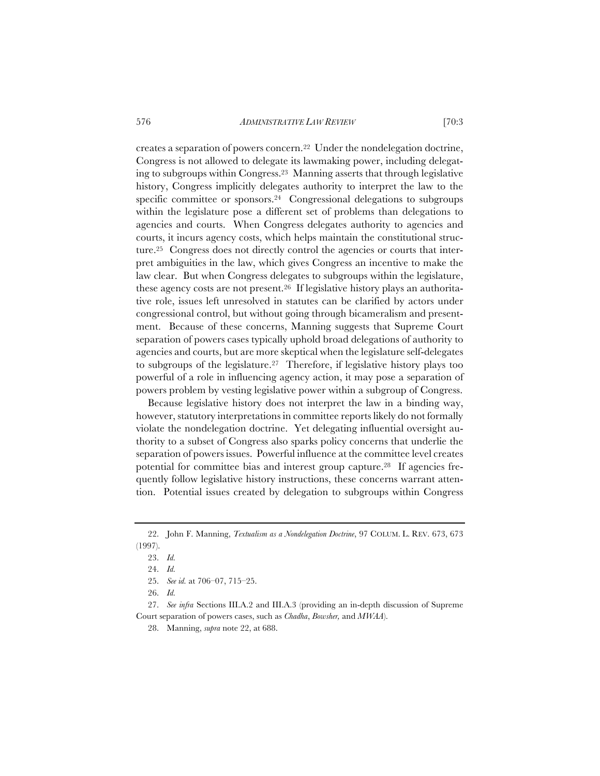creates a separation of powers concern.22 Under the nondelegation doctrine, Congress is not allowed to delegate its lawmaking power, including delegating to subgroups within Congress.23 Manning asserts that through legislative history, Congress implicitly delegates authority to interpret the law to the specific committee or sponsors.<sup>24</sup> Congressional delegations to subgroups within the legislature pose a different set of problems than delegations to agencies and courts. When Congress delegates authority to agencies and courts, it incurs agency costs, which helps maintain the constitutional structure.25 Congress does not directly control the agencies or courts that interpret ambiguities in the law, which gives Congress an incentive to make the law clear. But when Congress delegates to subgroups within the legislature, these agency costs are not present.26 If legislative history plays an authoritative role, issues left unresolved in statutes can be clarified by actors under congressional control, but without going through bicameralism and presentment. Because of these concerns, Manning suggests that Supreme Court separation of powers cases typically uphold broad delegations of authority to agencies and courts, but are more skeptical when the legislature self-delegates to subgroups of the legislature.27 Therefore, if legislative history plays too powerful of a role in influencing agency action, it may pose a separation of powers problem by vesting legislative power within a subgroup of Congress.

Because legislative history does not interpret the law in a binding way, however, statutory interpretations in committee reports likely do not formally violate the nondelegation doctrine. Yet delegating influential oversight authority to a subset of Congress also sparks policy concerns that underlie the separation of powers issues. Powerful influence at the committee level creates potential for committee bias and interest group capture.28 If agencies frequently follow legislative history instructions, these concerns warrant attention. Potential issues created by delegation to subgroups within Congress

27. *See infra* Sections III.A.2 and III.A.3 (providing an in-depth discussion of Supreme Court separation of powers cases, such as *Chadha*, *Bowsher,* and *MWAA*).

28. Manning, *supra* note 22, at 688.

<sup>22.</sup> John F. Manning, *Textualism as a Nondelegation Doctrine*, 97 COLUM. L. REV. 673, 673 (1997).

<sup>23.</sup> *Id.*

<sup>24.</sup> *Id.*

<sup>25.</sup> *See id.* at 706–07, 715–25.

<sup>26.</sup> *Id.*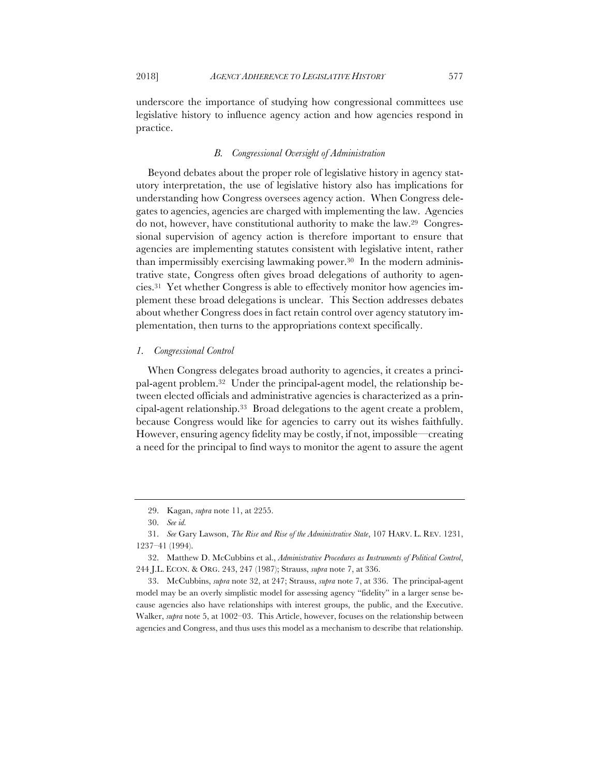underscore the importance of studying how congressional committees use legislative history to influence agency action and how agencies respond in practice.

## *B. Congressional Oversight of Administration*

Beyond debates about the proper role of legislative history in agency statutory interpretation, the use of legislative history also has implications for understanding how Congress oversees agency action. When Congress delegates to agencies, agencies are charged with implementing the law. Agencies do not, however, have constitutional authority to make the law.29 Congressional supervision of agency action is therefore important to ensure that agencies are implementing statutes consistent with legislative intent, rather than impermissibly exercising lawmaking power.30 In the modern administrative state, Congress often gives broad delegations of authority to agencies.31 Yet whether Congress is able to effectively monitor how agencies implement these broad delegations is unclear. This Section addresses debates about whether Congress does in fact retain control over agency statutory implementation, then turns to the appropriations context specifically.

#### *1. Congressional Control*

When Congress delegates broad authority to agencies, it creates a principal-agent problem.32 Under the principal-agent model, the relationship between elected officials and administrative agencies is characterized as a principal-agent relationship.33 Broad delegations to the agent create a problem, because Congress would like for agencies to carry out its wishes faithfully. However, ensuring agency fidelity may be costly, if not, impossible—creating a need for the principal to find ways to monitor the agent to assure the agent

33. McCubbins, *supra* note 32, at 247; Strauss, *supra* note 7, at 336. The principal-agent model may be an overly simplistic model for assessing agency "fidelity" in a larger sense because agencies also have relationships with interest groups, the public, and the Executive. Walker, *supra* note 5, at 1002–03. This Article, however, focuses on the relationship between agencies and Congress, and thus uses this model as a mechanism to describe that relationship.

<sup>29.</sup> Kagan, *supra* note 11, at 2255.

<sup>30.</sup> *See id.*

<sup>31.</sup> *See* Gary Lawson, *The Rise and Rise of the Administrative State*, 107 HARV. L. REV. 1231, 1237–41 (1994).

<sup>32.</sup> Matthew D. McCubbins et al., *Administrative Procedures as Instruments of Political Control*, 244 J.L. ECON. & ORG. 243, 247 (1987); Strauss, *supra* note 7, at 336.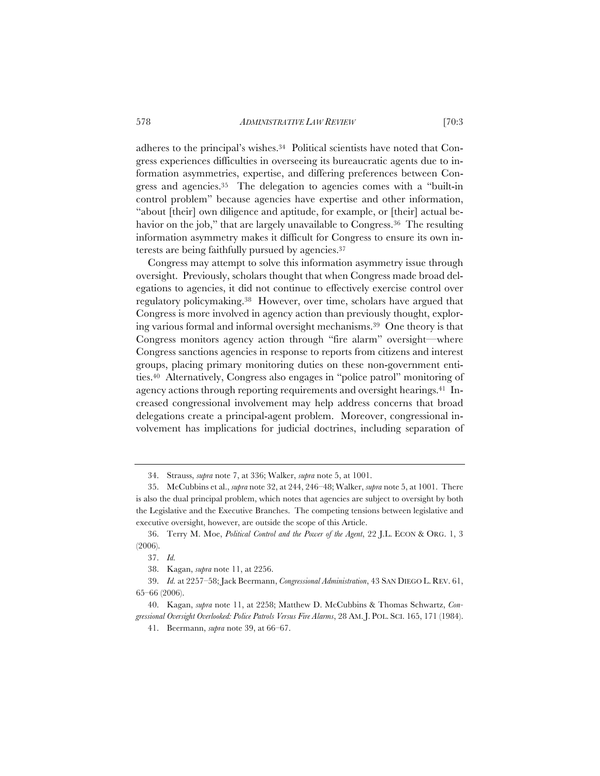adheres to the principal's wishes.34 Political scientists have noted that Congress experiences difficulties in overseeing its bureaucratic agents due to information asymmetries, expertise, and differing preferences between Congress and agencies.35 The delegation to agencies comes with a "built-in control problem" because agencies have expertise and other information, "about [their] own diligence and aptitude, for example, or [their] actual behavior on the job," that are largely unavailable to Congress.<sup>36</sup> The resulting information asymmetry makes it difficult for Congress to ensure its own interests are being faithfully pursued by agencies.37

Congress may attempt to solve this information asymmetry issue through oversight. Previously, scholars thought that when Congress made broad delegations to agencies, it did not continue to effectively exercise control over regulatory policymaking.38 However, over time, scholars have argued that Congress is more involved in agency action than previously thought, exploring various formal and informal oversight mechanisms.39 One theory is that Congress monitors agency action through "fire alarm" oversight—where Congress sanctions agencies in response to reports from citizens and interest groups, placing primary monitoring duties on these non-government entities.40 Alternatively, Congress also engages in "police patrol" monitoring of agency actions through reporting requirements and oversight hearings.<sup>41</sup> Increased congressional involvement may help address concerns that broad delegations create a principal-agent problem. Moreover, congressional involvement has implications for judicial doctrines, including separation of

<sup>34.</sup> Strauss, *supra* note 7, at 336; Walker, *supra* note 5, at 1001.

<sup>35.</sup> McCubbins et al., *supra* note 32, at 244, 246–48; Walker, *supra* note 5, at 1001. There is also the dual principal problem, which notes that agencies are subject to oversight by both the Legislative and the Executive Branches. The competing tensions between legislative and executive oversight, however, are outside the scope of this Article.

<sup>36.</sup> Terry M. Moe, *Political Control and the Power of the Agent*, 22 J.L. ECON & ORG. 1, 3 (2006).

<sup>37.</sup> *Id.*

<sup>38.</sup> Kagan, *supra* note 11, at 2256.

<sup>39.</sup> *Id.* at 2257–58; Jack Beermann, *Congressional Administration*, 43 SAN DIEGO L. REV. 61, 65–66 (2006).

<sup>40.</sup> Kagan, *supra* note 11, at 2258; Matthew D. McCubbins & Thomas Schwartz, *Congressional Oversight Overlooked: Police Patrols Versus Fire Alarms*, 28 AM. J. POL. SCI. 165, 171 (1984).

<sup>41.</sup> Beermann, *supra* note 39, at 66–67.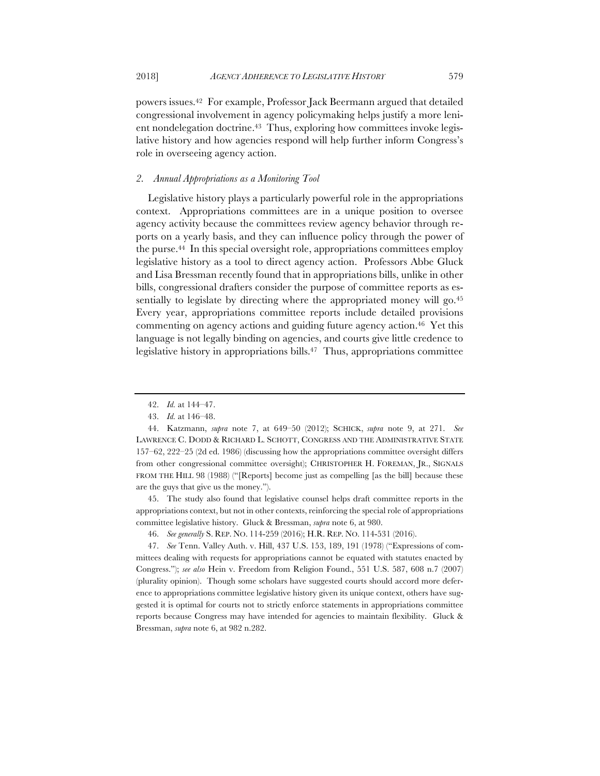powers issues.42 For example, Professor Jack Beermann argued that detailed congressional involvement in agency policymaking helps justify a more lenient nondelegation doctrine.<sup>43</sup> Thus, exploring how committees invoke legislative history and how agencies respond will help further inform Congress's role in overseeing agency action.

## *2. Annual Appropriations as a Monitoring Tool*

Legislative history plays a particularly powerful role in the appropriations context. Appropriations committees are in a unique position to oversee agency activity because the committees review agency behavior through reports on a yearly basis, and they can influence policy through the power of the purse.44 In this special oversight role, appropriations committees employ legislative history as a tool to direct agency action. Professors Abbe Gluck and Lisa Bressman recently found that in appropriations bills, unlike in other bills, congressional drafters consider the purpose of committee reports as essentially to legislate by directing where the appropriated money will go.<sup>45</sup> Every year, appropriations committee reports include detailed provisions commenting on agency actions and guiding future agency action.46 Yet this language is not legally binding on agencies, and courts give little credence to legislative history in appropriations bills.<sup>47</sup> Thus, appropriations committee

45. The study also found that legislative counsel helps draft committee reports in the appropriations context, but not in other contexts, reinforcing the special role of appropriations committee legislative history. Gluck & Bressman, *supra* note 6, at 980.

<sup>42.</sup> *Id.* at 144–47.

<sup>43.</sup> *Id.* at 146–48.

<sup>44.</sup> Katzmann, *supra* note 7, at 649–50 (2012); SCHICK, *supra* note 9, at 271. *See* LAWRENCE C. DODD & RICHARD L. SCHOTT, CONGRESS AND THE ADMINISTRATIVE STATE 157–62, 222–25 (2d ed. 1986) (discussing how the appropriations committee oversight differs from other congressional committee oversight); CHRISTOPHER H. FOREMAN, JR., SIGNALS FROM THE HILL 98 (1988) ("[Reports] become just as compelling [as the bill] because these are the guys that give us the money.").

<sup>46.</sup> *See generally* S. REP. NO. 114-259 (2016); H.R. REP. NO. 114-531 (2016).

<sup>47.</sup> *See* Tenn. Valley Auth. v. Hill, 437 U.S. 153, 189, 191 (1978) ("Expressions of committees dealing with requests for appropriations cannot be equated with statutes enacted by Congress."); *see also* Hein v. Freedom from Religion Found., 551 U.S. 587, 608 n.7 (2007) (plurality opinion). Though some scholars have suggested courts should accord more deference to appropriations committee legislative history given its unique context, others have suggested it is optimal for courts not to strictly enforce statements in appropriations committee reports because Congress may have intended for agencies to maintain flexibility. Gluck & Bressman, *supra* note 6, at 982 n.282.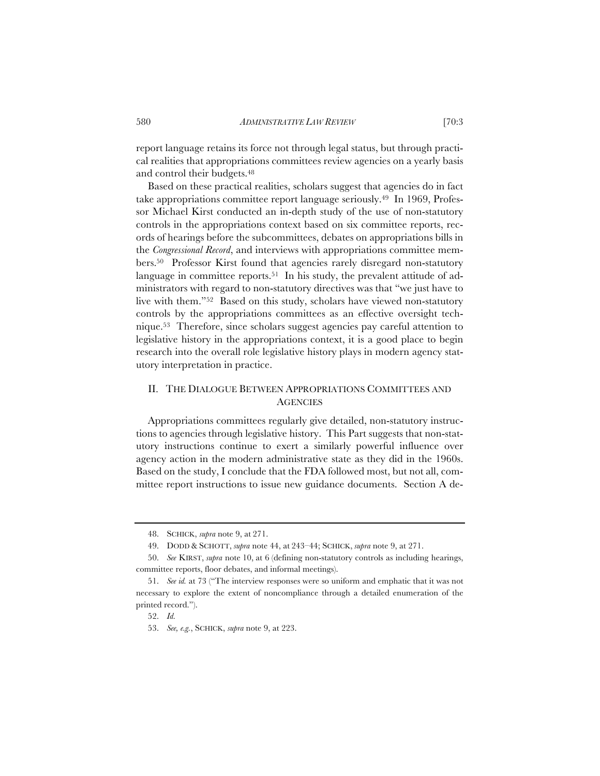report language retains its force not through legal status, but through practical realities that appropriations committees review agencies on a yearly basis and control their budgets.48

Based on these practical realities, scholars suggest that agencies do in fact take appropriations committee report language seriously.49 In 1969, Professor Michael Kirst conducted an in-depth study of the use of non-statutory controls in the appropriations context based on six committee reports, records of hearings before the subcommittees, debates on appropriations bills in the *Congressional Record*, and interviews with appropriations committee members.50 Professor Kirst found that agencies rarely disregard non-statutory language in committee reports.<sup>51</sup> In his study, the prevalent attitude of administrators with regard to non-statutory directives was that "we just have to live with them."52 Based on this study, scholars have viewed non-statutory controls by the appropriations committees as an effective oversight technique.53 Therefore, since scholars suggest agencies pay careful attention to legislative history in the appropriations context, it is a good place to begin research into the overall role legislative history plays in modern agency statutory interpretation in practice.

# II. THE DIALOGUE BETWEEN APPROPRIATIONS COMMITTEES AND **AGENCIES**

Appropriations committees regularly give detailed, non-statutory instructions to agencies through legislative history. This Part suggests that non-statutory instructions continue to exert a similarly powerful influence over agency action in the modern administrative state as they did in the 1960s. Based on the study, I conclude that the FDA followed most, but not all, committee report instructions to issue new guidance documents. Section A de-

<sup>48.</sup> SCHICK, *supra* note 9, at 271.

<sup>49.</sup> DODD & SCHOTT, *supra* note 44, at 243–44; SCHICK, *supra* note 9, at 271.

<sup>50.</sup> *See* KIRST, *supra* note 10, at 6 (defining non-statutory controls as including hearings, committee reports, floor debates, and informal meetings).

<sup>51.</sup> *See id.* at 73 ("The interview responses were so uniform and emphatic that it was not necessary to explore the extent of noncompliance through a detailed enumeration of the printed record.").

<sup>52.</sup> *Id.* 

<sup>53.</sup> *See, e.g.*, SCHICK, *supra* note 9, at 223.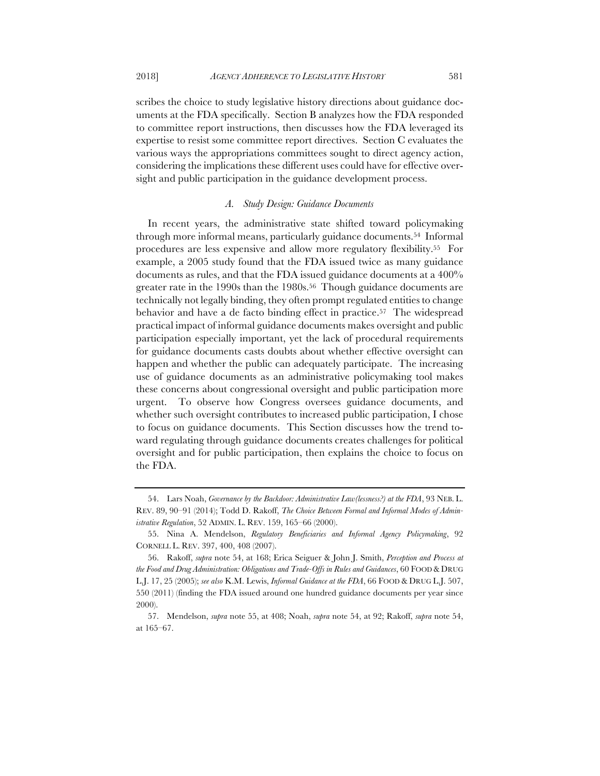scribes the choice to study legislative history directions about guidance documents at the FDA specifically. Section B analyzes how the FDA responded to committee report instructions, then discusses how the FDA leveraged its expertise to resist some committee report directives. Section C evaluates the various ways the appropriations committees sought to direct agency action, considering the implications these different uses could have for effective oversight and public participation in the guidance development process.

## *A. Study Design: Guidance Documents*

In recent years, the administrative state shifted toward policymaking through more informal means, particularly guidance documents.54 Informal procedures are less expensive and allow more regulatory flexibility.55 For example, a 2005 study found that the FDA issued twice as many guidance documents as rules, and that the FDA issued guidance documents at a 400% greater rate in the 1990s than the 1980s.56 Though guidance documents are technically not legally binding, they often prompt regulated entities to change behavior and have a de facto binding effect in practice.57 The widespread practical impact of informal guidance documents makes oversight and public participation especially important, yet the lack of procedural requirements for guidance documents casts doubts about whether effective oversight can happen and whether the public can adequately participate. The increasing use of guidance documents as an administrative policymaking tool makes these concerns about congressional oversight and public participation more urgent. To observe how Congress oversees guidance documents, and whether such oversight contributes to increased public participation, I chose to focus on guidance documents. This Section discusses how the trend toward regulating through guidance documents creates challenges for political oversight and for public participation, then explains the choice to focus on the FDA.

<sup>54.</sup> Lars Noah, *Governance by the Backdoor: Administrative Law(lessness?) at the FDA*, 93 NEB. L. REV. 89, 90–91 (2014); Todd D. Rakoff, *The Choice Between Formal and Informal Modes of Administrative Regulation*, 52 ADMIN. L. REV. 159, 165–66 (2000).

<sup>55.</sup> Nina A. Mendelson, *Regulatory Beneficiaries and Informal Agency Policymaking*, 92 CORNELL L. REV. 397, 400, 408 (2007).

<sup>56.</sup> Rakoff, *supra* note 54, at 168; Erica Seiguer & John J. Smith, *Perception and Process at the Food and Drug Administration: Obligations and Trade-Offs in Rules and Guidances*, 60 FOOD & DRUG L.J. 17, 25 (2005); *see also* K.M. Lewis, *Informal Guidance at the FDA*, 66 FOOD & DRUG L.J. 507, 550 (2011) (finding the FDA issued around one hundred guidance documents per year since 2000).

<sup>57.</sup> Mendelson, *supra* note 55, at 408; Noah, *supra* note 54, at 92; Rakoff, *supra* note 54, at 165–67.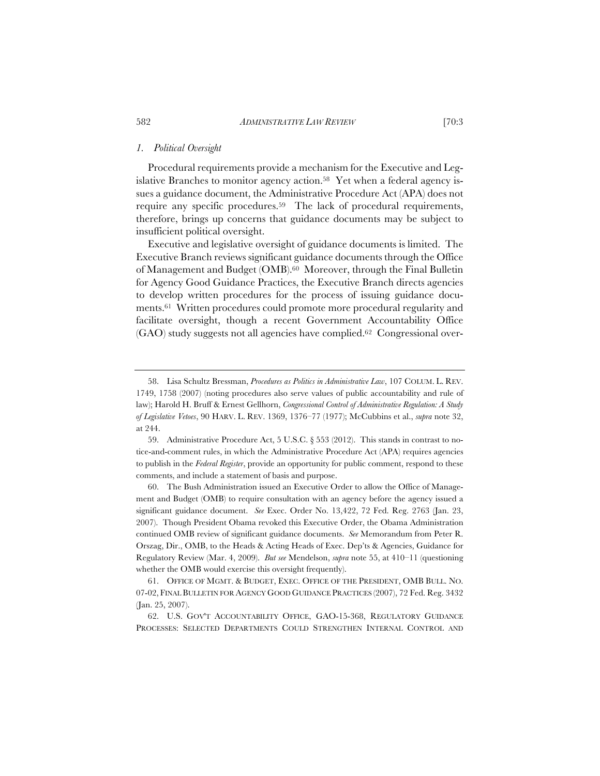## *1. Political Oversight*

Procedural requirements provide a mechanism for the Executive and Legislative Branches to monitor agency action.<sup>58</sup> Yet when a federal agency issues a guidance document, the Administrative Procedure Act (APA) does not require any specific procedures.59 The lack of procedural requirements, therefore, brings up concerns that guidance documents may be subject to insufficient political oversight.

Executive and legislative oversight of guidance documents is limited. The Executive Branch reviews significant guidance documents through the Office of Management and Budget (OMB).60 Moreover, through the Final Bulletin for Agency Good Guidance Practices, the Executive Branch directs agencies to develop written procedures for the process of issuing guidance documents.61 Written procedures could promote more procedural regularity and facilitate oversight, though a recent Government Accountability Office (GAO) study suggests not all agencies have complied.62 Congressional over-

<sup>58.</sup> Lisa Schultz Bressman, *Procedures as Politics in Administrative Law*, 107 COLUM. L. REV. 1749, 1758 (2007) (noting procedures also serve values of public accountability and rule of law); Harold H. Bruff & Ernest Gellhorn, *Congressional Control of Administrative Regulation: A Study of Legislative Vetoes*, 90 HARV. L. REV. 1369, 1376–77 (1977); McCubbins et al., *supra* note 32, at 244.

<sup>59.</sup> Administrative Procedure Act, 5 U.S.C. § 553 (2012). This stands in contrast to notice-and-comment rules, in which the Administrative Procedure Act (APA) requires agencies to publish in the *Federal Register*, provide an opportunity for public comment, respond to these comments, and include a statement of basis and purpose.

<sup>60.</sup> The Bush Administration issued an Executive Order to allow the Office of Management and Budget (OMB) to require consultation with an agency before the agency issued a significant guidance document. *See* Exec. Order No. 13,422, 72 Fed. Reg. 2763 (Jan. 23, 2007). Though President Obama revoked this Executive Order, the Obama Administration continued OMB review of significant guidance documents. *See* Memorandum from Peter R. Orszag, Dir., OMB, to the Heads & Acting Heads of Exec. Dep'ts & Agencies, Guidance for Regulatory Review (Mar. 4, 2009). *But see* Mendelson, *supra* note 55, at 410–11 (questioning whether the OMB would exercise this oversight frequently).

<sup>61.</sup> OFFICE OF MGMT. & BUDGET, EXEC. OFFICE OF THE PRESIDENT, OMB BULL. NO. 07-02, FINAL BULLETIN FOR AGENCY GOOD GUIDANCE PRACTICES (2007), 72 Fed. Reg. 3432 (Jan. 25, 2007).

<sup>62.</sup> U.S. GOV'T ACCOUNTABILITY OFFICE, GAO-15-368, REGULATORY GUIDANCE PROCESSES: SELECTED DEPARTMENTS COULD STRENGTHEN INTERNAL CONTROL AND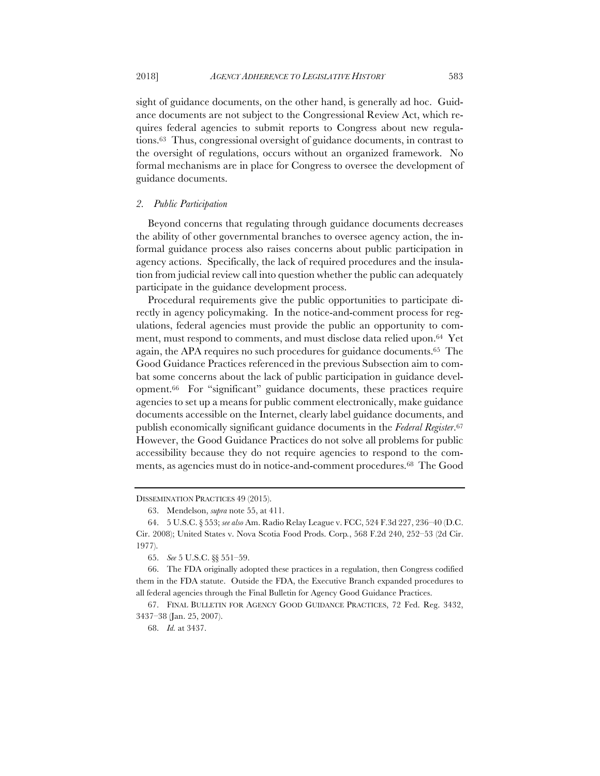sight of guidance documents, on the other hand, is generally ad hoc. Guidance documents are not subject to the Congressional Review Act, which requires federal agencies to submit reports to Congress about new regulations.63 Thus, congressional oversight of guidance documents, in contrast to the oversight of regulations, occurs without an organized framework. No formal mechanisms are in place for Congress to oversee the development of guidance documents.

## *2. Public Participation*

Beyond concerns that regulating through guidance documents decreases the ability of other governmental branches to oversee agency action, the informal guidance process also raises concerns about public participation in agency actions. Specifically, the lack of required procedures and the insulation from judicial review call into question whether the public can adequately participate in the guidance development process.

Procedural requirements give the public opportunities to participate directly in agency policymaking. In the notice-and-comment process for regulations, federal agencies must provide the public an opportunity to comment, must respond to comments, and must disclose data relied upon.64 Yet again, the APA requires no such procedures for guidance documents.65 The Good Guidance Practices referenced in the previous Subsection aim to combat some concerns about the lack of public participation in guidance development.66 For "significant" guidance documents, these practices require agencies to set up a means for public comment electronically, make guidance documents accessible on the Internet, clearly label guidance documents, and publish economically significant guidance documents in the *Federal Register*.67 However, the Good Guidance Practices do not solve all problems for public accessibility because they do not require agencies to respond to the comments, as agencies must do in notice-and-comment procedures.68 The Good

DISSEMINATION PRACTICES 49 (2015).

<sup>63.</sup> Mendelson, *supra* note 55, at 411.

<sup>64.</sup> 5 U.S.C. § 553; *see also* Am. Radio Relay League v. FCC, 524 F.3d 227, 236–40 (D.C. Cir. 2008); United States v. Nova Scotia Food Prods. Corp*.*, 568 F.2d 240, 252–53 (2d Cir. 1977).

<sup>65.</sup> *See* 5 U.S.C. §§ 551–59.

<sup>66.</sup> The FDA originally adopted these practices in a regulation, then Congress codified them in the FDA statute. Outside the FDA, the Executive Branch expanded procedures to all federal agencies through the Final Bulletin for Agency Good Guidance Practices.

<sup>67.</sup> FINAL BULLETIN FOR AGENCY GOOD GUIDANCE PRACTICES, 72 Fed. Reg. 3432, 3437–38 (Jan. 25, 2007).

<sup>68.</sup> *Id.* at 3437.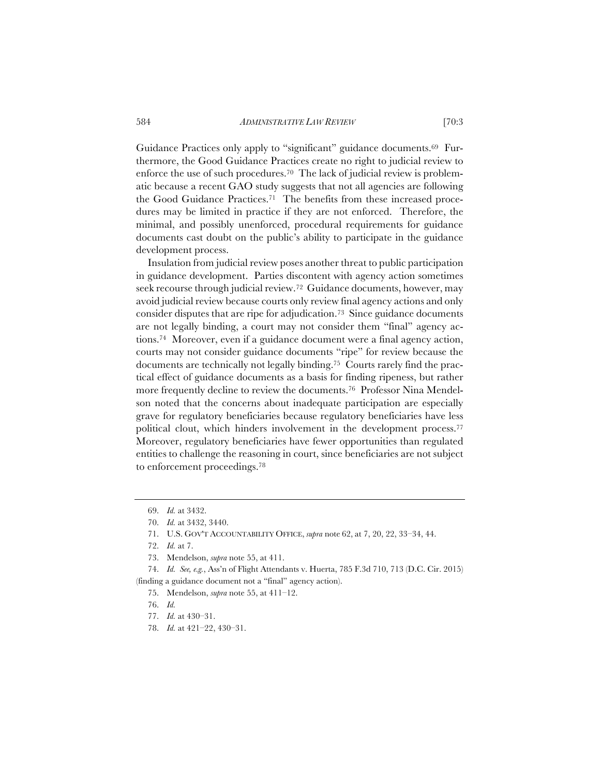Guidance Practices only apply to "significant" guidance documents.69 Furthermore, the Good Guidance Practices create no right to judicial review to enforce the use of such procedures.70 The lack of judicial review is problematic because a recent GAO study suggests that not all agencies are following the Good Guidance Practices.71 The benefits from these increased procedures may be limited in practice if they are not enforced. Therefore, the minimal, and possibly unenforced, procedural requirements for guidance documents cast doubt on the public's ability to participate in the guidance development process.

Insulation from judicial review poses another threat to public participation in guidance development. Parties discontent with agency action sometimes seek recourse through judicial review.72 Guidance documents, however, may avoid judicial review because courts only review final agency actions and only consider disputes that are ripe for adjudication.73 Since guidance documents are not legally binding, a court may not consider them "final" agency actions.74 Moreover, even if a guidance document were a final agency action, courts may not consider guidance documents "ripe" for review because the documents are technically not legally binding.75 Courts rarely find the practical effect of guidance documents as a basis for finding ripeness, but rather more frequently decline to review the documents.76 Professor Nina Mendelson noted that the concerns about inadequate participation are especially grave for regulatory beneficiaries because regulatory beneficiaries have less political clout, which hinders involvement in the development process.77 Moreover, regulatory beneficiaries have fewer opportunities than regulated entities to challenge the reasoning in court, since beneficiaries are not subject to enforcement proceedings.78

73. Mendelson, *supra* note 55, at 411.

74. *Id. See, e.g.*, Ass'n of Flight Attendants v. Huerta, 785 F.3d 710, 713 (D.C. Cir. 2015) (finding a guidance document not a "final" agency action).

- 76. *Id.*
- 77. *Id.* at 430–31.
- 78. *Id.* at 421–22, 430–31.

<sup>69.</sup> *Id.* at 3432.

<sup>70.</sup> *Id.* at 3432, 3440.

<sup>71.</sup> U.S. GOV'T ACCOUNTABILITY OFFICE, *supra* note 62, at 7, 20, 22, 33–34, 44.

<sup>72.</sup> *Id.* at 7.

<sup>75.</sup> Mendelson, *supra* note 55, at 411–12.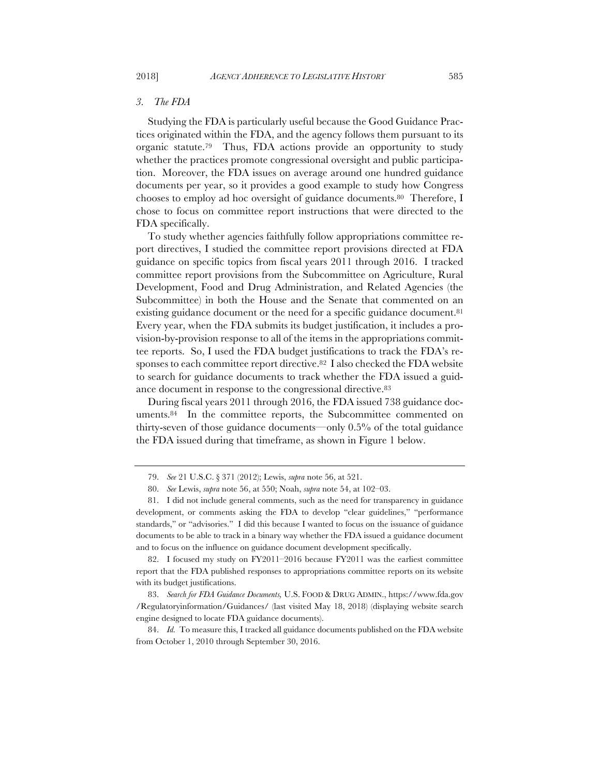## *3. The FDA*

Studying the FDA is particularly useful because the Good Guidance Practices originated within the FDA, and the agency follows them pursuant to its organic statute.79 Thus, FDA actions provide an opportunity to study whether the practices promote congressional oversight and public participation. Moreover, the FDA issues on average around one hundred guidance documents per year, so it provides a good example to study how Congress chooses to employ ad hoc oversight of guidance documents.80 Therefore, I chose to focus on committee report instructions that were directed to the FDA specifically.

To study whether agencies faithfully follow appropriations committee report directives, I studied the committee report provisions directed at FDA guidance on specific topics from fiscal years 2011 through 2016. I tracked committee report provisions from the Subcommittee on Agriculture, Rural Development, Food and Drug Administration, and Related Agencies (the Subcommittee) in both the House and the Senate that commented on an existing guidance document or the need for a specific guidance document.<sup>81</sup> Every year, when the FDA submits its budget justification, it includes a provision-by-provision response to all of the items in the appropriations committee reports. So, I used the FDA budget justifications to track the FDA's responses to each committee report directive.<sup>82</sup> I also checked the FDA website to search for guidance documents to track whether the FDA issued a guidance document in response to the congressional directive.83

During fiscal years 2011 through 2016, the FDA issued 738 guidance documents.84 In the committee reports, the Subcommittee commented on thirty-seven of those guidance documents—only 0.5% of the total guidance the FDA issued during that timeframe, as shown in Figure 1 below.

<sup>79.</sup> *See* 21 U.S.C. § 371 (2012); Lewis, *supra* note 56, at 521.

<sup>80.</sup> *See* Lewis, *supra* note 56, at 550; Noah, *supra* note 54, at 102–03.

<sup>81.</sup> I did not include general comments, such as the need for transparency in guidance development, or comments asking the FDA to develop "clear guidelines," "performance standards," or "advisories." I did this because I wanted to focus on the issuance of guidance documents to be able to track in a binary way whether the FDA issued a guidance document and to focus on the influence on guidance document development specifically.

<sup>82.</sup> I focused my study on FY2011–2016 because FY2011 was the earliest committee report that the FDA published responses to appropriations committee reports on its website with its budget justifications.

<sup>83.</sup> *Search for FDA Guidance Documents,* U.S. FOOD & DRUG ADMIN., https://www.fda.gov /Regulatoryinformation/Guidances/ (last visited May 18, 2018) (displaying website search engine designed to locate FDA guidance documents).

<sup>84.</sup> *Id.* To measure this, I tracked all guidance documents published on the FDA website from October 1, 2010 through September 30, 2016.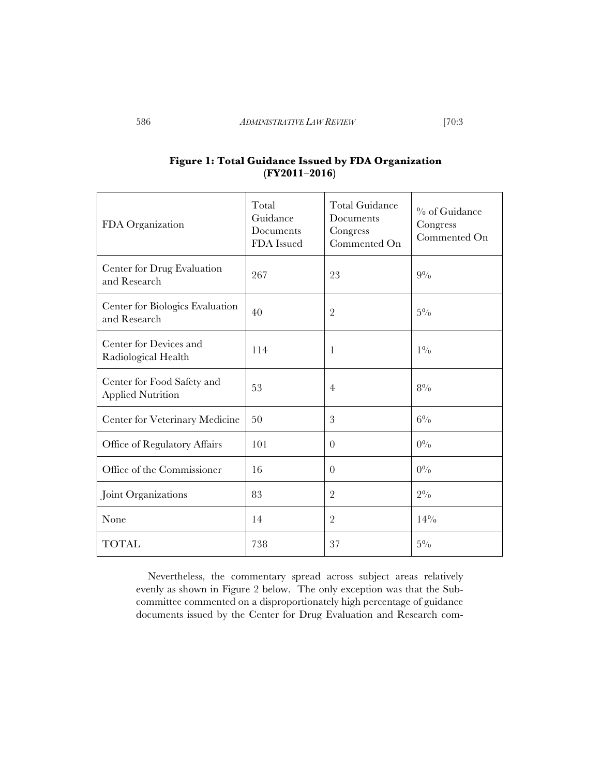| FDA Organization                                       | Total<br>Guidance<br>Documents<br>FDA Issued | <b>Total Guidance</b><br>Documents<br>Congress<br>Commented On | % of Guidance<br>Congress<br>Commented On |
|--------------------------------------------------------|----------------------------------------------|----------------------------------------------------------------|-------------------------------------------|
| Center for Drug Evaluation<br>and Research             | 267                                          | 23                                                             | $9\%$                                     |
| Center for Biologics Evaluation<br>and Research        | 40                                           | $\overline{2}$                                                 | $5\%$                                     |
| Center for Devices and<br>Radiological Health          | 114                                          | 1                                                              | $1\%$                                     |
| Center for Food Safety and<br><b>Applied Nutrition</b> | 53                                           | 4                                                              | $8\%$                                     |
| Center for Veterinary Medicine                         | 50                                           | 3                                                              | $6\%$                                     |
| Office of Regulatory Affairs                           | 101                                          | $\overline{0}$                                                 | $0\%$                                     |
| Office of the Commissioner                             | 16                                           | $\theta$                                                       | $0\%$                                     |
| Joint Organizations                                    | 83                                           | $\overline{2}$                                                 | $2\%$                                     |
| None                                                   | 14                                           | $\overline{2}$                                                 | 14%                                       |
| TOTAL                                                  | 738                                          | 37                                                             | $5\%$                                     |

# **Figure 1: Total Guidance Issued by FDA Organization (FY2011–2016)**

Nevertheless, the commentary spread across subject areas relatively evenly as shown in Figure 2 below. The only exception was that the Subcommittee commented on a disproportionately high percentage of guidance documents issued by the Center for Drug Evaluation and Research com-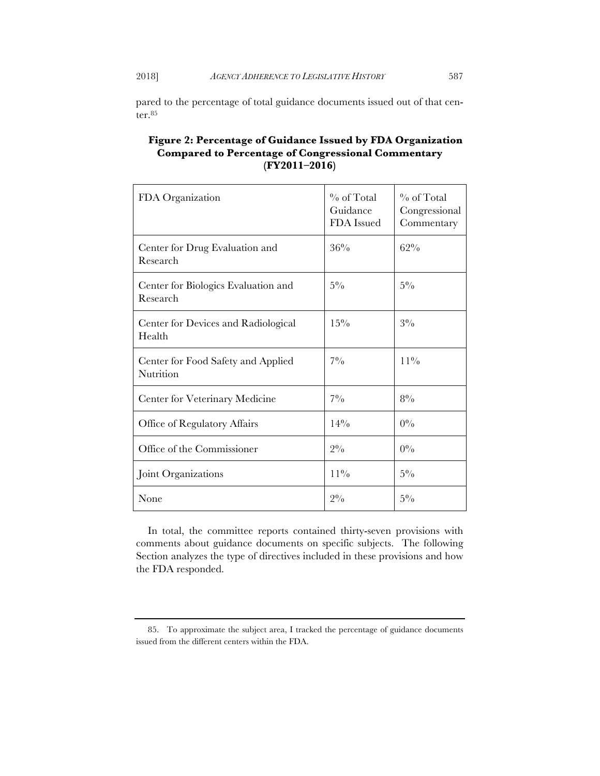pared to the percentage of total guidance documents issued out of that center.85

| Figure 2: Percentage of Guidance Issued by FDA Organization |
|-------------------------------------------------------------|
| Compared to Percentage of Congressional Commentary          |
| $(FY2011-2016)$                                             |

| FDA Organization                                | $\%$ of Total<br>Guidance<br>FDA Issued | $\%$ of Total<br>Congressional<br>Commentary |
|-------------------------------------------------|-----------------------------------------|----------------------------------------------|
| Center for Drug Evaluation and<br>Research      | 36%                                     | 62%                                          |
| Center for Biologics Evaluation and<br>Research | $5\%$                                   | $5\%$                                        |
| Center for Devices and Radiological<br>Health   | $15\%$                                  | $3\%$                                        |
| Center for Food Safety and Applied<br>Nutrition | $7\%$                                   | $11\%$                                       |
| Center for Veterinary Medicine                  | $7\%$                                   | $8\%$                                        |
| Office of Regulatory Affairs                    | 14%                                     | $0\%$                                        |
| Office of the Commissioner                      | $2\%$                                   | $0\%$                                        |
| Joint Organizations                             | $11\%$                                  | $5\%$                                        |
| None                                            | $2\%$                                   | $5\%$                                        |

In total, the committee reports contained thirty-seven provisions with comments about guidance documents on specific subjects. The following Section analyzes the type of directives included in these provisions and how the FDA responded.

<sup>85.</sup> To approximate the subject area, I tracked the percentage of guidance documents issued from the different centers within the FDA.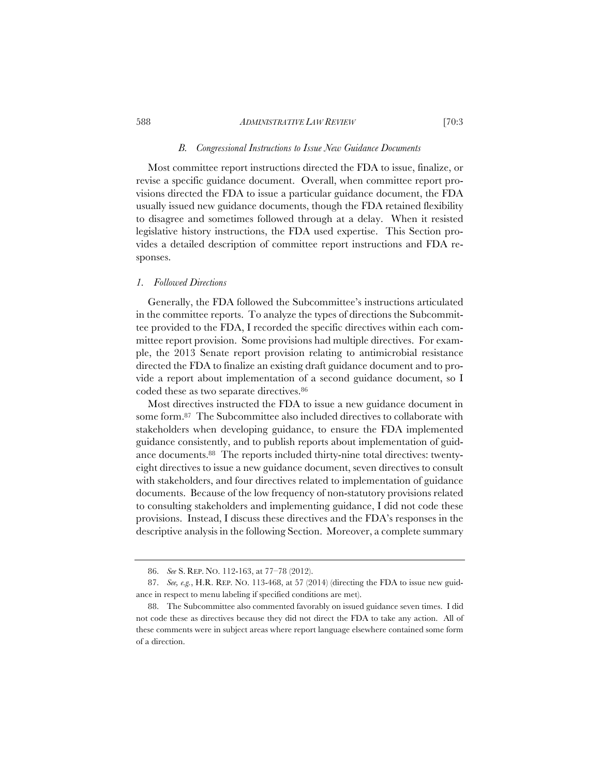## *B. Congressional Instructions to Issue New Guidance Documents*

Most committee report instructions directed the FDA to issue, finalize, or revise a specific guidance document. Overall, when committee report provisions directed the FDA to issue a particular guidance document, the FDA usually issued new guidance documents, though the FDA retained flexibility to disagree and sometimes followed through at a delay. When it resisted legislative history instructions, the FDA used expertise. This Section provides a detailed description of committee report instructions and FDA responses.

## *1. Followed Directions*

Generally, the FDA followed the Subcommittee's instructions articulated in the committee reports. To analyze the types of directions the Subcommittee provided to the FDA, I recorded the specific directives within each committee report provision. Some provisions had multiple directives. For example, the 2013 Senate report provision relating to antimicrobial resistance directed the FDA to finalize an existing draft guidance document and to provide a report about implementation of a second guidance document, so I coded these as two separate directives.86

Most directives instructed the FDA to issue a new guidance document in some form.87 The Subcommittee also included directives to collaborate with stakeholders when developing guidance, to ensure the FDA implemented guidance consistently, and to publish reports about implementation of guidance documents.88 The reports included thirty-nine total directives: twentyeight directives to issue a new guidance document, seven directives to consult with stakeholders, and four directives related to implementation of guidance documents. Because of the low frequency of non-statutory provisions related to consulting stakeholders and implementing guidance, I did not code these provisions. Instead, I discuss these directives and the FDA's responses in the descriptive analysis in the following Section. Moreover, a complete summary

<sup>86.</sup> *See* S. REP. NO. 112-163, at 77–78 (2012).

<sup>87.</sup> *See, e.g.*, H.R. REP. NO. 113-468, at 57 (2014) (directing the FDA to issue new guidance in respect to menu labeling if specified conditions are met).

<sup>88.</sup> The Subcommittee also commented favorably on issued guidance seven times. I did not code these as directives because they did not direct the FDA to take any action. All of these comments were in subject areas where report language elsewhere contained some form of a direction.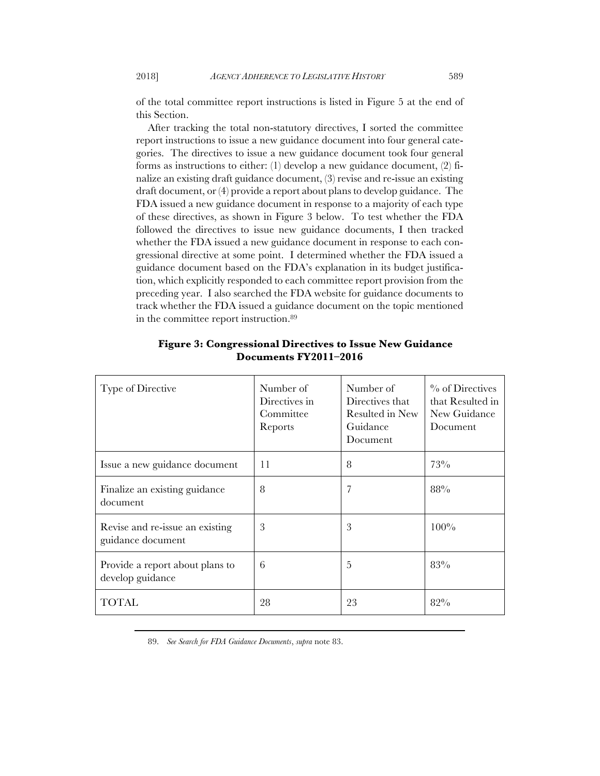of the total committee report instructions is listed in Figure 5 at the end of this Section.

After tracking the total non-statutory directives, I sorted the committee report instructions to issue a new guidance document into four general categories. The directives to issue a new guidance document took four general forms as instructions to either: (1) develop a new guidance document, (2) finalize an existing draft guidance document, (3) revise and re-issue an existing draft document, or (4) provide a report about plans to develop guidance. The FDA issued a new guidance document in response to a majority of each type of these directives, as shown in Figure 3 below. To test whether the FDA followed the directives to issue new guidance documents, I then tracked whether the FDA issued a new guidance document in response to each congressional directive at some point. I determined whether the FDA issued a guidance document based on the FDA's explanation in its budget justification, which explicitly responded to each committee report provision from the preceding year. I also searched the FDA website for guidance documents to track whether the FDA issued a guidance document on the topic mentioned in the committee report instruction.89

| Type of Directive                                    | Number of<br>Directives in<br>Committee<br>Reports | Number of<br>Directives that<br>Resulted in New<br>Guidance<br>Document | $\%$ of Directives<br>that Resulted in<br>New Guidance<br>Document |
|------------------------------------------------------|----------------------------------------------------|-------------------------------------------------------------------------|--------------------------------------------------------------------|
| Issue a new guidance document                        | 11                                                 | 8                                                                       | 73%                                                                |
| Finalize an existing guidance<br>document            | 8                                                  | 7                                                                       | 88%                                                                |
| Revise and re-issue an existing<br>guidance document | 3                                                  | 3                                                                       | 100%                                                               |
| Provide a report about plans to<br>develop guidance  | 6                                                  | 5                                                                       | 83%                                                                |
| TOTAL                                                | 28                                                 | 23                                                                      | 82%                                                                |

## **Figure 3: Congressional Directives to Issue New Guidance Documents FY2011–2016**

89. *See Search for FDA Guidance Documents*, *supra* note 83.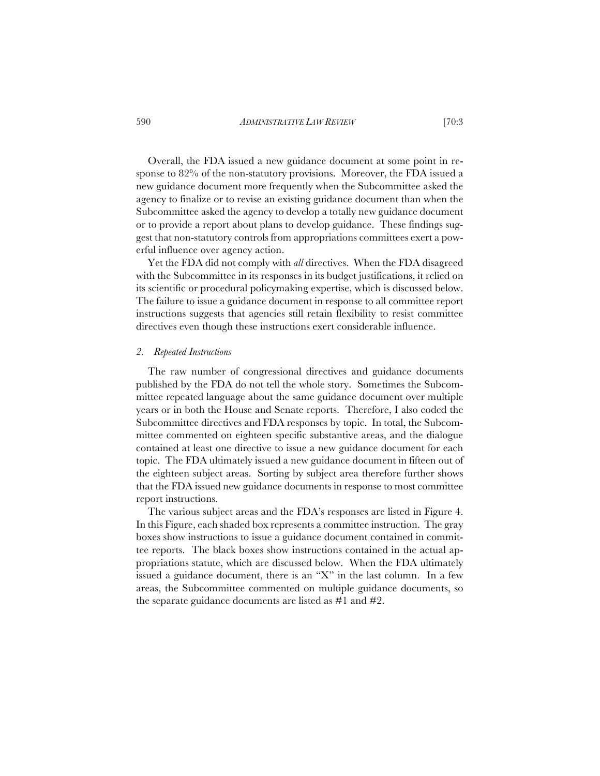Overall, the FDA issued a new guidance document at some point in response to 82% of the non-statutory provisions. Moreover, the FDA issued a new guidance document more frequently when the Subcommittee asked the agency to finalize or to revise an existing guidance document than when the Subcommittee asked the agency to develop a totally new guidance document or to provide a report about plans to develop guidance. These findings suggest that non-statutory controls from appropriations committees exert a powerful influence over agency action.

Yet the FDA did not comply with *all* directives. When the FDA disagreed with the Subcommittee in its responses in its budget justifications, it relied on its scientific or procedural policymaking expertise, which is discussed below. The failure to issue a guidance document in response to all committee report instructions suggests that agencies still retain flexibility to resist committee directives even though these instructions exert considerable influence.

### *2. Repeated Instructions*

The raw number of congressional directives and guidance documents published by the FDA do not tell the whole story. Sometimes the Subcommittee repeated language about the same guidance document over multiple years or in both the House and Senate reports. Therefore, I also coded the Subcommittee directives and FDA responses by topic. In total, the Subcommittee commented on eighteen specific substantive areas, and the dialogue contained at least one directive to issue a new guidance document for each topic. The FDA ultimately issued a new guidance document in fifteen out of the eighteen subject areas. Sorting by subject area therefore further shows that the FDA issued new guidance documents in response to most committee report instructions.

The various subject areas and the FDA's responses are listed in Figure 4. In this Figure, each shaded box represents a committee instruction. The gray boxes show instructions to issue a guidance document contained in committee reports. The black boxes show instructions contained in the actual appropriations statute, which are discussed below. When the FDA ultimately issued a guidance document, there is an "X" in the last column. In a few areas, the Subcommittee commented on multiple guidance documents, so the separate guidance documents are listed as #1 and #2.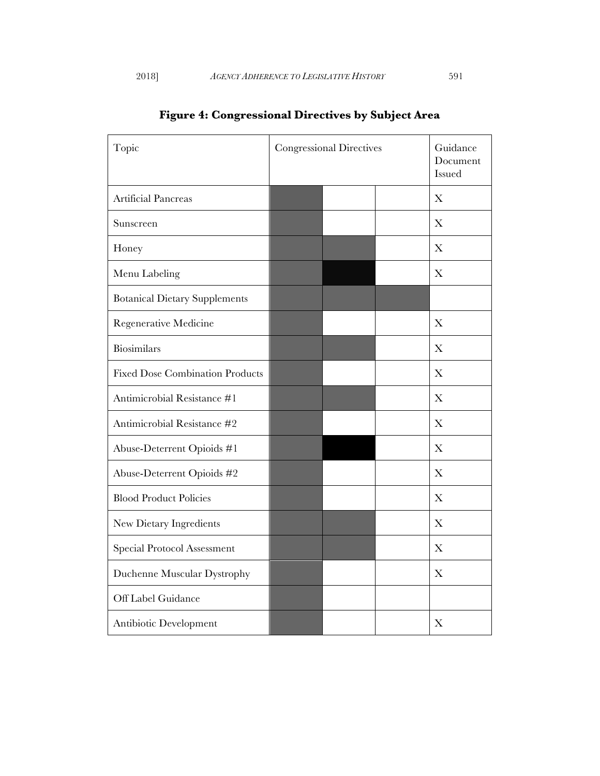| Topic                                  | <b>Congressional Directives</b> |  | Guidance<br>Document<br>Issued |
|----------------------------------------|---------------------------------|--|--------------------------------|
| <b>Artificial Pancreas</b>             |                                 |  | X                              |
| Sunscreen                              |                                 |  | X                              |
| Honey                                  |                                 |  | Х                              |
| Menu Labeling                          |                                 |  | X                              |
| <b>Botanical Dietary Supplements</b>   |                                 |  |                                |
| Regenerative Medicine                  |                                 |  | X                              |
| Biosimilars                            |                                 |  | X                              |
| <b>Fixed Dose Combination Products</b> |                                 |  | X                              |
| Antimicrobial Resistance #1            |                                 |  | X                              |
| Antimicrobial Resistance #2            |                                 |  | X                              |
| Abuse-Deterrent Opioids #1             |                                 |  | X                              |
| Abuse-Deterrent Opioids #2             |                                 |  | X                              |
| <b>Blood Product Policies</b>          |                                 |  | X                              |
| New Dietary Ingredients                |                                 |  | X                              |
| Special Protocol Assessment            |                                 |  | X                              |
| Duchenne Muscular Dystrophy            |                                 |  | X                              |
| Off Label Guidance                     |                                 |  |                                |
| Antibiotic Development                 |                                 |  | X                              |

# **Figure 4: Congressional Directives by Subject Area**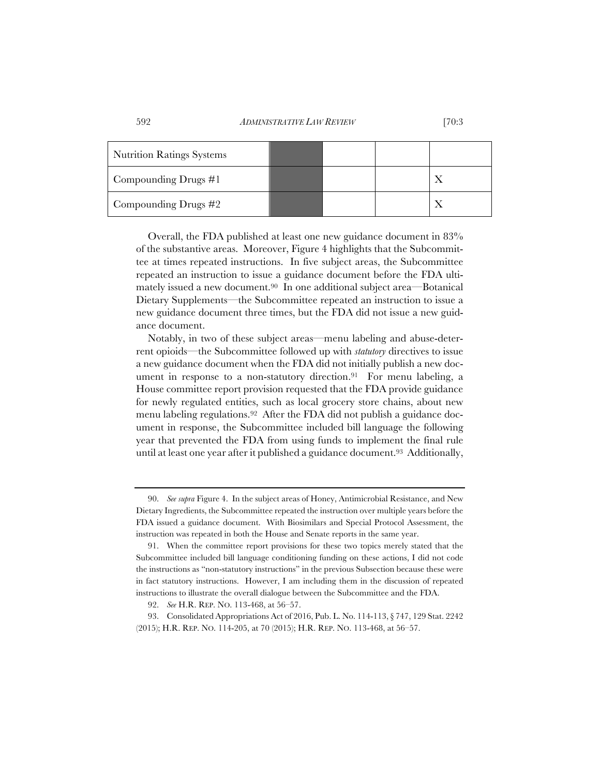| <b>Nutrition Ratings Systems</b> |  |  |
|----------------------------------|--|--|
| Compounding Drugs $\#1$          |  |  |
| Compounding Drugs $#2$           |  |  |

Overall, the FDA published at least one new guidance document in 83% of the substantive areas. Moreover, Figure 4 highlights that the Subcommittee at times repeated instructions. In five subject areas, the Subcommittee repeated an instruction to issue a guidance document before the FDA ultimately issued a new document.90 In one additional subject area—Botanical Dietary Supplements—the Subcommittee repeated an instruction to issue a new guidance document three times, but the FDA did not issue a new guidance document.

Notably, in two of these subject areas—menu labeling and abuse-deterrent opioids—the Subcommittee followed up with *statutory* directives to issue a new guidance document when the FDA did not initially publish a new document in response to a non-statutory direction.<sup>91</sup> For menu labeling, a House committee report provision requested that the FDA provide guidance for newly regulated entities, such as local grocery store chains, about new menu labeling regulations.92 After the FDA did not publish a guidance document in response, the Subcommittee included bill language the following year that prevented the FDA from using funds to implement the final rule until at least one year after it published a guidance document.93 Additionally,

<sup>90.</sup> *See supra* Figure 4. In the subject areas of Honey, Antimicrobial Resistance, and New Dietary Ingredients, the Subcommittee repeated the instruction over multiple years before the FDA issued a guidance document. With Biosimilars and Special Protocol Assessment, the instruction was repeated in both the House and Senate reports in the same year.

<sup>91.</sup> When the committee report provisions for these two topics merely stated that the Subcommittee included bill language conditioning funding on these actions, I did not code the instructions as "non-statutory instructions" in the previous Subsection because these were in fact statutory instructions. However, I am including them in the discussion of repeated instructions to illustrate the overall dialogue between the Subcommittee and the FDA.

<sup>92.</sup> *See* H.R. REP. NO. 113-468, at 56–57.

<sup>93.</sup> Consolidated Appropriations Act of 2016, Pub. L. No. 114-113, § 747, 129 Stat. 2242 (2015); H.R. REP. NO. 114-205, at 70 (2015); H.R. REP. NO. 113-468, at 56–57.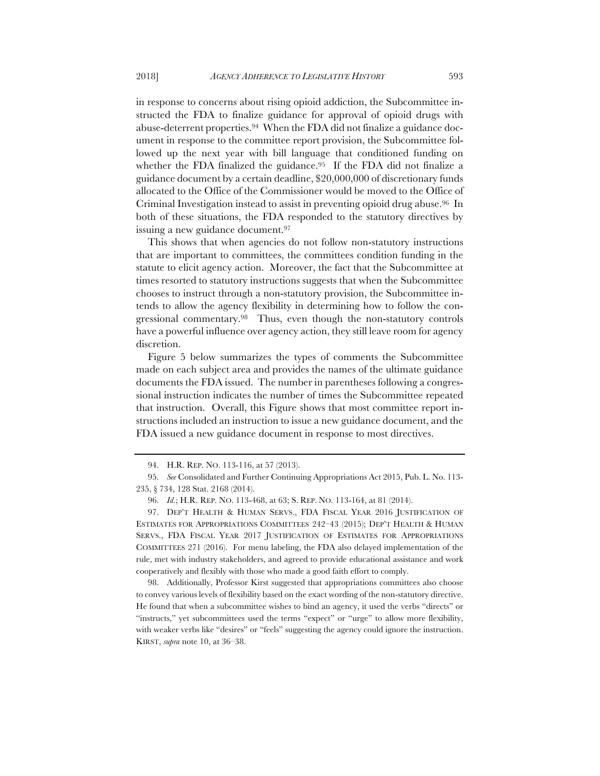in response to concerns about rising opioid addiction, the Subcommittee instructed the FDA to finalize guidance for approval of opioid drugs with abuse-deterrent properties.94 When the FDA did not finalize a guidance document in response to the committee report provision, the Subcommittee followed up the next year with bill language that conditioned funding on whether the FDA finalized the guidance.<sup>95</sup> If the FDA did not finalize a guidance document by a certain deadline, \$20,000,000 of discretionary funds allocated to the Office of the Commissioner would be moved to the Office of Criminal Investigation instead to assist in preventing opioid drug abuse.96 In both of these situations, the FDA responded to the statutory directives by issuing a new guidance document.97

This shows that when agencies do not follow non-statutory instructions that are important to committees, the committees condition funding in the statute to elicit agency action. Moreover, the fact that the Subcommittee at times resorted to statutory instructions suggests that when the Subcommittee chooses to instruct through a non-statutory provision, the Subcommittee intends to allow the agency flexibility in determining how to follow the congressional commentary.98 Thus, even though the non-statutory controls have a powerful influence over agency action, they still leave room for agency discretion.

Figure 5 below summarizes the types of comments the Subcommittee made on each subject area and provides the names of the ultimate guidance documents the FDA issued. The number in parentheses following a congressional instruction indicates the number of times the Subcommittee repeated that instruction. Overall, this Figure shows that most committee report instructions included an instruction to issue a new guidance document, and the FDA issued a new guidance document in response to most directives.

98. Additionally, Professor Kirst suggested that appropriations committees also choose to convey various levels of flexibility based on the exact wording of the non-statutory directive. He found that when a subcommittee wishes to bind an agency, it used the verbs "directs" or "instructs," yet subcommittees used the terms "expect" or "urge" to allow more flexibility, with weaker verbs like "desires" or "feels" suggesting the agency could ignore the instruction. KIRST, *supra* note 10, at 36–38.

<sup>94.</sup> H.R. REP. NO. 113-116, at 57 (2013).

<sup>95.</sup> *See* Consolidated and Further Continuing Appropriations Act 2015, Pub. L. No. 113- 235, § 734, 128 Stat. 2168 (2014).

<sup>96.</sup> *Id.*; H.R. REP. NO. 113-468, at 63; S. REP. NO. 113-164, at 81 (2014).

<sup>97.</sup> DEP'T HEALTH & HUMAN SERVS., FDA FISCAL YEAR 2016 JUSTIFICATION OF ESTIMATES FOR APPROPRIATIONS COMMITTEES 242–43 (2015); DEP'T HEALTH & HUMAN SERVS., FDA FISCAL YEAR 2017 JUSTIFICATION OF ESTIMATES FOR APPROPRIATIONS COMMITTEES 271 (2016). For menu labeling, the FDA also delayed implementation of the rule, met with industry stakeholders, and agreed to provide educational assistance and work cooperatively and flexibly with those who made a good faith effort to comply.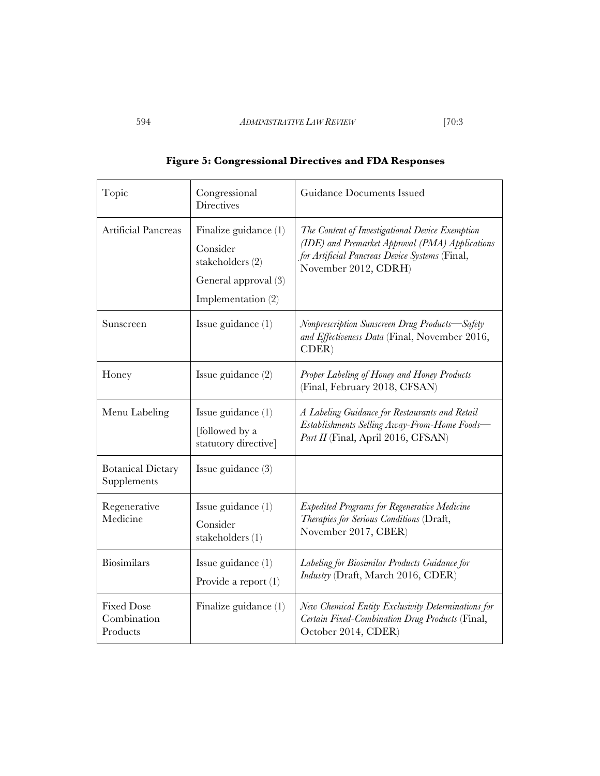| Topic                                        | Congressional<br><b>Directives</b>                                                                      | Guidance Documents Issued                                                                                                                                                    |
|----------------------------------------------|---------------------------------------------------------------------------------------------------------|------------------------------------------------------------------------------------------------------------------------------------------------------------------------------|
| Artificial Pancreas                          | Finalize guidance $(1)$<br>Consider<br>stakeholders (2)<br>General approval (3)<br>Implementation $(2)$ | The Content of Investigational Device Exemption<br>(IDE) and Premarket Approval (PMA) Applications<br>for Artificial Pancreas Device Systems (Final,<br>November 2012, CDRH) |
| Sunscreen                                    | Issue guidance $(1)$                                                                                    | Nonprescription Sunscreen Drug Products—Safety<br>and Effectiveness Data (Final, November 2016,<br>CDER                                                                      |
| Honey                                        | Issue guidance $(2)$                                                                                    | Proper Labeling of Honey and Honey Products<br>(Final, February 2018, CFSAN)                                                                                                 |
| Menu Labeling                                | Issue guidance $(1)$<br>[followed by a<br>statutory directive]                                          | A Labeling Guidance for Restaurants and Retail<br>Establishments Selling Away-From-Home Foods-<br>Part II (Final, April 2016, CFSAN)                                         |
| <b>Botanical Dietary</b><br>Supplements      | Issue guidance $(3)$                                                                                    |                                                                                                                                                                              |
| Regenerative<br>Medicine                     | Issue guidance $(1)$<br>Consider<br>stakeholders (1)                                                    | <b>Expedited Programs for Regenerative Medicine</b><br>Therapies for Serious Conditions (Draft,<br>November 2017, CBER)                                                      |
| Biosimilars                                  | Issue guidance $(1)$<br>Provide a report $(1)$                                                          | Labeling for Biosimilar Products Guidance for<br>Industry (Draft, March 2016, CDER)                                                                                          |
| <b>Fixed Dose</b><br>Combination<br>Products | Finalize guidance $(1)$                                                                                 | New Chemical Entity Exclusivity Determinations for<br>Certain Fixed-Combination Drug Products (Final,<br>October 2014, CDER)                                                 |

|  | <b>Figure 5: Congressional Directives and FDA Responses</b> |  |  |  |
|--|-------------------------------------------------------------|--|--|--|
|  |                                                             |  |  |  |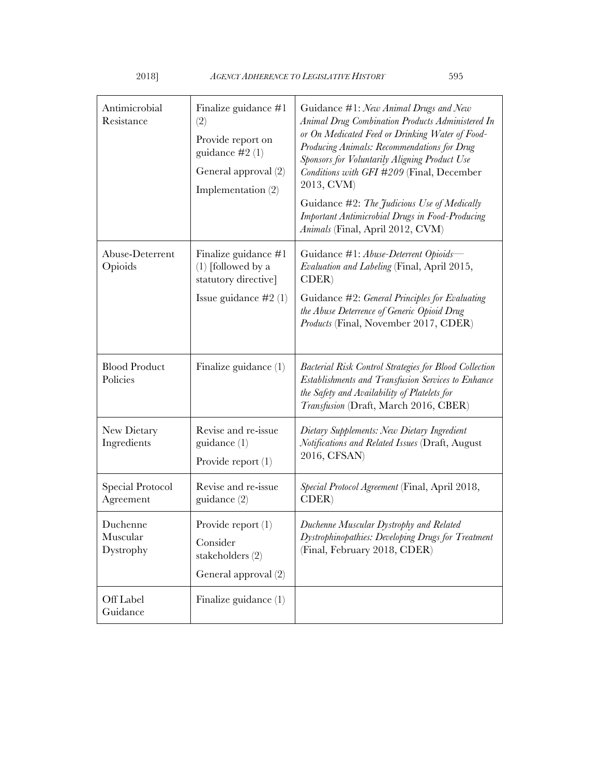| Antimicrobial<br>Resistance       | Finalize guidance #1<br>(2)<br>Provide report on<br>guidance $\#2(1)$<br>General approval (2)<br>Implementation $(2)$ | Guidance #1: New Animal Drugs and New<br>Animal Drug Combination Products Administered In<br>or On Medicated Feed or Drinking Water of Food-<br>Producing Animals: Recommendations for Drug<br>Sponsors for Voluntarily Aligning Product Use<br>Conditions with GFI #209 (Final, December<br>2013, CVM)<br>Guidance #2: The Judicious Use of Medically<br><b>Important Antimicrobial Drugs in Food-Producing</b><br>Animals (Final, April 2012, CVM) |
|-----------------------------------|-----------------------------------------------------------------------------------------------------------------------|------------------------------------------------------------------------------------------------------------------------------------------------------------------------------------------------------------------------------------------------------------------------------------------------------------------------------------------------------------------------------------------------------------------------------------------------------|
| Abuse-Deterrent<br>Opioids        | Finalize guidance #1<br>$(1)$ [followed by a<br>statutory directive]<br>Issue guidance $#2(1)$                        | Guidance #1: Abuse-Deterrent Opioids-<br><i>Evaluation and Labeling</i> (Final, April 2015,<br>CDER<br>Guidance #2: General Principles for Evaluating<br>the Abuse Deterrence of Generic Opioid Drug<br>Products (Final, November 2017, CDER)                                                                                                                                                                                                        |
| <b>Blood Product</b><br>Policies  | Finalize guidance $(1)$                                                                                               | <b>Bacterial Risk Control Strategies for Blood Collection</b><br>Establishments and Transfusion Services to Enhance<br>the Safety and Availability of Platelets for<br>Transfusion (Draft, March 2016, CBER)                                                                                                                                                                                                                                         |
| New Dietary<br>Ingredients        | Revise and re-issue<br>guidance $(1)$<br>Provide report $(1)$                                                         | Dietary Supplements: New Dietary Ingredient<br>Notifications and Related Issues (Draft, August<br>2016, CFSAN)                                                                                                                                                                                                                                                                                                                                       |
| Special Protocol<br>Agreement     | Revise and re-issue<br>guidance $(2)$                                                                                 | Special Protocol Agreement (Final, April 2018,<br>CDER                                                                                                                                                                                                                                                                                                                                                                                               |
| Duchenne<br>Muscular<br>Dystrophy | Provide report $(1)$<br>Consider<br>stakeholders (2)<br>General approval (2)                                          | Duchenne Muscular Dystrophy and Related<br>Dystrophinopathies: Developing Drugs for Treatment<br>(Final, February 2018, CDER)                                                                                                                                                                                                                                                                                                                        |
| Off Label<br>Guidance             | Finalize guidance (1)                                                                                                 |                                                                                                                                                                                                                                                                                                                                                                                                                                                      |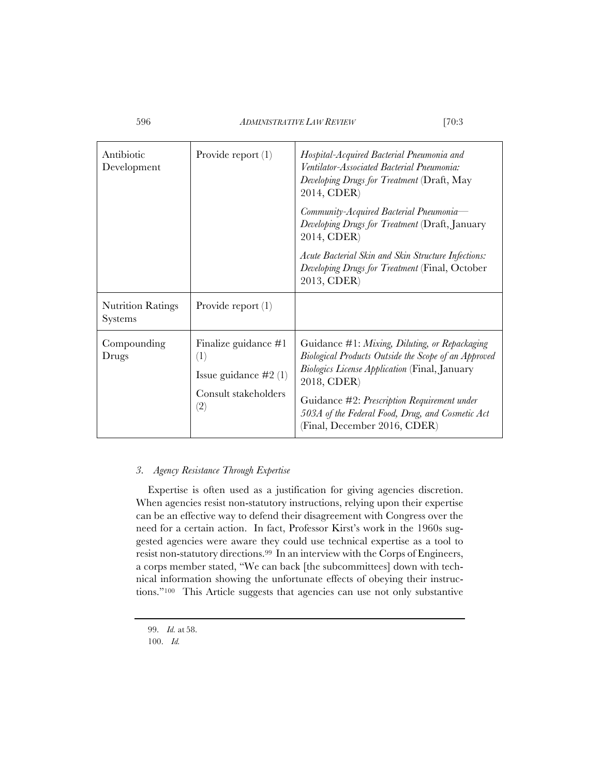| Antibiotic<br>Development                  | Provide report $(1)$                                                                   | Hospital-Acquired Bacterial Pneumonia and<br>Ventilator-Associated Bacterial Pneumonia:<br>Developing Drugs for Treatment (Draft, May<br>2014, CDER)<br>Community-Acquired Bacterial Pneumonia-<br>Developing Drugs for Treatment (Draft, January<br>2014, CDER)<br>Acute Bacterial Skin and Skin Structure Infections:<br>Developing Drugs for Treatment (Final, October<br>2013, CDER) |
|--------------------------------------------|----------------------------------------------------------------------------------------|------------------------------------------------------------------------------------------------------------------------------------------------------------------------------------------------------------------------------------------------------------------------------------------------------------------------------------------------------------------------------------------|
| <b>Nutrition Ratings</b><br><b>Systems</b> | Provide report $(1)$                                                                   |                                                                                                                                                                                                                                                                                                                                                                                          |
| Compounding<br>Drugs                       | Finalize guidance $#1$<br>(1)<br>Issue guidance $#2(1)$<br>Consult stakeholders<br>(2) | Guidance #1: Mixing, Diluting, or Repackaging<br>Biological Products Outside the Scope of an Approved<br><b>Biologics License Application (Final, January</b><br>2018, CDER)<br>Guidance #2: Prescription Requirement under<br>503A of the Federal Food, Drug, and Cosmetic Act<br>(Final, December 2016, CDER)                                                                          |

## *3. Agency Resistance Through Expertise*

Expertise is often used as a justification for giving agencies discretion. When agencies resist non-statutory instructions, relying upon their expertise can be an effective way to defend their disagreement with Congress over the need for a certain action. In fact, Professor Kirst's work in the 1960s suggested agencies were aware they could use technical expertise as a tool to resist non-statutory directions.99 In an interview with the Corps of Engineers, a corps member stated, "We can back [the subcommittees] down with technical information showing the unfortunate effects of obeying their instructions."100 This Article suggests that agencies can use not only substantive

<sup>99.</sup> *Id.* at 58.

<sup>100.</sup> *Id.*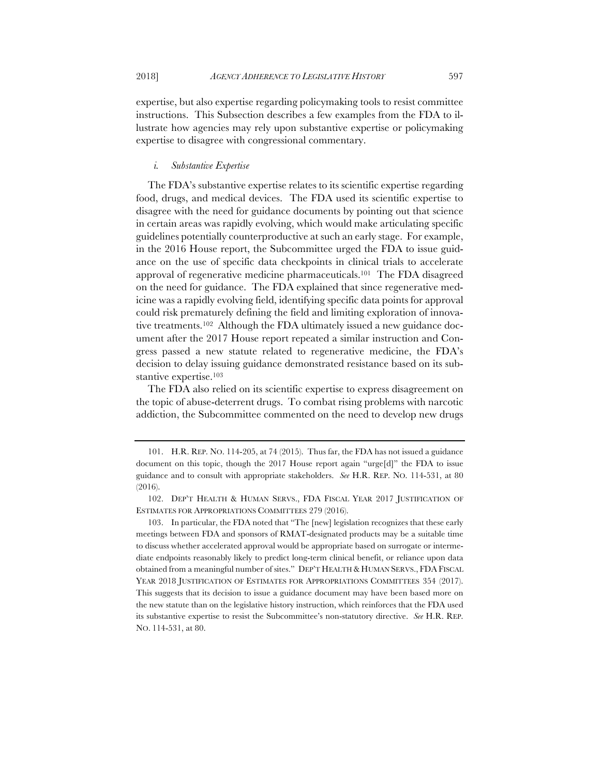expertise, but also expertise regarding policymaking tools to resist committee instructions. This Subsection describes a few examples from the FDA to illustrate how agencies may rely upon substantive expertise or policymaking expertise to disagree with congressional commentary.

## *i. Substantive Expertise*

The FDA's substantive expertise relates to its scientific expertise regarding food, drugs, and medical devices. The FDA used its scientific expertise to disagree with the need for guidance documents by pointing out that science in certain areas was rapidly evolving, which would make articulating specific guidelines potentially counterproductive at such an early stage. For example, in the 2016 House report, the Subcommittee urged the FDA to issue guidance on the use of specific data checkpoints in clinical trials to accelerate approval of regenerative medicine pharmaceuticals.101 The FDA disagreed on the need for guidance. The FDA explained that since regenerative medicine was a rapidly evolving field, identifying specific data points for approval could risk prematurely defining the field and limiting exploration of innovative treatments.102 Although the FDA ultimately issued a new guidance document after the 2017 House report repeated a similar instruction and Congress passed a new statute related to regenerative medicine, the FDA's decision to delay issuing guidance demonstrated resistance based on its substantive expertise.<sup>103</sup>

The FDA also relied on its scientific expertise to express disagreement on the topic of abuse-deterrent drugs. To combat rising problems with narcotic addiction, the Subcommittee commented on the need to develop new drugs

<sup>101.</sup> H.R. REP. NO. 114-205, at 74 (2015). Thus far, the FDA has not issued a guidance document on this topic, though the 2017 House report again "urge[d]" the FDA to issue guidance and to consult with appropriate stakeholders. *See* H.R. REP. NO. 114-531, at 80 (2016).

<sup>102.</sup> DEP'T HEALTH & HUMAN SERVS., FDA FISCAL YEAR 2017 JUSTIFICATION OF ESTIMATES FOR APPROPRIATIONS COMMITTEES 279 (2016).

<sup>103.</sup> In particular, the FDA noted that "The [new] legislation recognizes that these early meetings between FDA and sponsors of RMAT-designated products may be a suitable time to discuss whether accelerated approval would be appropriate based on surrogate or intermediate endpoints reasonably likely to predict long-term clinical benefit, or reliance upon data obtained from a meaningful number of sites." DEP'T HEALTH & HUMAN SERVS., FDA FISCAL YEAR 2018 JUSTIFICATION OF ESTIMATES FOR APPROPRIATIONS COMMITTEES 354 (2017). This suggests that its decision to issue a guidance document may have been based more on the new statute than on the legislative history instruction, which reinforces that the FDA used its substantive expertise to resist the Subcommittee's non-statutory directive. *See* H.R. REP. NO. 114-531, at 80.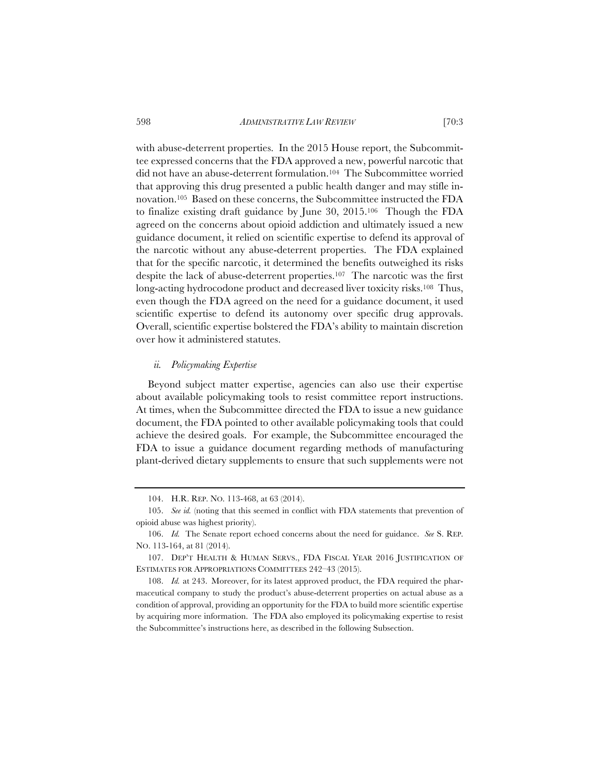with abuse-deterrent properties. In the 2015 House report, the Subcommittee expressed concerns that the FDA approved a new, powerful narcotic that did not have an abuse-deterrent formulation.104 The Subcommittee worried that approving this drug presented a public health danger and may stifle innovation.105 Based on these concerns, the Subcommittee instructed the FDA to finalize existing draft guidance by June 30, 2015.106 Though the FDA agreed on the concerns about opioid addiction and ultimately issued a new guidance document, it relied on scientific expertise to defend its approval of the narcotic without any abuse-deterrent properties. The FDA explained that for the specific narcotic, it determined the benefits outweighed its risks despite the lack of abuse-deterrent properties.107 The narcotic was the first long-acting hydrocodone product and decreased liver toxicity risks.<sup>108</sup> Thus, even though the FDA agreed on the need for a guidance document, it used scientific expertise to defend its autonomy over specific drug approvals. Overall, scientific expertise bolstered the FDA's ability to maintain discretion over how it administered statutes.

## *ii. Policymaking Expertise*

Beyond subject matter expertise, agencies can also use their expertise about available policymaking tools to resist committee report instructions. At times, when the Subcommittee directed the FDA to issue a new guidance document, the FDA pointed to other available policymaking tools that could achieve the desired goals. For example, the Subcommittee encouraged the FDA to issue a guidance document regarding methods of manufacturing plant-derived dietary supplements to ensure that such supplements were not

<sup>104.</sup> H.R. REP. NO. 113-468, at 63 (2014).

<sup>105.</sup> *See id.* (noting that this seemed in conflict with FDA statements that prevention of opioid abuse was highest priority).

<sup>106.</sup> *Id.* The Senate report echoed concerns about the need for guidance. *See* S. REP. NO. 113-164, at 81 (2014).

<sup>107.</sup> DEP'T HEALTH & HUMAN SERVS., FDA FISCAL YEAR 2016 JUSTIFICATION OF ESTIMATES FOR APPROPRIATIONS COMMITTEES 242–43 (2015).

<sup>108.</sup> *Id.* at 243. Moreover, for its latest approved product, the FDA required the pharmaceutical company to study the product's abuse-deterrent properties on actual abuse as a condition of approval, providing an opportunity for the FDA to build more scientific expertise by acquiring more information. The FDA also employed its policymaking expertise to resist the Subcommittee's instructions here, as described in the following Subsection.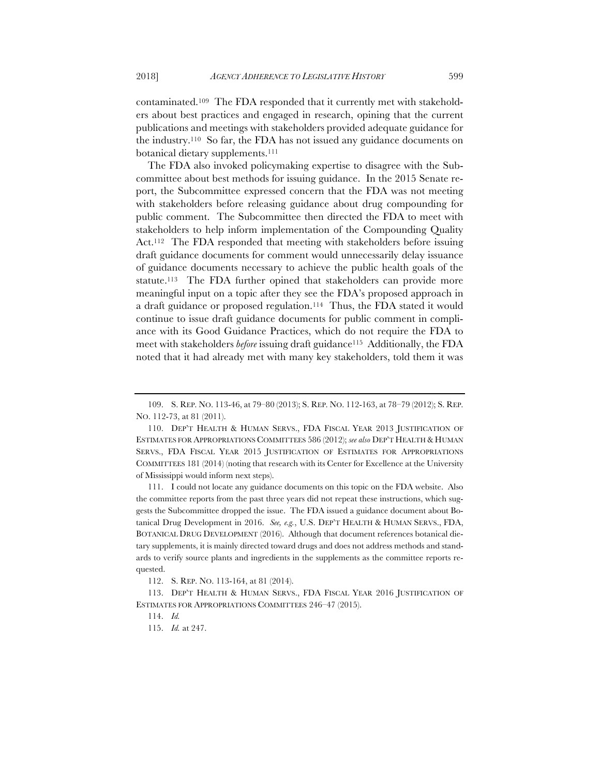contaminated.109 The FDA responded that it currently met with stakeholders about best practices and engaged in research, opining that the current publications and meetings with stakeholders provided adequate guidance for the industry.110 So far, the FDA has not issued any guidance documents on botanical dietary supplements.<sup>111</sup>

The FDA also invoked policymaking expertise to disagree with the Subcommittee about best methods for issuing guidance. In the 2015 Senate report, the Subcommittee expressed concern that the FDA was not meeting with stakeholders before releasing guidance about drug compounding for public comment. The Subcommittee then directed the FDA to meet with stakeholders to help inform implementation of the Compounding Quality Act.112 The FDA responded that meeting with stakeholders before issuing draft guidance documents for comment would unnecessarily delay issuance of guidance documents necessary to achieve the public health goals of the statute.<sup>113</sup> The FDA further opined that stakeholders can provide more meaningful input on a topic after they see the FDA's proposed approach in a draft guidance or proposed regulation.114 Thus, the FDA stated it would continue to issue draft guidance documents for public comment in compliance with its Good Guidance Practices, which do not require the FDA to meet with stakeholders *before* issuing draft guidance115 Additionally, the FDA noted that it had already met with many key stakeholders, told them it was

111. I could not locate any guidance documents on this topic on the FDA website. Also the committee reports from the past three years did not repeat these instructions, which suggests the Subcommittee dropped the issue. The FDA issued a guidance document about Botanical Drug Development in 2016. *See, e.g.*, U.S. DEP'T HEALTH & HUMAN SERVS., FDA, BOTANICAL DRUG DEVELOPMENT (2016). Although that document references botanical dietary supplements, it is mainly directed toward drugs and does not address methods and standards to verify source plants and ingredients in the supplements as the committee reports requested.

<sup>109.</sup> S. REP. NO. 113-46, at 79–80 (2013); S. REP. NO. 112-163, at 78–79 (2012); S. REP. NO. 112-73, at 81 (2011).

<sup>110.</sup> DEP'T HEALTH & HUMAN SERVS., FDA FISCAL YEAR 2013 JUSTIFICATION OF ESTIMATES FOR APPROPRIATIONS COMMITTEES 586 (2012); *see also* DEP'T HEALTH & HUMAN SERVS., FDA FISCAL YEAR 2015 JUSTIFICATION OF ESTIMATES FOR APPROPRIATIONS COMMITTEES 181 (2014) (noting that research with its Center for Excellence at the University of Mississippi would inform next steps).

<sup>112.</sup> S. REP. NO. 113-164, at 81 (2014).

<sup>113.</sup> DEP'T HEALTH & HUMAN SERVS., FDA FISCAL YEAR 2016 JUSTIFICATION OF ESTIMATES FOR APPROPRIATIONS COMMITTEES 246–47 (2015).

<sup>114.</sup> *Id.*

<sup>115.</sup> *Id.* at 247.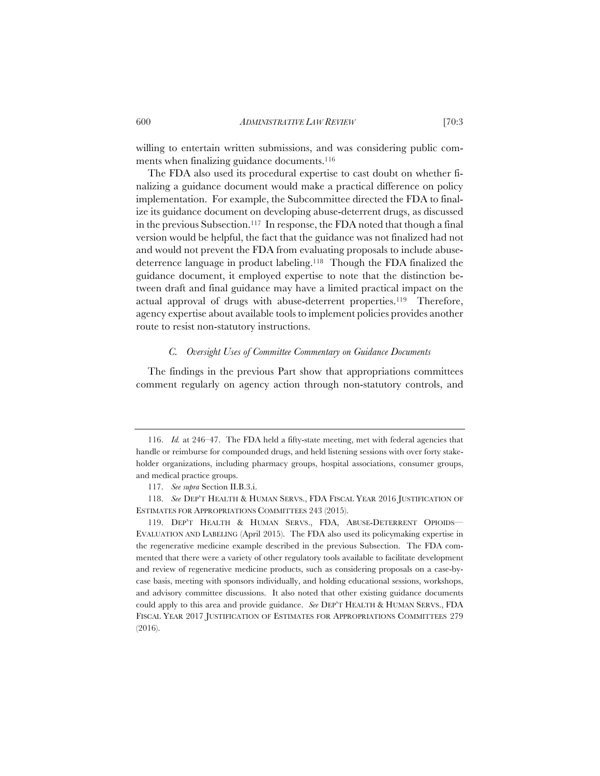willing to entertain written submissions, and was considering public comments when finalizing guidance documents.<sup>116</sup>

The FDA also used its procedural expertise to cast doubt on whether finalizing a guidance document would make a practical difference on policy implementation. For example, the Subcommittee directed the FDA to finalize its guidance document on developing abuse-deterrent drugs, as discussed in the previous Subsection.117 In response, the FDA noted that though a final version would be helpful, the fact that the guidance was not finalized had not and would not prevent the FDA from evaluating proposals to include abusedeterrence language in product labeling.118 Though the FDA finalized the guidance document, it employed expertise to note that the distinction between draft and final guidance may have a limited practical impact on the actual approval of drugs with abuse-deterrent properties.119 Therefore, agency expertise about available tools to implement policies provides another route to resist non-statutory instructions.

# *C. Oversight Uses of Committee Commentary on Guidance Documents*

The findings in the previous Part show that appropriations committees comment regularly on agency action through non-statutory controls, and

<sup>116.</sup> *Id.* at 246–47. The FDA held a fifty-state meeting, met with federal agencies that handle or reimburse for compounded drugs, and held listening sessions with over forty stakeholder organizations, including pharmacy groups, hospital associations, consumer groups, and medical practice groups.

<sup>117.</sup> *See supra* Section II.B.3.i.

<sup>118.</sup> *See* DEP'T HEALTH & HUMAN SERVS., FDA FISCAL YEAR 2016 JUSTIFICATION OF ESTIMATES FOR APPROPRIATIONS COMMITTEES 243 (2015).

<sup>119.</sup> DEP'T HEALTH & HUMAN SERVS., FDA, ABUSE-DETERRENT OPIOIDS— EVALUATION AND LABELING (April 2015). The FDA also used its policymaking expertise in the regenerative medicine example described in the previous Subsection. The FDA commented that there were a variety of other regulatory tools available to facilitate development and review of regenerative medicine products, such as considering proposals on a case-bycase basis, meeting with sponsors individually, and holding educational sessions, workshops, and advisory committee discussions. It also noted that other existing guidance documents could apply to this area and provide guidance. *See* DEP'T HEALTH & HUMAN SERVS., FDA FISCAL YEAR 2017 JUSTIFICATION OF ESTIMATES FOR APPROPRIATIONS COMMITTEES 279 (2016).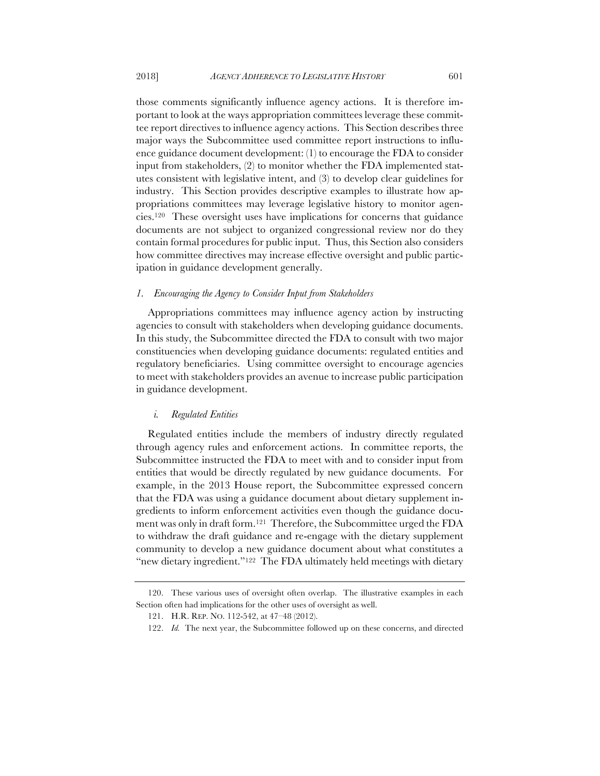those comments significantly influence agency actions. It is therefore important to look at the ways appropriation committees leverage these committee report directives to influence agency actions. This Section describes three major ways the Subcommittee used committee report instructions to influence guidance document development: (1) to encourage the FDA to consider input from stakeholders, (2) to monitor whether the FDA implemented statutes consistent with legislative intent, and (3) to develop clear guidelines for industry. This Section provides descriptive examples to illustrate how appropriations committees may leverage legislative history to monitor agencies.120 These oversight uses have implications for concerns that guidance documents are not subject to organized congressional review nor do they contain formal procedures for public input. Thus, this Section also considers how committee directives may increase effective oversight and public participation in guidance development generally.

#### *1. Encouraging the Agency to Consider Input from Stakeholders*

Appropriations committees may influence agency action by instructing agencies to consult with stakeholders when developing guidance documents. In this study, the Subcommittee directed the FDA to consult with two major constituencies when developing guidance documents: regulated entities and regulatory beneficiaries. Using committee oversight to encourage agencies to meet with stakeholders provides an avenue to increase public participation in guidance development.

## *i. Regulated Entities*

Regulated entities include the members of industry directly regulated through agency rules and enforcement actions. In committee reports, the Subcommittee instructed the FDA to meet with and to consider input from entities that would be directly regulated by new guidance documents. For example, in the 2013 House report, the Subcommittee expressed concern that the FDA was using a guidance document about dietary supplement ingredients to inform enforcement activities even though the guidance document was only in draft form.121 Therefore, the Subcommittee urged the FDA to withdraw the draft guidance and re-engage with the dietary supplement community to develop a new guidance document about what constitutes a "new dietary ingredient."<sup>122</sup> The FDA ultimately held meetings with dietary

<sup>120.</sup> These various uses of oversight often overlap. The illustrative examples in each Section often had implications for the other uses of oversight as well.

<sup>121.</sup> H.R. REP. NO. 112-542, at 47–48 (2012).

<sup>122.</sup> *Id.* The next year, the Subcommittee followed up on these concerns, and directed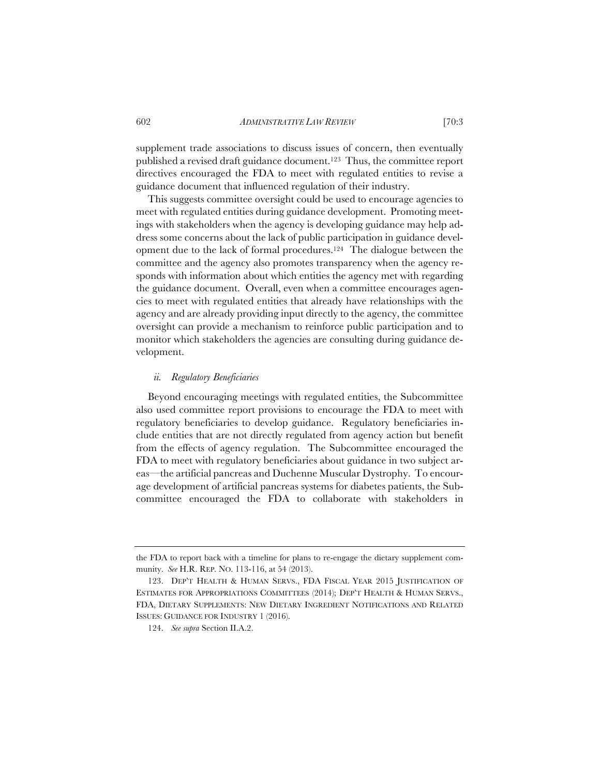supplement trade associations to discuss issues of concern, then eventually published a revised draft guidance document.123 Thus, the committee report directives encouraged the FDA to meet with regulated entities to revise a guidance document that influenced regulation of their industry.

This suggests committee oversight could be used to encourage agencies to meet with regulated entities during guidance development. Promoting meetings with stakeholders when the agency is developing guidance may help address some concerns about the lack of public participation in guidance development due to the lack of formal procedures.124 The dialogue between the committee and the agency also promotes transparency when the agency responds with information about which entities the agency met with regarding the guidance document. Overall, even when a committee encourages agencies to meet with regulated entities that already have relationships with the agency and are already providing input directly to the agency, the committee oversight can provide a mechanism to reinforce public participation and to monitor which stakeholders the agencies are consulting during guidance development.

## *ii. Regulatory Beneficiaries*

Beyond encouraging meetings with regulated entities, the Subcommittee also used committee report provisions to encourage the FDA to meet with regulatory beneficiaries to develop guidance. Regulatory beneficiaries include entities that are not directly regulated from agency action but benefit from the effects of agency regulation. The Subcommittee encouraged the FDA to meet with regulatory beneficiaries about guidance in two subject areas—the artificial pancreas and Duchenne Muscular Dystrophy. To encourage development of artificial pancreas systems for diabetes patients, the Subcommittee encouraged the FDA to collaborate with stakeholders in

the FDA to report back with a timeline for plans to re-engage the dietary supplement community. *See* H.R. REP. NO. 113-116, at 54 (2013).

<sup>123.</sup> DEP'T HEALTH & HUMAN SERVS., FDA FISCAL YEAR 2015 JUSTIFICATION OF ESTIMATES FOR APPROPRIATIONS COMMITTEES (2014); DEP'T HEALTH & HUMAN SERVS., FDA, DIETARY SUPPLEMENTS: NEW DIETARY INGREDIENT NOTIFICATIONS AND RELATED ISSUES: GUIDANCE FOR INDUSTRY 1 (2016).

<sup>124.</sup> *See supra* Section II.A.2.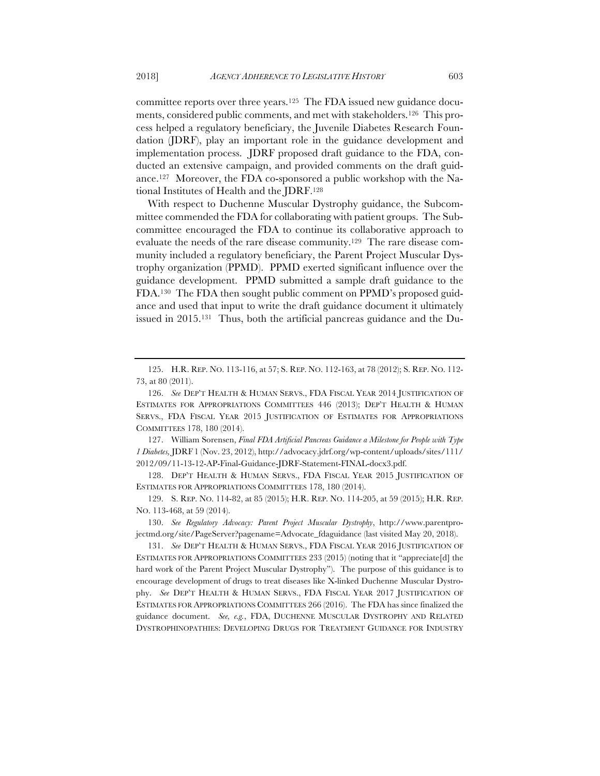committee reports over three years.125 The FDA issued new guidance documents, considered public comments, and met with stakeholders.126 This process helped a regulatory beneficiary, the Juvenile Diabetes Research Foundation (JDRF), play an important role in the guidance development and implementation process. JDRF proposed draft guidance to the FDA, conducted an extensive campaign, and provided comments on the draft guidance.127 Moreover, the FDA co-sponsored a public workshop with the National Institutes of Health and the JDRF.128

With respect to Duchenne Muscular Dystrophy guidance, the Subcommittee commended the FDA for collaborating with patient groups. The Subcommittee encouraged the FDA to continue its collaborative approach to evaluate the needs of the rare disease community.129 The rare disease community included a regulatory beneficiary, the Parent Project Muscular Dystrophy organization (PPMD). PPMD exerted significant influence over the guidance development. PPMD submitted a sample draft guidance to the FDA.130 The FDA then sought public comment on PPMD's proposed guidance and used that input to write the draft guidance document it ultimately issued in 2015.131 Thus, both the artificial pancreas guidance and the Du-

127. William Sorensen, *Final FDA Artificial Pancreas Guidance a Milestone for People with Type 1 Diabetes,* JDRF 1 (Nov. 23, 2012), http://advocacy.jdrf.org/wp-content/uploads/sites/111/ 2012/09/11-13-12-AP-Final-Guidance-JDRF-Statement-FINAL-docx3.pdf.

128. DEP'T HEALTH & HUMAN SERVS., FDA FISCAL YEAR 2015 JUSTIFICATION OF ESTIMATES FOR APPROPRIATIONS COMMITTEES 178, 180 (2014).

129. S. REP. NO. 114-82, at 85 (2015); H.R. REP. NO. 114-205, at 59 (2015); H.R. REP. NO. 113-468, at 59 (2014).

<sup>125.</sup> H.R. REP. NO. 113-116, at 57; S. REP. NO. 112-163, at 78 (2012); S. REP. NO. 112- 73, at 80 (2011).

<sup>126.</sup> *See* DEP'T HEALTH & HUMAN SERVS., FDA FISCAL YEAR 2014 JUSTIFICATION OF ESTIMATES FOR APPROPRIATIONS COMMITTEES 446 (2013); DEP'T HEALTH & HUMAN SERVS., FDA FISCAL YEAR 2015 JUSTIFICATION OF ESTIMATES FOR APPROPRIATIONS COMMITTEES 178, 180 (2014).

<sup>130.</sup> *See Regulatory Advocacy: Parent Project Muscular Dystrophy*, http://www.parentprojectmd.org/site/PageServer?pagename=Advocate\_fdaguidance (last visited May 20, 2018).

<sup>131.</sup> *See* DEP'T HEALTH & HUMAN SERVS., FDA FISCAL YEAR 2016 JUSTIFICATION OF ESTIMATES FOR APPROPRIATIONS COMMITTEES 233 (2015) (noting that it "appreciate[d] the hard work of the Parent Project Muscular Dystrophy"). The purpose of this guidance is to encourage development of drugs to treat diseases like X-linked Duchenne Muscular Dystrophy. *See* DEP'T HEALTH & HUMAN SERVS., FDA FISCAL YEAR 2017 JUSTIFICATION OF ESTIMATES FOR APPROPRIATIONS COMMITTEES 266 (2016). The FDA has since finalized the guidance document. *See, e.g.*, FDA, DUCHENNE MUSCULAR DYSTROPHY AND RELATED DYSTROPHINOPATHIES: DEVELOPING DRUGS FOR TREATMENT GUIDANCE FOR INDUSTRY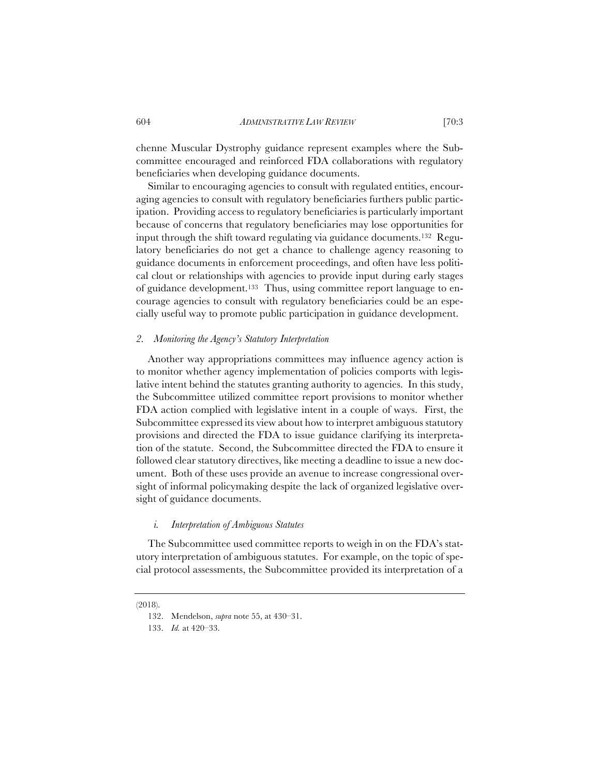chenne Muscular Dystrophy guidance represent examples where the Subcommittee encouraged and reinforced FDA collaborations with regulatory beneficiaries when developing guidance documents.

Similar to encouraging agencies to consult with regulated entities, encouraging agencies to consult with regulatory beneficiaries furthers public participation. Providing access to regulatory beneficiaries is particularly important because of concerns that regulatory beneficiaries may lose opportunities for input through the shift toward regulating via guidance documents.132 Regulatory beneficiaries do not get a chance to challenge agency reasoning to guidance documents in enforcement proceedings, and often have less political clout or relationships with agencies to provide input during early stages of guidance development.133 Thus, using committee report language to encourage agencies to consult with regulatory beneficiaries could be an especially useful way to promote public participation in guidance development.

# *2. Monitoring the Agency's Statutory Interpretation*

Another way appropriations committees may influence agency action is to monitor whether agency implementation of policies comports with legislative intent behind the statutes granting authority to agencies. In this study, the Subcommittee utilized committee report provisions to monitor whether FDA action complied with legislative intent in a couple of ways. First, the Subcommittee expressed its view about how to interpret ambiguous statutory provisions and directed the FDA to issue guidance clarifying its interpretation of the statute. Second, the Subcommittee directed the FDA to ensure it followed clear statutory directives, like meeting a deadline to issue a new document. Both of these uses provide an avenue to increase congressional oversight of informal policymaking despite the lack of organized legislative oversight of guidance documents.

#### *i. Interpretation of Ambiguous Statutes*

The Subcommittee used committee reports to weigh in on the FDA's statutory interpretation of ambiguous statutes. For example, on the topic of special protocol assessments, the Subcommittee provided its interpretation of a

<sup>(2018).</sup> 

<sup>132.</sup> Mendelson, *supra* note 55, at 430–31.

<sup>133.</sup> *Id.* at 420–33.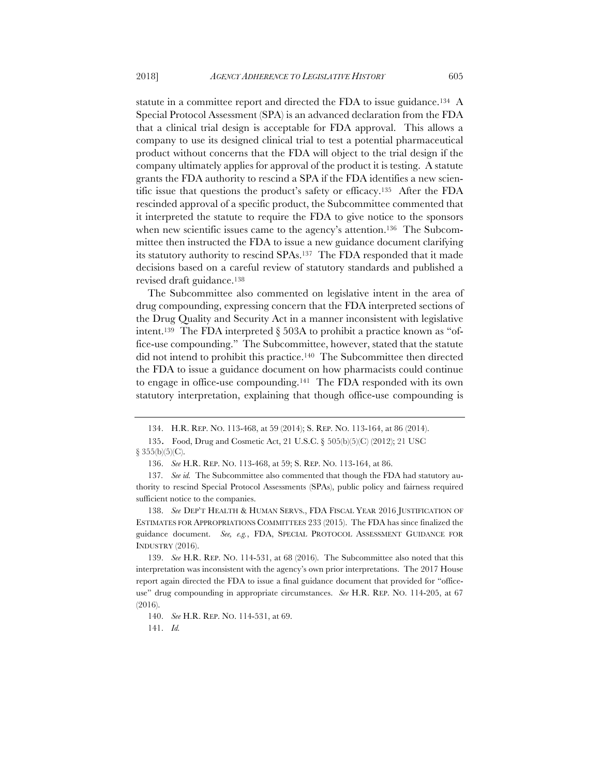statute in a committee report and directed the FDA to issue guidance.<sup>134</sup> A Special Protocol Assessment (SPA) is an advanced declaration from the FDA that a clinical trial design is acceptable for FDA approval. This allows a company to use its designed clinical trial to test a potential pharmaceutical product without concerns that the FDA will object to the trial design if the company ultimately applies for approval of the product it is testing. A statute grants the FDA authority to rescind a SPA if the FDA identifies a new scientific issue that questions the product's safety or efficacy.135 After the FDA rescinded approval of a specific product, the Subcommittee commented that it interpreted the statute to require the FDA to give notice to the sponsors when new scientific issues came to the agency's attention.<sup>136</sup> The Subcommittee then instructed the FDA to issue a new guidance document clarifying its statutory authority to rescind SPAs.137 The FDA responded that it made decisions based on a careful review of statutory standards and published a revised draft guidance.138

The Subcommittee also commented on legislative intent in the area of drug compounding, expressing concern that the FDA interpreted sections of the Drug Quality and Security Act in a manner inconsistent with legislative intent.<sup>139</sup> The FDA interpreted  $\S$  503A to prohibit a practice known as "office-use compounding." The Subcommittee, however, stated that the statute did not intend to prohibit this practice.140 The Subcommittee then directed the FDA to issue a guidance document on how pharmacists could continue to engage in office-use compounding.141 The FDA responded with its own statutory interpretation, explaining that though office-use compounding is

 $§ 355(b)(5)(C).$ 

139. *See* H.R. REP. NO. 114-531, at 68 (2016). The Subcommittee also noted that this interpretation was inconsistent with the agency's own prior interpretations. The 2017 House report again directed the FDA to issue a final guidance document that provided for "officeuse" drug compounding in appropriate circumstances. *See* H.R. REP. NO. 114-205, at 67 (2016).

140. *See* H.R. REP. NO. 114-531, at 69.

141. *Id.*

<sup>134.</sup> H.R. REP. NO. 113-468, at 59 (2014); S. REP. NO. 113-164, at 86 (2014).

<sup>135.</sup> Food, Drug and Cosmetic Act, 21 U.S.C. § 505(b)(5)(C) (2012); 21 USC

<sup>136.</sup> *See* H.R. REP. NO. 113-468, at 59; S. REP. NO. 113-164, at 86.

<sup>137</sup>*. See id.* The Subcommittee also commented that though the FDA had statutory authority to rescind Special Protocol Assessments (SPAs), public policy and fairness required sufficient notice to the companies.

<sup>138.</sup> *See* DEP'T HEALTH & HUMAN SERVS., FDA FISCAL YEAR 2016 JUSTIFICATION OF ESTIMATES FOR APPROPRIATIONS COMMITTEES 233 (2015). The FDA has since finalized the guidance document. *See, e.g.*, FDA, SPECIAL PROTOCOL ASSESSMENT GUIDANCE FOR INDUSTRY (2016).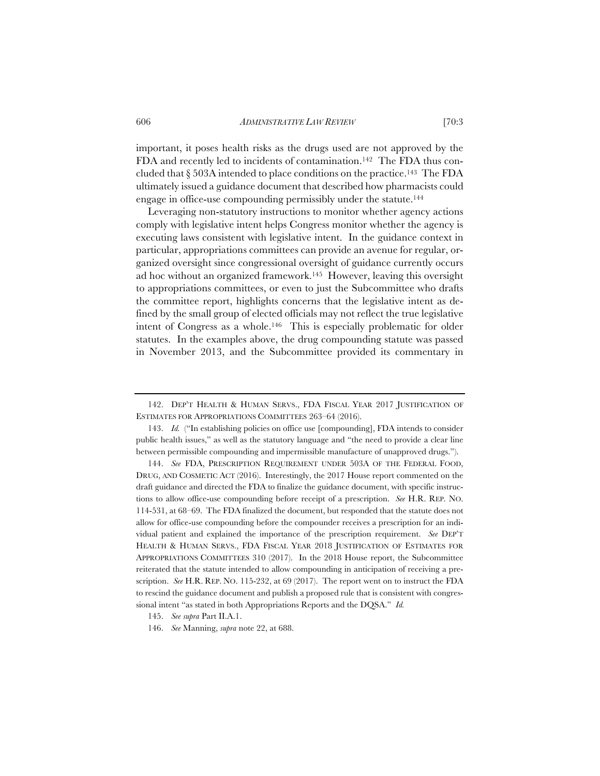important, it poses health risks as the drugs used are not approved by the FDA and recently led to incidents of contamination.<sup>142</sup> The FDA thus concluded that  $\S 503A$  intended to place conditions on the practice.<sup>143</sup> The FDA ultimately issued a guidance document that described how pharmacists could engage in office-use compounding permissibly under the statute.144

Leveraging non-statutory instructions to monitor whether agency actions comply with legislative intent helps Congress monitor whether the agency is executing laws consistent with legislative intent. In the guidance context in particular, appropriations committees can provide an avenue for regular, organized oversight since congressional oversight of guidance currently occurs ad hoc without an organized framework.145 However, leaving this oversight to appropriations committees, or even to just the Subcommittee who drafts the committee report, highlights concerns that the legislative intent as defined by the small group of elected officials may not reflect the true legislative intent of Congress as a whole.146 This is especially problematic for older statutes. In the examples above, the drug compounding statute was passed in November 2013, and the Subcommittee provided its commentary in

<sup>142.</sup> DEP'T HEALTH & HUMAN SERVS., FDA FISCAL YEAR 2017 JUSTIFICATION OF ESTIMATES FOR APPROPRIATIONS COMMITTEES 263–64 (2016).

<sup>143.</sup> *Id.* ("In establishing policies on office use [compounding], FDA intends to consider public health issues," as well as the statutory language and "the need to provide a clear line between permissible compounding and impermissible manufacture of unapproved drugs.").

<sup>144.</sup> *See* FDA, PRESCRIPTION REQUIREMENT UNDER 503A OF THE FEDERAL FOOD, DRUG, AND COSMETIC ACT (2016). Interestingly, the 2017 House report commented on the draft guidance and directed the FDA to finalize the guidance document, with specific instructions to allow office-use compounding before receipt of a prescription. *See* H.R. REP. NO. 114-531, at 68–69. The FDA finalized the document, but responded that the statute does not allow for office-use compounding before the compounder receives a prescription for an individual patient and explained the importance of the prescription requirement. *See* DEP'T HEALTH & HUMAN SERVS., FDA FISCAL YEAR 2018 JUSTIFICATION OF ESTIMATES FOR APPROPRIATIONS COMMITTEES 310 (2017). In the 2018 House report, the Subcommittee reiterated that the statute intended to allow compounding in anticipation of receiving a prescription. *See* H.R. REP. NO. 115-232, at 69 (2017). The report went on to instruct the FDA to rescind the guidance document and publish a proposed rule that is consistent with congressional intent "as stated in both Appropriations Reports and the DQSA." *Id.* 

<sup>145.</sup> *See supra* Part II.A.1.

<sup>146.</sup> *See* Manning, *supra* note 22, at 688.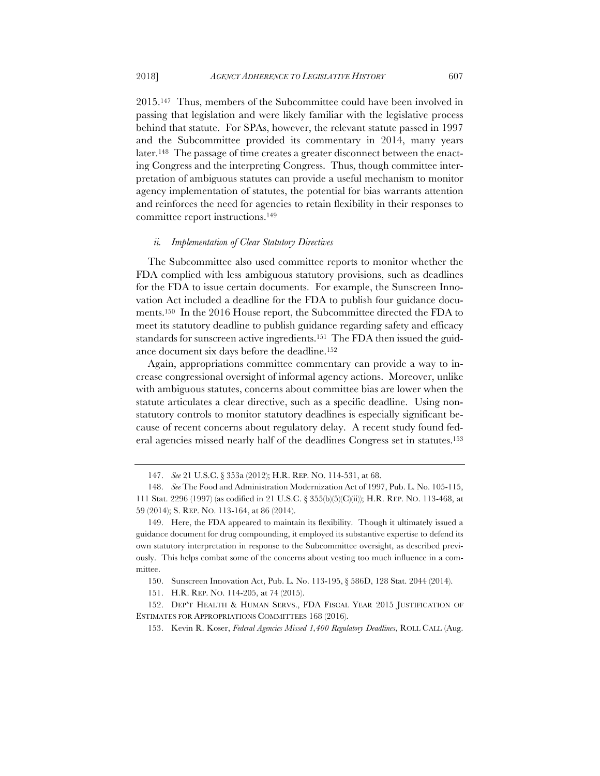2015.147 Thus, members of the Subcommittee could have been involved in passing that legislation and were likely familiar with the legislative process behind that statute. For SPAs, however, the relevant statute passed in 1997 and the Subcommittee provided its commentary in 2014, many years later.148 The passage of time creates a greater disconnect between the enacting Congress and the interpreting Congress. Thus, though committee interpretation of ambiguous statutes can provide a useful mechanism to monitor agency implementation of statutes, the potential for bias warrants attention and reinforces the need for agencies to retain flexibility in their responses to committee report instructions.149

#### *ii. Implementation of Clear Statutory Directives*

The Subcommittee also used committee reports to monitor whether the FDA complied with less ambiguous statutory provisions, such as deadlines for the FDA to issue certain documents. For example, the Sunscreen Innovation Act included a deadline for the FDA to publish four guidance documents.150 In the 2016 House report, the Subcommittee directed the FDA to meet its statutory deadline to publish guidance regarding safety and efficacy standards for sunscreen active ingredients.151 The FDA then issued the guidance document six days before the deadline.152

Again, appropriations committee commentary can provide a way to increase congressional oversight of informal agency actions. Moreover, unlike with ambiguous statutes, concerns about committee bias are lower when the statute articulates a clear directive, such as a specific deadline. Using nonstatutory controls to monitor statutory deadlines is especially significant because of recent concerns about regulatory delay. A recent study found federal agencies missed nearly half of the deadlines Congress set in statutes.153

150. Sunscreen Innovation Act, Pub. L. No. 113-195, § 586D, 128 Stat. 2044 (2014).

<sup>147.</sup> *See* 21 U.S.C. § 353a (2012); H.R. REP. NO. 114-531, at 68.

<sup>148.</sup> *See* The Food and Administration Modernization Act of 1997, Pub. L. No. 105-115, 111 Stat. 2296 (1997) (as codified in 21 U.S.C. § 355(b)(5)(C)(ii)); H.R. REP. NO. 113-468, at 59 (2014); S. REP. NO. 113-164, at 86 (2014).

<sup>149.</sup> Here, the FDA appeared to maintain its flexibility. Though it ultimately issued a guidance document for drug compounding, it employed its substantive expertise to defend its own statutory interpretation in response to the Subcommittee oversight, as described previously. This helps combat some of the concerns about vesting too much influence in a committee.

<sup>151.</sup> H.R. REP. NO. 114-205, at 74 (2015).

<sup>152.</sup> DEP'T HEALTH & HUMAN SERVS., FDA FISCAL YEAR 2015 JUSTIFICATION OF ESTIMATES FOR APPROPRIATIONS COMMITTEES 168 (2016).

<sup>153.</sup> Kevin R. Koser, *Federal Agencies Missed 1,400 Regulatory Deadlines*, ROLL CALL (Aug.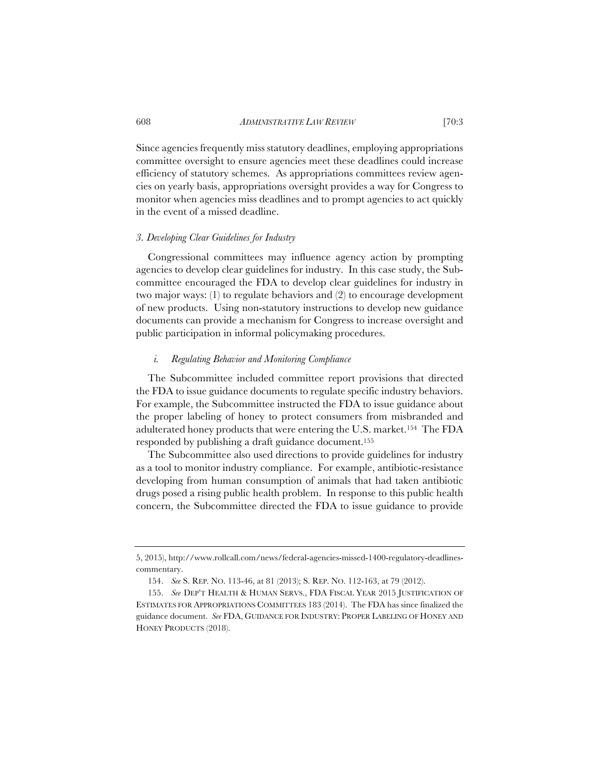Since agencies frequently miss statutory deadlines, employing appropriations committee oversight to ensure agencies meet these deadlines could increase efficiency of statutory schemes. As appropriations committees review agencies on yearly basis, appropriations oversight provides a way for Congress to monitor when agencies miss deadlines and to prompt agencies to act quickly in the event of a missed deadline.

## *3. Developing Clear Guidelines for Industry*

Congressional committees may influence agency action by prompting agencies to develop clear guidelines for industry. In this case study, the Subcommittee encouraged the FDA to develop clear guidelines for industry in two major ways: (1) to regulate behaviors and (2) to encourage development of new products. Using non-statutory instructions to develop new guidance documents can provide a mechanism for Congress to increase oversight and public participation in informal policymaking procedures.

### *i. Regulating Behavior and Monitoring Compliance*

The Subcommittee included committee report provisions that directed the FDA to issue guidance documents to regulate specific industry behaviors. For example, the Subcommittee instructed the FDA to issue guidance about the proper labeling of honey to protect consumers from misbranded and adulterated honey products that were entering the U.S. market.154 The FDA responded by publishing a draft guidance document.155

The Subcommittee also used directions to provide guidelines for industry as a tool to monitor industry compliance. For example, antibiotic-resistance developing from human consumption of animals that had taken antibiotic drugs posed a rising public health problem. In response to this public health concern, the Subcommittee directed the FDA to issue guidance to provide

<sup>5, 2015),</sup> http://www.rollcall.com/news/federal-agencies-missed-1400-regulatory-deadlinescommentary.

<sup>154.</sup> *See* S. REP. NO. 113-46, at 81 (2013); S. REP. NO. 112-163, at 79 (2012).

<sup>155.</sup> *See* DEP'T HEALTH & HUMAN SERVS., FDA FISCAL YEAR 2015 JUSTIFICATION OF ESTIMATES FOR APPROPRIATIONS COMMITTEES 183 (2014). The FDA has since finalized the guidance document. *See* FDA, GUIDANCE FOR INDUSTRY: PROPER LABELING OF HONEY AND HONEY PRODUCTS (2018).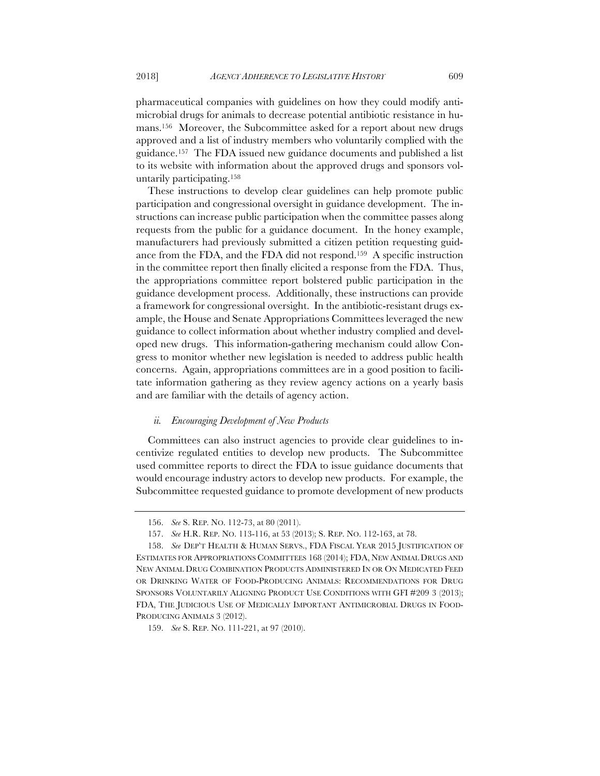pharmaceutical companies with guidelines on how they could modify antimicrobial drugs for animals to decrease potential antibiotic resistance in humans.156 Moreover, the Subcommittee asked for a report about new drugs approved and a list of industry members who voluntarily complied with the guidance.157 The FDA issued new guidance documents and published a list to its website with information about the approved drugs and sponsors voluntarily participating.158

These instructions to develop clear guidelines can help promote public participation and congressional oversight in guidance development. The instructions can increase public participation when the committee passes along requests from the public for a guidance document. In the honey example, manufacturers had previously submitted a citizen petition requesting guidance from the FDA, and the FDA did not respond.159 A specific instruction in the committee report then finally elicited a response from the FDA. Thus, the appropriations committee report bolstered public participation in the guidance development process. Additionally, these instructions can provide a framework for congressional oversight. In the antibiotic-resistant drugs example, the House and Senate Appropriations Committees leveraged the new guidance to collect information about whether industry complied and developed new drugs. This information-gathering mechanism could allow Congress to monitor whether new legislation is needed to address public health concerns. Again, appropriations committees are in a good position to facilitate information gathering as they review agency actions on a yearly basis and are familiar with the details of agency action.

## *ii. Encouraging Development of New Products*

Committees can also instruct agencies to provide clear guidelines to incentivize regulated entities to develop new products. The Subcommittee used committee reports to direct the FDA to issue guidance documents that would encourage industry actors to develop new products. For example, the Subcommittee requested guidance to promote development of new products

<sup>156.</sup> *See* S. REP. NO. 112-73, at 80 (2011).

<sup>157.</sup> *See* H.R. REP. NO. 113-116, at 53 (2013); S. REP. NO. 112-163, at 78.

<sup>158.</sup> *See* DEP'T HEALTH & HUMAN SERVS., FDA FISCAL YEAR 2015 JUSTIFICATION OF ESTIMATES FOR APPROPRIATIONS COMMITTEES 168 (2014); FDA, NEW ANIMAL DRUGS AND NEW ANIMAL DRUG COMBINATION PRODUCTS ADMINISTERED IN OR ON MEDICATED FEED OR DRINKING WATER OF FOOD-PRODUCING ANIMALS: RECOMMENDATIONS FOR DRUG SPONSORS VOLUNTARILY ALIGNING PRODUCT USE CONDITIONS WITH GFI #209 3 (2013); FDA, THE JUDICIOUS USE OF MEDICALLY IMPORTANT ANTIMICROBIAL DRUGS IN FOOD-PRODUCING ANIMALS 3 (2012).

<sup>159.</sup> *See* S. REP. NO. 111-221, at 97 (2010).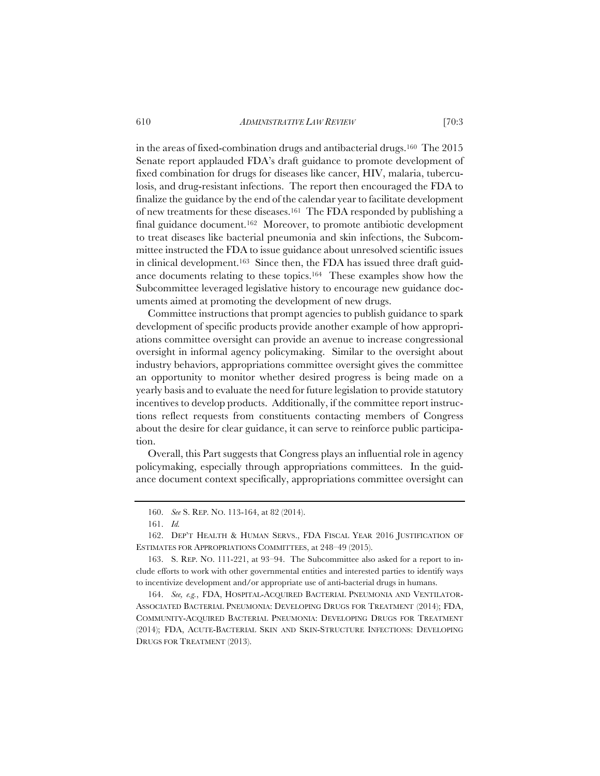in the areas of fixed-combination drugs and antibacterial drugs.160 The 2015 Senate report applauded FDA's draft guidance to promote development of fixed combination for drugs for diseases like cancer, HIV, malaria, tuberculosis, and drug-resistant infections. The report then encouraged the FDA to finalize the guidance by the end of the calendar year to facilitate development of new treatments for these diseases.161 The FDA responded by publishing a final guidance document.<sup>162</sup> Moreover, to promote antibiotic development to treat diseases like bacterial pneumonia and skin infections, the Subcommittee instructed the FDA to issue guidance about unresolved scientific issues in clinical development.163 Since then, the FDA has issued three draft guidance documents relating to these topics.164 These examples show how the Subcommittee leveraged legislative history to encourage new guidance documents aimed at promoting the development of new drugs.

Committee instructions that prompt agencies to publish guidance to spark development of specific products provide another example of how appropriations committee oversight can provide an avenue to increase congressional oversight in informal agency policymaking. Similar to the oversight about industry behaviors, appropriations committee oversight gives the committee an opportunity to monitor whether desired progress is being made on a yearly basis and to evaluate the need for future legislation to provide statutory incentives to develop products. Additionally, if the committee report instructions reflect requests from constituents contacting members of Congress about the desire for clear guidance, it can serve to reinforce public participation.

Overall, this Part suggests that Congress plays an influential role in agency policymaking, especially through appropriations committees. In the guidance document context specifically, appropriations committee oversight can

<sup>160.</sup> *See* S. REP. NO. 113-164, at 82 (2014).

<sup>161.</sup> *Id.*

<sup>162.</sup> DEP'T HEALTH & HUMAN SERVS., FDA FISCAL YEAR 2016 JUSTIFICATION OF ESTIMATES FOR APPROPRIATIONS COMMITTEES, at 248–49 (2015).

<sup>163.</sup> S. REP. NO. 111-221, at 93–94. The Subcommittee also asked for a report to include efforts to work with other governmental entities and interested parties to identify ways to incentivize development and/or appropriate use of anti-bacterial drugs in humans.

<sup>164.</sup> *See, e.g.*, FDA, HOSPITAL-ACQUIRED BACTERIAL PNEUMONIA AND VENTILATOR-ASSOCIATED BACTERIAL PNEUMONIA: DEVELOPING DRUGS FOR TREATMENT (2014); FDA, COMMUNITY-ACQUIRED BACTERIAL PNEUMONIA: DEVELOPING DRUGS FOR TREATMENT (2014); FDA, ACUTE-BACTERIAL SKIN AND SKIN-STRUCTURE INFECTIONS: DEVELOPING DRUGS FOR TREATMENT (2013).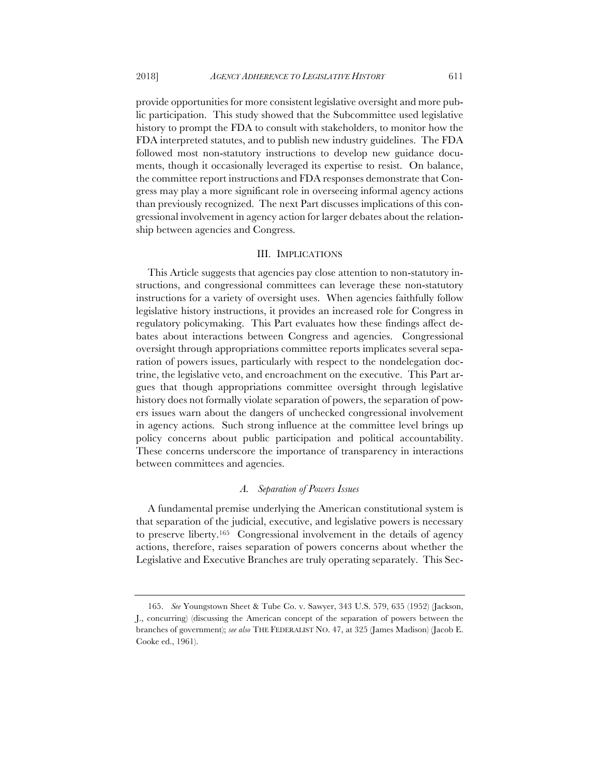provide opportunities for more consistent legislative oversight and more public participation. This study showed that the Subcommittee used legislative history to prompt the FDA to consult with stakeholders, to monitor how the FDA interpreted statutes, and to publish new industry guidelines. The FDA followed most non-statutory instructions to develop new guidance documents, though it occasionally leveraged its expertise to resist. On balance, the committee report instructions and FDA responses demonstrate that Congress may play a more significant role in overseeing informal agency actions than previously recognized. The next Part discusses implications of this congressional involvement in agency action for larger debates about the relationship between agencies and Congress.

## III. IMPLICATIONS

This Article suggests that agencies pay close attention to non-statutory instructions, and congressional committees can leverage these non-statutory instructions for a variety of oversight uses. When agencies faithfully follow legislative history instructions, it provides an increased role for Congress in regulatory policymaking. This Part evaluates how these findings affect debates about interactions between Congress and agencies. Congressional oversight through appropriations committee reports implicates several separation of powers issues, particularly with respect to the nondelegation doctrine, the legislative veto, and encroachment on the executive. This Part argues that though appropriations committee oversight through legislative history does not formally violate separation of powers, the separation of powers issues warn about the dangers of unchecked congressional involvement in agency actions. Such strong influence at the committee level brings up policy concerns about public participation and political accountability. These concerns underscore the importance of transparency in interactions between committees and agencies.

## *A. Separation of Powers Issues*

A fundamental premise underlying the American constitutional system is that separation of the judicial, executive, and legislative powers is necessary to preserve liberty.165 Congressional involvement in the details of agency actions, therefore, raises separation of powers concerns about whether the Legislative and Executive Branches are truly operating separately. This Sec-

<sup>165.</sup> *See* Youngstown Sheet & Tube Co. v. Sawyer, 343 U.S. 579, 635 (1952) (Jackson, J., concurring) (discussing the American concept of the separation of powers between the branches of government); *see also* THE FEDERALIST NO. 47, at 325 (James Madison) (Jacob E. Cooke ed., 1961).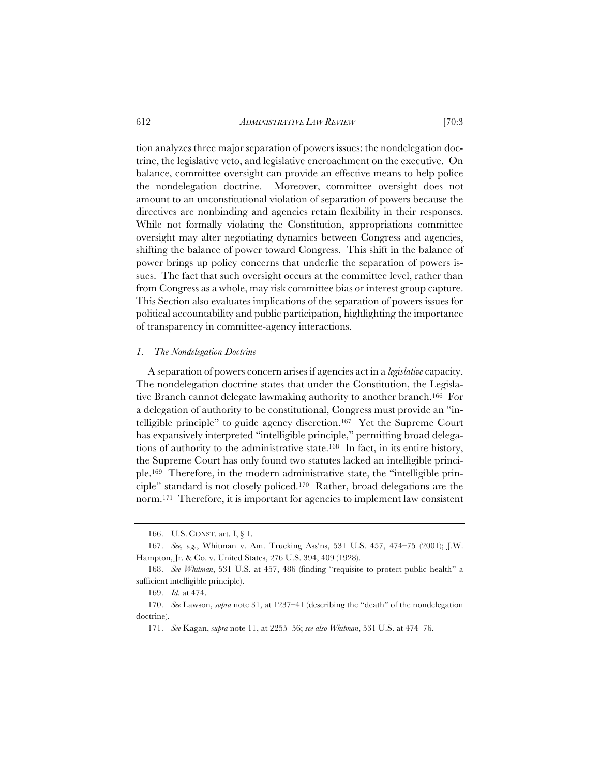tion analyzes three major separation of powers issues: the nondelegation doctrine, the legislative veto, and legislative encroachment on the executive. On balance, committee oversight can provide an effective means to help police the nondelegation doctrine. Moreover, committee oversight does not amount to an unconstitutional violation of separation of powers because the directives are nonbinding and agencies retain flexibility in their responses. While not formally violating the Constitution, appropriations committee oversight may alter negotiating dynamics between Congress and agencies, shifting the balance of power toward Congress. This shift in the balance of power brings up policy concerns that underlie the separation of powers issues. The fact that such oversight occurs at the committee level, rather than from Congress as a whole, may risk committee bias or interest group capture. This Section also evaluates implications of the separation of powers issues for political accountability and public participation, highlighting the importance of transparency in committee-agency interactions.

## *1. The Nondelegation Doctrine*

A separation of powers concern arises if agencies act in a *legislative* capacity. The nondelegation doctrine states that under the Constitution, the Legislative Branch cannot delegate lawmaking authority to another branch.166 For a delegation of authority to be constitutional, Congress must provide an "intelligible principle" to guide agency discretion.167 Yet the Supreme Court has expansively interpreted "intelligible principle," permitting broad delegations of authority to the administrative state.168 In fact, in its entire history, the Supreme Court has only found two statutes lacked an intelligible principle.169 Therefore, in the modern administrative state, the "intelligible principle" standard is not closely policed.170 Rather, broad delegations are the norm.171 Therefore, it is important for agencies to implement law consistent

<sup>166.</sup> U.S. CONST. art. I, § 1.

<sup>167.</sup> *See, e.g.*, Whitman v. Am. Trucking Ass'ns, 531 U.S. 457, 474–75 (2001); J.W. Hampton, Jr. & Co. v. United States, 276 U.S. 394, 409 (1928).

<sup>168.</sup> *See Whitman*, 531 U.S. at 457, 486 (finding "requisite to protect public health" a sufficient intelligible principle).

<sup>169.</sup> *Id.* at 474.

<sup>170.</sup> *See* Lawson, *supra* note 31, at 1237–41 (describing the "death" of the nondelegation doctrine).

<sup>171.</sup> *See* Kagan, *supra* note 11, at 2255–56; *see also Whitman*, 531 U.S. at 474–76.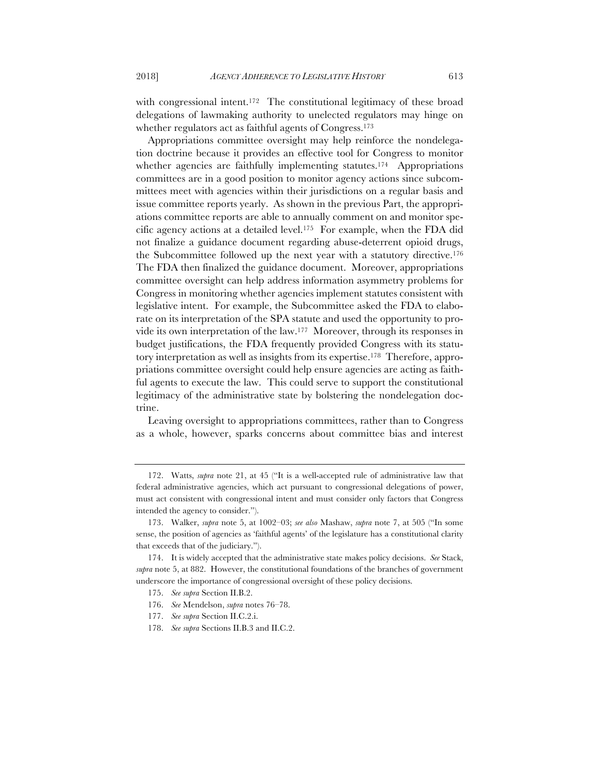with congressional intent.<sup>172</sup> The constitutional legitimacy of these broad delegations of lawmaking authority to unelected regulators may hinge on whether regulators act as faithful agents of Congress.173

Appropriations committee oversight may help reinforce the nondelegation doctrine because it provides an effective tool for Congress to monitor whether agencies are faithfully implementing statutes.<sup>174</sup> Appropriations committees are in a good position to monitor agency actions since subcommittees meet with agencies within their jurisdictions on a regular basis and issue committee reports yearly. As shown in the previous Part, the appropriations committee reports are able to annually comment on and monitor specific agency actions at a detailed level.175 For example, when the FDA did not finalize a guidance document regarding abuse-deterrent opioid drugs, the Subcommittee followed up the next year with a statutory directive.176 The FDA then finalized the guidance document. Moreover, appropriations committee oversight can help address information asymmetry problems for Congress in monitoring whether agencies implement statutes consistent with legislative intent. For example, the Subcommittee asked the FDA to elaborate on its interpretation of the SPA statute and used the opportunity to provide its own interpretation of the law.177 Moreover, through its responses in budget justifications, the FDA frequently provided Congress with its statutory interpretation as well as insights from its expertise.178 Therefore, appropriations committee oversight could help ensure agencies are acting as faithful agents to execute the law. This could serve to support the constitutional legitimacy of the administrative state by bolstering the nondelegation doctrine.

Leaving oversight to appropriations committees, rather than to Congress as a whole, however, sparks concerns about committee bias and interest

<sup>172.</sup> Watts, *supra* note 21, at 45 ("It is a well-accepted rule of administrative law that federal administrative agencies, which act pursuant to congressional delegations of power, must act consistent with congressional intent and must consider only factors that Congress intended the agency to consider.").

<sup>173.</sup> Walker, *supra* note 5, at 1002–03; *see also* Mashaw, *supra* note 7, at 505 ("In some sense, the position of agencies as 'faithful agents' of the legislature has a constitutional clarity that exceeds that of the judiciary.").

<sup>174.</sup> It is widely accepted that the administrative state makes policy decisions. *See* Stack, *supra* note 5, at 882. However, the constitutional foundations of the branches of government underscore the importance of congressional oversight of these policy decisions.

<sup>175.</sup> *See supra* Section II.B.2.

<sup>176.</sup> *See* Mendelson, *supra* notes 76–78.

<sup>177.</sup> *See supra* Section II.C.2.i.

<sup>178.</sup> *See supra* Sections II.B.3 and II.C.2.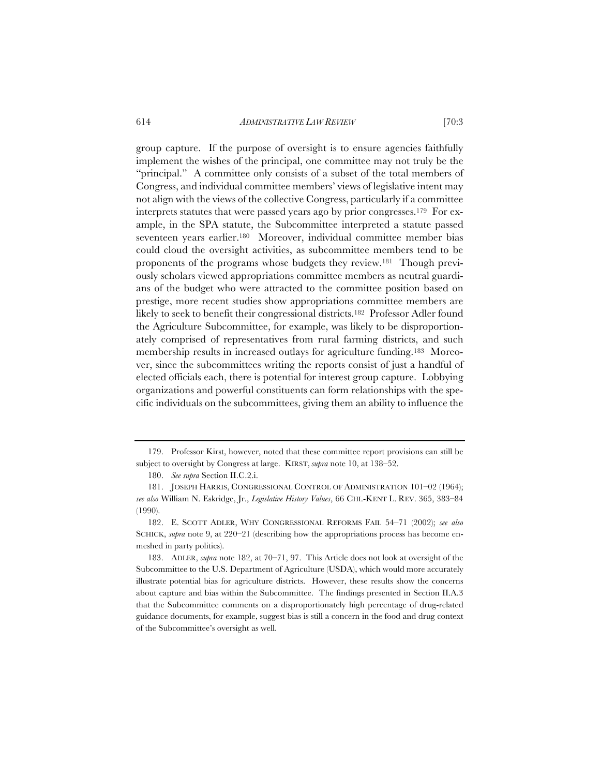group capture. If the purpose of oversight is to ensure agencies faithfully implement the wishes of the principal, one committee may not truly be the "principal." A committee only consists of a subset of the total members of Congress, and individual committee members' views of legislative intent may not align with the views of the collective Congress, particularly if a committee interprets statutes that were passed years ago by prior congresses.179 For example, in the SPA statute, the Subcommittee interpreted a statute passed seventeen years earlier.180 Moreover, individual committee member bias could cloud the oversight activities, as subcommittee members tend to be proponents of the programs whose budgets they review.181 Though previously scholars viewed appropriations committee members as neutral guardians of the budget who were attracted to the committee position based on prestige, more recent studies show appropriations committee members are likely to seek to benefit their congressional districts.<sup>182</sup> Professor Adler found the Agriculture Subcommittee, for example, was likely to be disproportionately comprised of representatives from rural farming districts, and such membership results in increased outlays for agriculture funding.183 Moreover, since the subcommittees writing the reports consist of just a handful of elected officials each, there is potential for interest group capture. Lobbying organizations and powerful constituents can form relationships with the specific individuals on the subcommittees, giving them an ability to influence the

<sup>179.</sup> Professor Kirst, however, noted that these committee report provisions can still be subject to oversight by Congress at large. KIRST, *supra* note 10, at 138–52.

<sup>180.</sup> *See supra* Section II.C.2.i.

<sup>181.</sup> JOSEPH HARRIS, CONGRESSIONAL CONTROL OF ADMINISTRATION 101–02 (1964); *see also* William N. Eskridge, Jr., *Legislative History Values*, 66 CHI.-KENT L. REV. 365, 383–84 (1990).

<sup>182.</sup> E. SCOTT ADLER, WHY CONGRESSIONAL REFORMS FAIL 54–71 (2002); *see also* SCHICK, *supra* note 9, at 220–21 (describing how the appropriations process has become enmeshed in party politics).

<sup>183.</sup> ADLER, *supra* note 182, at 70–71, 97. This Article does not look at oversight of the Subcommittee to the U.S. Department of Agriculture (USDA), which would more accurately illustrate potential bias for agriculture districts. However, these results show the concerns about capture and bias within the Subcommittee. The findings presented in Section II.A.3 that the Subcommittee comments on a disproportionately high percentage of drug-related guidance documents, for example, suggest bias is still a concern in the food and drug context of the Subcommittee's oversight as well.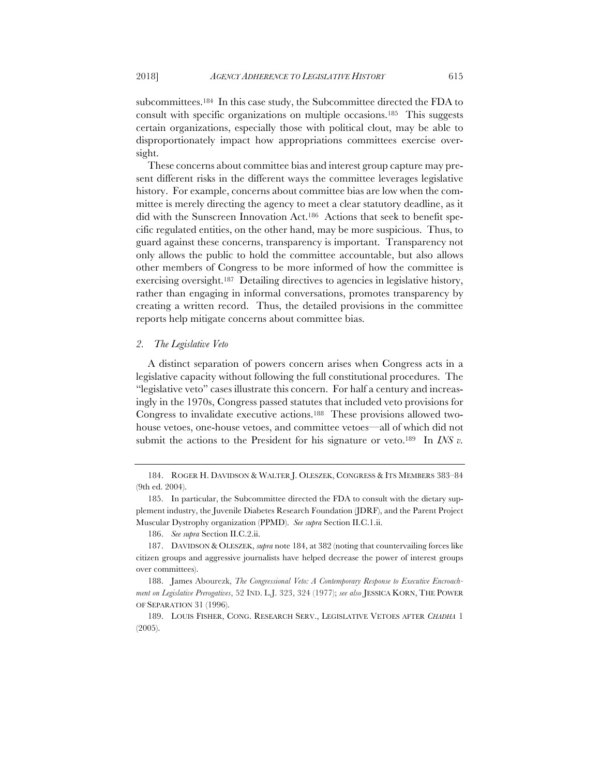subcommittees.184 In this case study, the Subcommittee directed the FDA to consult with specific organizations on multiple occasions.185 This suggests certain organizations, especially those with political clout, may be able to disproportionately impact how appropriations committees exercise oversight.

These concerns about committee bias and interest group capture may present different risks in the different ways the committee leverages legislative history. For example, concerns about committee bias are low when the committee is merely directing the agency to meet a clear statutory deadline, as it did with the Sunscreen Innovation Act.186 Actions that seek to benefit specific regulated entities, on the other hand, may be more suspicious. Thus, to guard against these concerns, transparency is important. Transparency not only allows the public to hold the committee accountable, but also allows other members of Congress to be more informed of how the committee is exercising oversight.187 Detailing directives to agencies in legislative history, rather than engaging in informal conversations, promotes transparency by creating a written record. Thus, the detailed provisions in the committee reports help mitigate concerns about committee bias.

## *2. The Legislative Veto*

A distinct separation of powers concern arises when Congress acts in a legislative capacity without following the full constitutional procedures. The "legislative veto" cases illustrate this concern. For half a century and increasingly in the 1970s, Congress passed statutes that included veto provisions for Congress to invalidate executive actions.188 These provisions allowed twohouse vetoes, one-house vetoes, and committee vetoes—all of which did not submit the actions to the President for his signature or veto.<sup>189</sup> In *INS v*.

<sup>184.</sup> ROGER H. DAVIDSON & WALTER J. OLESZEK, CONGRESS & ITS MEMBERS 383–84 (9th ed. 2004).

<sup>185.</sup> In particular, the Subcommittee directed the FDA to consult with the dietary supplement industry, the Juvenile Diabetes Research Foundation (JDRF), and the Parent Project Muscular Dystrophy organization (PPMD). *See supra* Section II.C.1.ii.

<sup>186.</sup> *See supra* Section II.C.2.ii.

<sup>187.</sup> DAVIDSON & OLESZEK, *supra* note 184, at 382 (noting that countervailing forces like citizen groups and aggressive journalists have helped decrease the power of interest groups over committees).

<sup>188.</sup> James Abourezk, *The Congressional Veto: A Contemporary Response to Executive Encroachment on Legislative Prerogatives*, 52 IND. L.J. 323, 324 (1977); *see also* JESSICA KORN, THE POWER OF SEPARATION 31 (1996).

<sup>189.</sup> LOUIS FISHER, CONG. RESEARCH SERV., LEGISLATIVE VETOES AFTER *CHADHA* 1 (2005).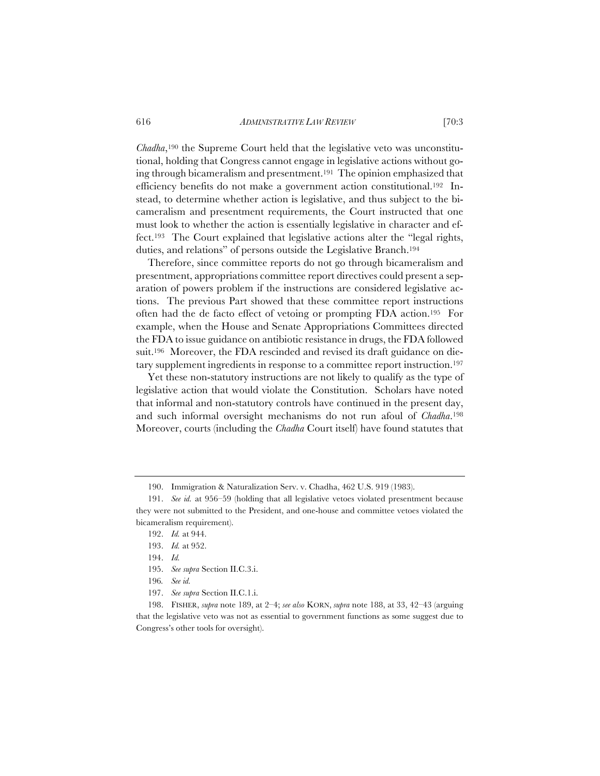*Chadha*,190 the Supreme Court held that the legislative veto was unconstitutional, holding that Congress cannot engage in legislative actions without going through bicameralism and presentment.191 The opinion emphasized that efficiency benefits do not make a government action constitutional.192 Instead, to determine whether action is legislative, and thus subject to the bicameralism and presentment requirements, the Court instructed that one must look to whether the action is essentially legislative in character and effect.193 The Court explained that legislative actions alter the "legal rights, duties, and relations" of persons outside the Legislative Branch.194

Therefore, since committee reports do not go through bicameralism and presentment, appropriations committee report directives could present a separation of powers problem if the instructions are considered legislative actions. The previous Part showed that these committee report instructions often had the de facto effect of vetoing or prompting FDA action.195 For example, when the House and Senate Appropriations Committees directed the FDA to issue guidance on antibiotic resistance in drugs, the FDA followed suit.<sup>196</sup> Moreover, the FDA rescinded and revised its draft guidance on dietary supplement ingredients in response to a committee report instruction.197

Yet these non-statutory instructions are not likely to qualify as the type of legislative action that would violate the Constitution. Scholars have noted that informal and non-statutory controls have continued in the present day, and such informal oversight mechanisms do not run afoul of *Chadha*.198 Moreover, courts (including the *Chadha* Court itself) have found statutes that

- 193. *Id.* at 952.
- 194. *Id.*
- 195. *See supra* Section II.C.3.i.
- 196*. See id.*
- 197. *See supra* Section II.C.1.i.

198. FISHER, *supra* note 189, at 2–4; *see also* KORN, *supra* note 188, at 33, 42–43 (arguing that the legislative veto was not as essential to government functions as some suggest due to Congress's other tools for oversight).

<sup>190.</sup> Immigration & Naturalization Serv. v. Chadha, 462 U.S. 919 (1983).

<sup>191.</sup> *See id.* at 956–59 (holding that all legislative vetoes violated presentment because they were not submitted to the President, and one-house and committee vetoes violated the bicameralism requirement).

<sup>192.</sup> *Id.* at 944.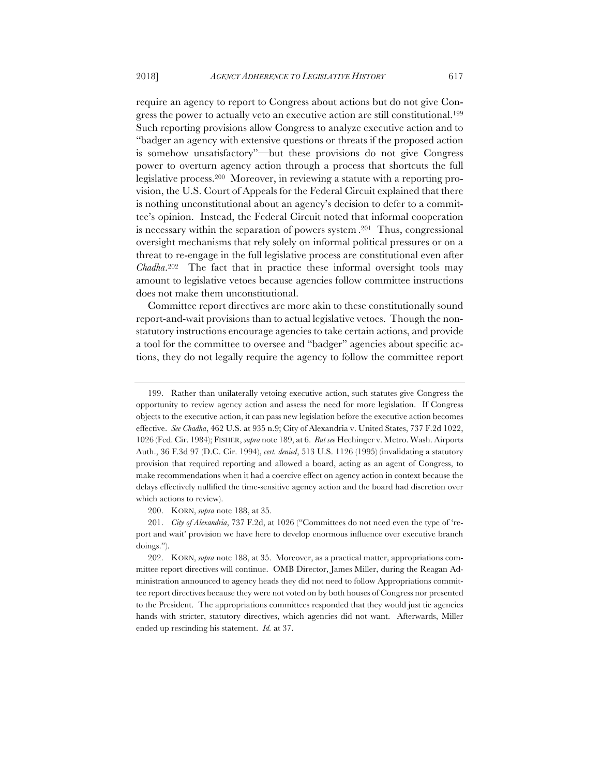require an agency to report to Congress about actions but do not give Congress the power to actually veto an executive action are still constitutional.199 Such reporting provisions allow Congress to analyze executive action and to "badger an agency with extensive questions or threats if the proposed action is somehow unsatisfactory"—but these provisions do not give Congress power to overturn agency action through a process that shortcuts the full legislative process.200 Moreover, in reviewing a statute with a reporting provision, the U.S. Court of Appeals for the Federal Circuit explained that there is nothing unconstitutional about an agency's decision to defer to a committee's opinion. Instead, the Federal Circuit noted that informal cooperation is necessary within the separation of powers system .201 Thus, congressional oversight mechanisms that rely solely on informal political pressures or on a threat to re-engage in the full legislative process are constitutional even after *Chadha*.202 The fact that in practice these informal oversight tools may amount to legislative vetoes because agencies follow committee instructions does not make them unconstitutional.

Committee report directives are more akin to these constitutionally sound report-and-wait provisions than to actual legislative vetoes. Though the nonstatutory instructions encourage agencies to take certain actions, and provide a tool for the committee to oversee and "badger" agencies about specific actions, they do not legally require the agency to follow the committee report

200. KORN, *supra* note 188, at 35.

201. *City of Alexandria*, 737 F.2d, at 1026 ("Committees do not need even the type of 'report and wait' provision we have here to develop enormous influence over executive branch doings.").

202. KORN, *supra* note 188, at 35. Moreover, as a practical matter, appropriations committee report directives will continue. OMB Director, James Miller, during the Reagan Administration announced to agency heads they did not need to follow Appropriations committee report directives because they were not voted on by both houses of Congress nor presented to the President. The appropriations committees responded that they would just tie agencies hands with stricter, statutory directives, which agencies did not want. Afterwards, Miller ended up rescinding his statement. *Id.* at 37.

<sup>199.</sup> Rather than unilaterally vetoing executive action, such statutes give Congress the opportunity to review agency action and assess the need for more legislation. If Congress objects to the executive action, it can pass new legislation before the executive action becomes effective. *See Chadha*, 462 U.S. at 935 n.9; City of Alexandria v. United States, 737 F.2d 1022, 1026 (Fed. Cir. 1984); FISHER, *supra* note 189, at 6. *But see* Hechinger v. Metro. Wash. Airports Auth., 36 F.3d 97 (D.C. Cir. 1994), *cert. denied*, 513 U.S. 1126 (1995) (invalidating a statutory provision that required reporting and allowed a board, acting as an agent of Congress, to make recommendations when it had a coercive effect on agency action in context because the delays effectively nullified the time-sensitive agency action and the board had discretion over which actions to review).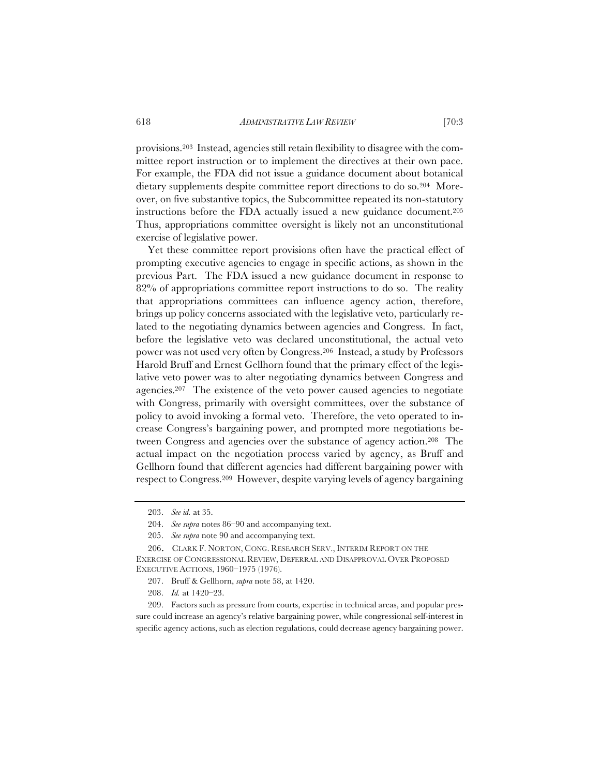provisions.203 Instead, agencies still retain flexibility to disagree with the committee report instruction or to implement the directives at their own pace. For example, the FDA did not issue a guidance document about botanical dietary supplements despite committee report directions to do so.204 Moreover, on five substantive topics, the Subcommittee repeated its non-statutory instructions before the FDA actually issued a new guidance document.205 Thus, appropriations committee oversight is likely not an unconstitutional exercise of legislative power.

Yet these committee report provisions often have the practical effect of prompting executive agencies to engage in specific actions, as shown in the previous Part. The FDA issued a new guidance document in response to 82% of appropriations committee report instructions to do so. The reality that appropriations committees can influence agency action, therefore, brings up policy concerns associated with the legislative veto, particularly related to the negotiating dynamics between agencies and Congress. In fact, before the legislative veto was declared unconstitutional, the actual veto power was not used very often by Congress.206 Instead, a study by Professors Harold Bruff and Ernest Gellhorn found that the primary effect of the legislative veto power was to alter negotiating dynamics between Congress and agencies.207 The existence of the veto power caused agencies to negotiate with Congress, primarily with oversight committees, over the substance of policy to avoid invoking a formal veto. Therefore, the veto operated to increase Congress's bargaining power, and prompted more negotiations between Congress and agencies over the substance of agency action.208 The actual impact on the negotiation process varied by agency, as Bruff and Gellhorn found that different agencies had different bargaining power with respect to Congress.209 However, despite varying levels of agency bargaining

209. Factors such as pressure from courts, expertise in technical areas, and popular pressure could increase an agency's relative bargaining power, while congressional self-interest in specific agency actions, such as election regulations, could decrease agency bargaining power.

<sup>203.</sup> *See id.* at 35.

<sup>204.</sup> *See supra* notes 86–90 and accompanying text.

<sup>205.</sup> *See supra* note 90 and accompanying text.

<sup>206.</sup> CLARK F. NORTON, CONG. RESEARCH SERV., INTERIM REPORT ON THE EXERCISE OF CONGRESSIONAL REVIEW, DEFERRAL AND DISAPPROVAL OVER PROPOSED EXECUTIVE ACTIONS, 1960–1975 (1976).

<sup>207.</sup> Bruff & Gellhorn, *supra* note 58, at 1420.

<sup>208.</sup> *Id.* at 1420–23.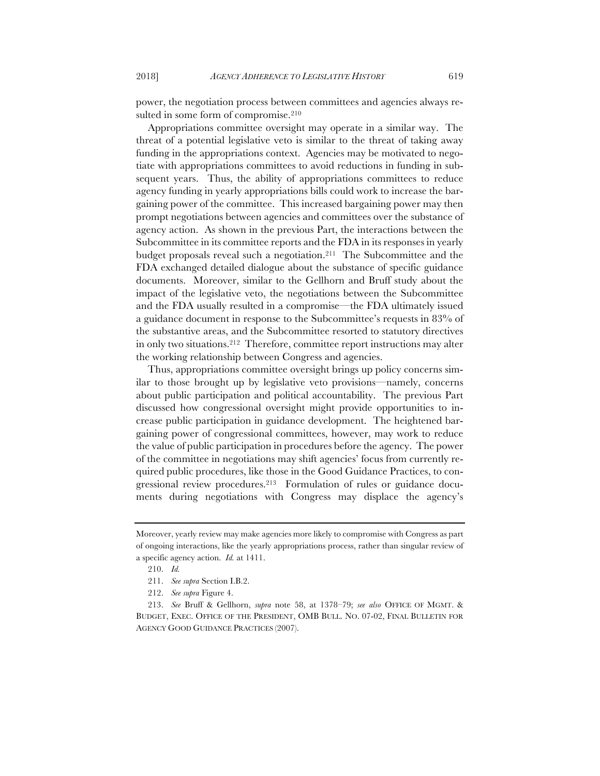power, the negotiation process between committees and agencies always resulted in some form of compromise.<sup>210</sup>

Appropriations committee oversight may operate in a similar way. The threat of a potential legislative veto is similar to the threat of taking away funding in the appropriations context. Agencies may be motivated to negotiate with appropriations committees to avoid reductions in funding in subsequent years. Thus, the ability of appropriations committees to reduce agency funding in yearly appropriations bills could work to increase the bargaining power of the committee. This increased bargaining power may then prompt negotiations between agencies and committees over the substance of agency action. As shown in the previous Part, the interactions between the Subcommittee in its committee reports and the FDA in its responses in yearly budget proposals reveal such a negotiation.211 The Subcommittee and the FDA exchanged detailed dialogue about the substance of specific guidance documents. Moreover, similar to the Gellhorn and Bruff study about the impact of the legislative veto, the negotiations between the Subcommittee and the FDA usually resulted in a compromise—the FDA ultimately issued a guidance document in response to the Subcommittee's requests in 83% of the substantive areas, and the Subcommittee resorted to statutory directives in only two situations.212 Therefore, committee report instructions may alter the working relationship between Congress and agencies.

Thus, appropriations committee oversight brings up policy concerns similar to those brought up by legislative veto provisions—namely, concerns about public participation and political accountability. The previous Part discussed how congressional oversight might provide opportunities to increase public participation in guidance development. The heightened bargaining power of congressional committees, however, may work to reduce the value of public participation in procedures before the agency. The power of the committee in negotiations may shift agencies' focus from currently required public procedures, like those in the Good Guidance Practices, to congressional review procedures.213 Formulation of rules or guidance documents during negotiations with Congress may displace the agency's

Moreover, yearly review may make agencies more likely to compromise with Congress as part of ongoing interactions, like the yearly appropriations process, rather than singular review of a specific agency action. *Id.* at 1411.

<sup>210.</sup> *Id.* 

<sup>211.</sup> *See supra* Section I.B.2.

<sup>212.</sup> *See supra* Figure 4.

<sup>213.</sup> *See* Bruff & Gellhorn, *supra* note 58, at 1378–79; *see also* OFFICE OF MGMT. & BUDGET, EXEC. OFFICE OF THE PRESIDENT, OMB BULL. NO. 07-02, FINAL BULLETIN FOR AGENCY GOOD GUIDANCE PRACTICES (2007).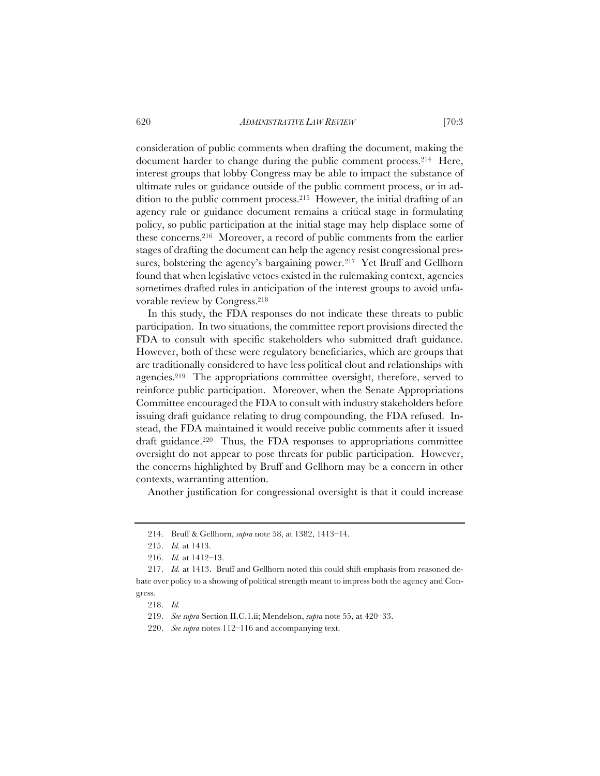consideration of public comments when drafting the document, making the document harder to change during the public comment process.214 Here, interest groups that lobby Congress may be able to impact the substance of ultimate rules or guidance outside of the public comment process, or in addition to the public comment process.215 However, the initial drafting of an agency rule or guidance document remains a critical stage in formulating policy, so public participation at the initial stage may help displace some of these concerns.216 Moreover, a record of public comments from the earlier stages of drafting the document can help the agency resist congressional pressures, bolstering the agency's bargaining power.<sup>217</sup> Yet Bruff and Gellhorn found that when legislative vetoes existed in the rulemaking context, agencies sometimes drafted rules in anticipation of the interest groups to avoid unfavorable review by Congress.218

In this study, the FDA responses do not indicate these threats to public participation. In two situations, the committee report provisions directed the FDA to consult with specific stakeholders who submitted draft guidance. However, both of these were regulatory beneficiaries, which are groups that are traditionally considered to have less political clout and relationships with agencies.219 The appropriations committee oversight, therefore, served to reinforce public participation. Moreover, when the Senate Appropriations Committee encouraged the FDA to consult with industry stakeholders before issuing draft guidance relating to drug compounding, the FDA refused. Instead, the FDA maintained it would receive public comments after it issued draft guidance.<sup>220</sup> Thus, the FDA responses to appropriations committee oversight do not appear to pose threats for public participation. However, the concerns highlighted by Bruff and Gellhorn may be a concern in other contexts, warranting attention.

Another justification for congressional oversight is that it could increase

<sup>214.</sup> Bruff & Gellhorn, *supra* note 58, at 1382, 1413–14.

<sup>215.</sup> *Id.* at 1413.

<sup>216.</sup> *Id.* at 1412–13.

<sup>217.</sup> *Id.* at 1413. Bruff and Gellhorn noted this could shift emphasis from reasoned debate over policy to a showing of political strength meant to impress both the agency and Congress.

<sup>218.</sup> *Id.* 

<sup>219.</sup> *See supra* Section II.C.1.ii; Mendelson, *supra* note 55, at 420–33.

<sup>220.</sup> *See supra* notes 112–116 and accompanying text.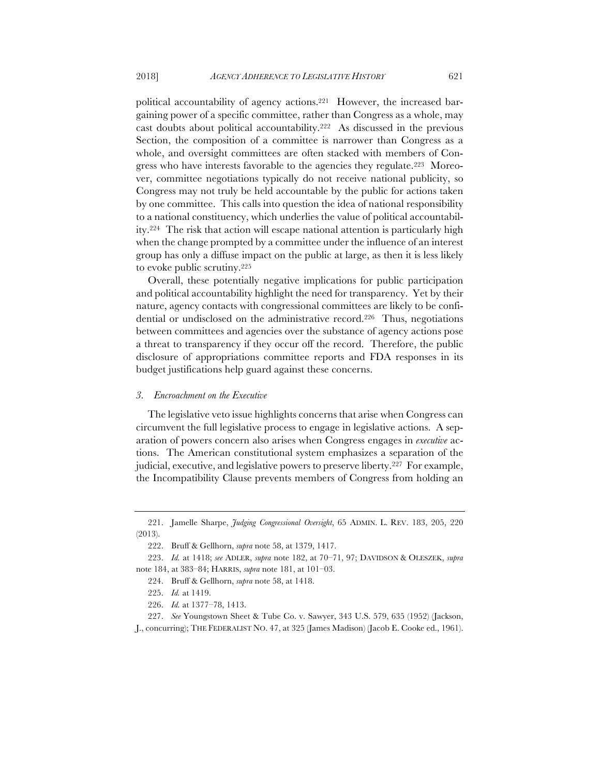political accountability of agency actions.221 However, the increased bargaining power of a specific committee, rather than Congress as a whole, may cast doubts about political accountability.222 As discussed in the previous Section, the composition of a committee is narrower than Congress as a whole, and oversight committees are often stacked with members of Congress who have interests favorable to the agencies they regulate.223 Moreover, committee negotiations typically do not receive national publicity, so Congress may not truly be held accountable by the public for actions taken by one committee. This calls into question the idea of national responsibility to a national constituency, which underlies the value of political accountability.224 The risk that action will escape national attention is particularly high when the change prompted by a committee under the influence of an interest group has only a diffuse impact on the public at large, as then it is less likely to evoke public scrutiny.225

Overall, these potentially negative implications for public participation and political accountability highlight the need for transparency. Yet by their nature, agency contacts with congressional committees are likely to be confidential or undisclosed on the administrative record.226 Thus, negotiations between committees and agencies over the substance of agency actions pose a threat to transparency if they occur off the record. Therefore, the public disclosure of appropriations committee reports and FDA responses in its budget justifications help guard against these concerns.

### *3. Encroachment on the Executive*

The legislative veto issue highlights concerns that arise when Congress can circumvent the full legislative process to engage in legislative actions. A separation of powers concern also arises when Congress engages in *executive* actions. The American constitutional system emphasizes a separation of the judicial, executive, and legislative powers to preserve liberty.227 For example, the Incompatibility Clause prevents members of Congress from holding an

<sup>221.</sup> Jamelle Sharpe, *Judging Congressional Oversight*, 65 ADMIN. L. REV. 183, 205, 220 (2013).

<sup>222.</sup> Bruff & Gellhorn, *supra* note 58, at 1379, 1417.

<sup>223.</sup> *Id.* at 1418; *see* ADLER, *supra* note 182, at 70–71, 97; DAVIDSON & OLESZEK, *supra*  note 184, at 383–84; HARRIS, *supra* note 181, at 101–03.

<sup>224.</sup> Bruff & Gellhorn, *supra* note 58, at 1418.

<sup>225.</sup> *Id.* at 1419.

<sup>226.</sup> *Id.* at 1377–78, 1413.

<sup>227.</sup> *See* Youngstown Sheet & Tube Co. v. Sawyer, 343 U.S. 579, 635 (1952) (Jackson,

J., concurring); THE FEDERALIST NO. 47, at 325 (James Madison) (Jacob E. Cooke ed., 1961).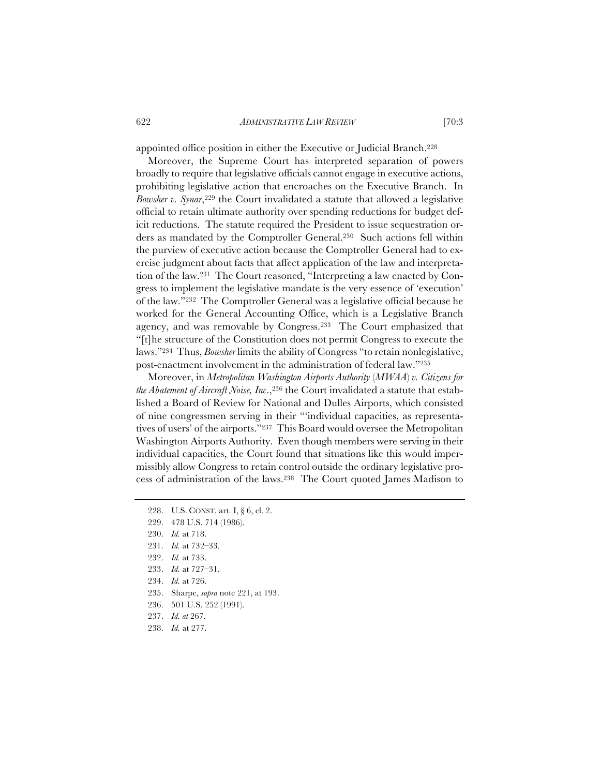appointed office position in either the Executive or Judicial Branch.228

Moreover, the Supreme Court has interpreted separation of powers broadly to require that legislative officials cannot engage in executive actions, prohibiting legislative action that encroaches on the Executive Branch. In *Bowsher v. Synar*,229 the Court invalidated a statute that allowed a legislative official to retain ultimate authority over spending reductions for budget deficit reductions. The statute required the President to issue sequestration orders as mandated by the Comptroller General.230 Such actions fell within the purview of executive action because the Comptroller General had to exercise judgment about facts that affect application of the law and interpretation of the law.231 The Court reasoned, "Interpreting a law enacted by Congress to implement the legislative mandate is the very essence of 'execution' of the law."232 The Comptroller General was a legislative official because he worked for the General Accounting Office, which is a Legislative Branch agency, and was removable by Congress.233 The Court emphasized that "[t]he structure of the Constitution does not permit Congress to execute the laws."234 Thus, *Bowsher* limits the ability of Congress "to retain nonlegislative, post-enactment involvement in the administration of federal law."235

Moreover, in *Metropolitan Washington Airports Authority* (*MWAA*) *v. Citizens for the Abatement of Aircraft Noise, Inc.*,<sup>236</sup> the Court invalidated a statute that established a Board of Review for National and Dulles Airports, which consisted of nine congressmen serving in their "'individual capacities, as representatives of users' of the airports."237 This Board would oversee the Metropolitan Washington Airports Authority. Even though members were serving in their individual capacities, the Court found that situations like this would impermissibly allow Congress to retain control outside the ordinary legislative process of administration of the laws.238 The Court quoted James Madison to

- 229. 478 U.S. 714 (1986).
- 230. *Id.* at 718.
- 231. *Id.* at 732–33.
- 232. *Id.* at 733.
- 233. *Id.* at 727–31.
- 234. *Id.* at 726.
- 235. Sharpe, *supra* note 221, at 193.
- 236. 501 U.S. 252 (1991).
- 237. *Id. at* 267.
- 238. *Id.* at 277.

<sup>228.</sup> U.S. CONST. art. I, § 6, cl. 2.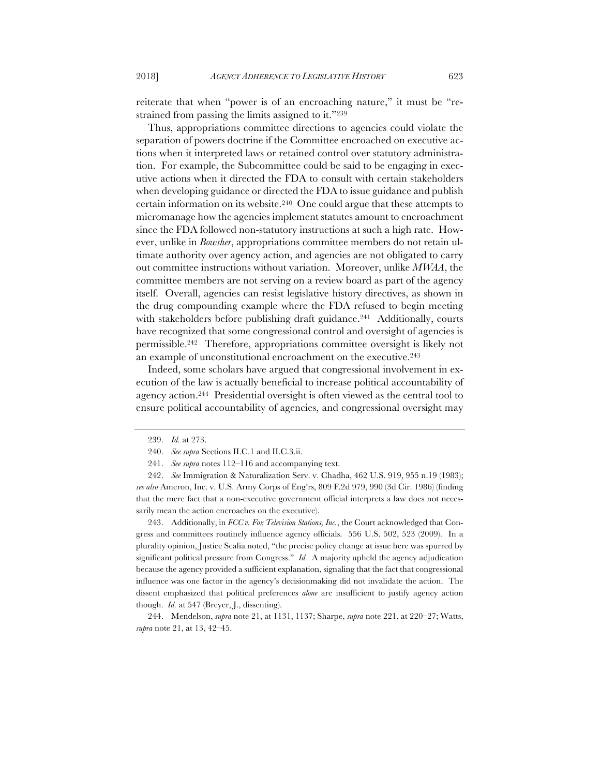reiterate that when "power is of an encroaching nature," it must be "restrained from passing the limits assigned to it."239

Thus, appropriations committee directions to agencies could violate the separation of powers doctrine if the Committee encroached on executive actions when it interpreted laws or retained control over statutory administration. For example, the Subcommittee could be said to be engaging in executive actions when it directed the FDA to consult with certain stakeholders when developing guidance or directed the FDA to issue guidance and publish certain information on its website.240 One could argue that these attempts to micromanage how the agencies implement statutes amount to encroachment since the FDA followed non-statutory instructions at such a high rate. However, unlike in *Bowsher*, appropriations committee members do not retain ultimate authority over agency action, and agencies are not obligated to carry out committee instructions without variation. Moreover, unlike *MWAA*, the committee members are not serving on a review board as part of the agency itself. Overall, agencies can resist legislative history directives, as shown in the drug compounding example where the FDA refused to begin meeting with stakeholders before publishing draft guidance.<sup>241</sup> Additionally, courts have recognized that some congressional control and oversight of agencies is permissible.242 Therefore, appropriations committee oversight is likely not an example of unconstitutional encroachment on the executive.243

Indeed, some scholars have argued that congressional involvement in execution of the law is actually beneficial to increase political accountability of agency action.244 Presidential oversight is often viewed as the central tool to ensure political accountability of agencies, and congressional oversight may

243. Additionally, in *FCC v. Fox Television Stations, Inc.*, the Court acknowledged that Congress and committees routinely influence agency officials. 556 U.S. 502, 523 (2009). In a plurality opinion, Justice Scalia noted, "the precise policy change at issue here was spurred by significant political pressure from Congress." *Id.* A majority upheld the agency adjudication because the agency provided a sufficient explanation, signaling that the fact that congressional influence was one factor in the agency's decisionmaking did not invalidate the action. The dissent emphasized that political preferences *alone* are insufficient to justify agency action though. *Id.* at 547 (Breyer, J., dissenting).

244. Mendelson, *supra* note 21, at 1131, 1137; Sharpe, *supra* note 221, at 220–27; Watts, *supra* note 21, at 13, 42–45.

<sup>239.</sup> *Id.* at 273.

<sup>240.</sup> *See supra* Sections II.C.1 and II.C.3.ii.

<sup>241.</sup> *See supra* notes 112–116 and accompanying text.

<sup>242.</sup> *See* Immigration & Naturalization Serv. v. Chadha, 462 U.S. 919, 955 n.19 (1983); *see also* Ameron, Inc. v. U.S. Army Corps of Eng'rs, 809 F.2d 979, 990 (3d Cir. 1986) (finding that the mere fact that a non-executive government official interprets a law does not necessarily mean the action encroaches on the executive).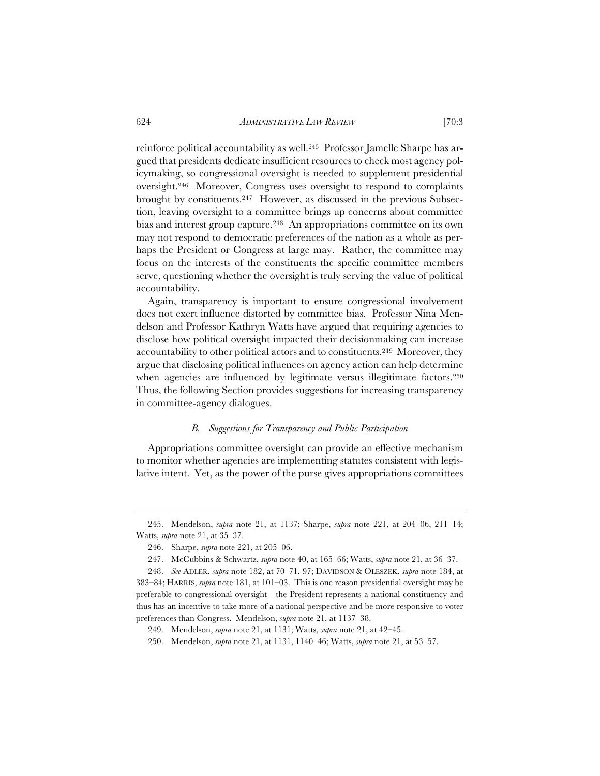reinforce political accountability as well.245 Professor Jamelle Sharpe has argued that presidents dedicate insufficient resources to check most agency policymaking, so congressional oversight is needed to supplement presidential oversight.246 Moreover, Congress uses oversight to respond to complaints brought by constituents.247 However, as discussed in the previous Subsection, leaving oversight to a committee brings up concerns about committee bias and interest group capture.248 An appropriations committee on its own may not respond to democratic preferences of the nation as a whole as perhaps the President or Congress at large may. Rather, the committee may focus on the interests of the constituents the specific committee members serve, questioning whether the oversight is truly serving the value of political accountability.

Again, transparency is important to ensure congressional involvement does not exert influence distorted by committee bias. Professor Nina Mendelson and Professor Kathryn Watts have argued that requiring agencies to disclose how political oversight impacted their decisionmaking can increase accountability to other political actors and to constituents.249 Moreover, they argue that disclosing political influences on agency action can help determine when agencies are influenced by legitimate versus illegitimate factors.<sup>250</sup> Thus, the following Section provides suggestions for increasing transparency in committee-agency dialogues.

## *B. Suggestions for Transparency and Public Participation*

Appropriations committee oversight can provide an effective mechanism to monitor whether agencies are implementing statutes consistent with legislative intent. Yet, as the power of the purse gives appropriations committees

<sup>245.</sup> Mendelson, *supra* note 21, at 1137; Sharpe, *supra* note 221, at 204–06, 211–14; Watts, *supra* note 21, at 35–37.

<sup>246.</sup> Sharpe, *supra* note 221, at 205–06.

<sup>247.</sup> McCubbins & Schwartz, *supra* note 40, at 165–66; Watts, *supra* note 21, at 36–37.

<sup>248.</sup> *See* ADLER, *supra* note 182, at 70–71, 97; DAVIDSON & OLESZEK, *supra* note 184, at 383–84; HARRIS, *supra* note 181, at 101–03. This is one reason presidential oversight may be preferable to congressional oversight—the President represents a national constituency and thus has an incentive to take more of a national perspective and be more responsive to voter preferences than Congress. Mendelson, *supra* note 21, at 1137–38.

<sup>249.</sup> Mendelson, *supra* note 21, at 1131; Watts, *supra* note 21, at 42–45.

<sup>250.</sup> Mendelson, *supra* note 21, at 1131, 1140–46; Watts, *supra* note 21, at 53–57.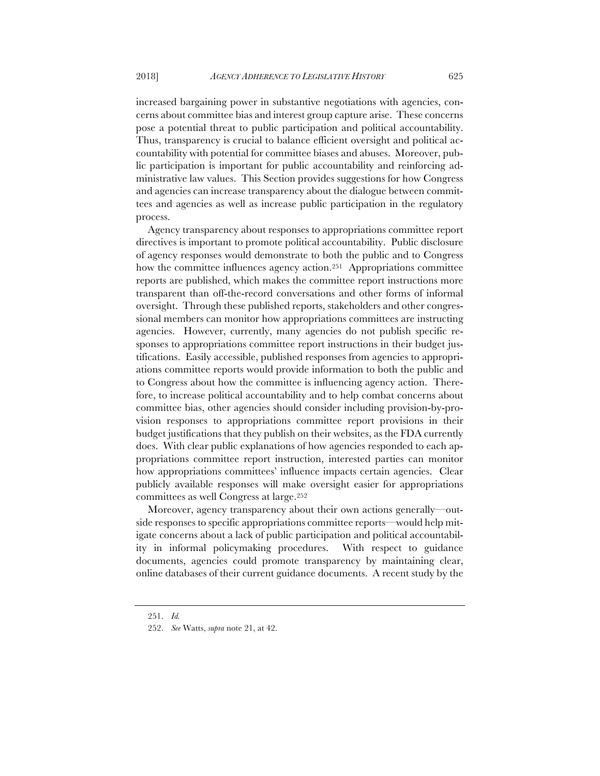increased bargaining power in substantive negotiations with agencies, concerns about committee bias and interest group capture arise. These concerns pose a potential threat to public participation and political accountability. Thus, transparency is crucial to balance efficient oversight and political accountability with potential for committee biases and abuses. Moreover, public participation is important for public accountability and reinforcing administrative law values. This Section provides suggestions for how Congress and agencies can increase transparency about the dialogue between committees and agencies as well as increase public participation in the regulatory process.

Agency transparency about responses to appropriations committee report directives is important to promote political accountability. Public disclosure of agency responses would demonstrate to both the public and to Congress how the committee influences agency action.<sup>251</sup> Appropriations committee reports are published, which makes the committee report instructions more transparent than off-the-record conversations and other forms of informal oversight. Through these published reports, stakeholders and other congressional members can monitor how appropriations committees are instructing agencies. However, currently, many agencies do not publish specific responses to appropriations committee report instructions in their budget justifications. Easily accessible, published responses from agencies to appropriations committee reports would provide information to both the public and to Congress about how the committee is influencing agency action. Therefore, to increase political accountability and to help combat concerns about committee bias, other agencies should consider including provision-by-provision responses to appropriations committee report provisions in their budget justifications that they publish on their websites, as the FDA currently does. With clear public explanations of how agencies responded to each appropriations committee report instruction, interested parties can monitor how appropriations committees' influence impacts certain agencies. Clear publicly available responses will make oversight easier for appropriations committees as well Congress at large.252

Moreover, agency transparency about their own actions generally—outside responses to specific appropriations committee reports—would help mitigate concerns about a lack of public participation and political accountability in informal policymaking procedures. With respect to guidance documents, agencies could promote transparency by maintaining clear, online databases of their current guidance documents. A recent study by the

<sup>251.</sup> *Id.*

<sup>252.</sup> *See* Watts, *supra* note 21, at 42.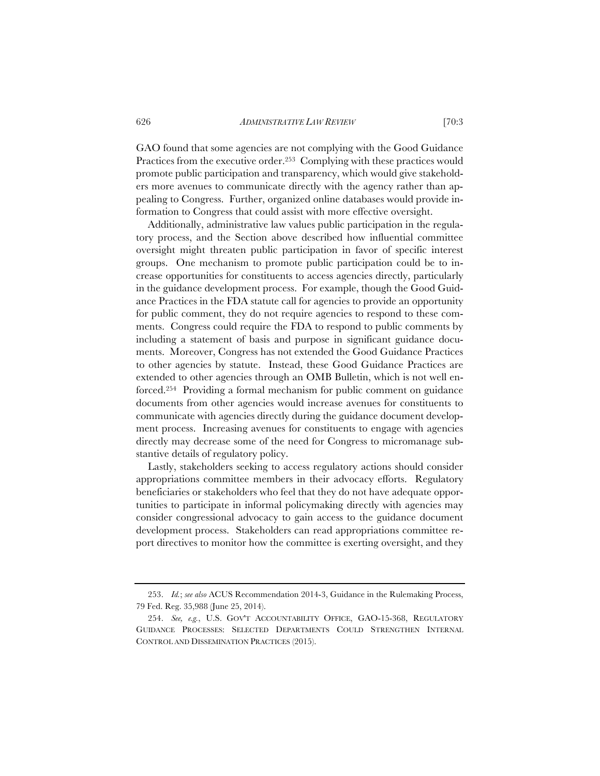GAO found that some agencies are not complying with the Good Guidance Practices from the executive order.<sup>253</sup> Complying with these practices would promote public participation and transparency, which would give stakeholders more avenues to communicate directly with the agency rather than appealing to Congress. Further, organized online databases would provide information to Congress that could assist with more effective oversight.

Additionally, administrative law values public participation in the regulatory process, and the Section above described how influential committee oversight might threaten public participation in favor of specific interest groups. One mechanism to promote public participation could be to increase opportunities for constituents to access agencies directly, particularly in the guidance development process. For example, though the Good Guidance Practices in the FDA statute call for agencies to provide an opportunity for public comment, they do not require agencies to respond to these comments. Congress could require the FDA to respond to public comments by including a statement of basis and purpose in significant guidance documents. Moreover, Congress has not extended the Good Guidance Practices to other agencies by statute. Instead, these Good Guidance Practices are extended to other agencies through an OMB Bulletin, which is not well enforced.254 Providing a formal mechanism for public comment on guidance documents from other agencies would increase avenues for constituents to communicate with agencies directly during the guidance document development process. Increasing avenues for constituents to engage with agencies directly may decrease some of the need for Congress to micromanage substantive details of regulatory policy.

Lastly, stakeholders seeking to access regulatory actions should consider appropriations committee members in their advocacy efforts. Regulatory beneficiaries or stakeholders who feel that they do not have adequate opportunities to participate in informal policymaking directly with agencies may consider congressional advocacy to gain access to the guidance document development process. Stakeholders can read appropriations committee report directives to monitor how the committee is exerting oversight, and they

<sup>253.</sup> *Id.*; *see also* ACUS Recommendation 2014-3, Guidance in the Rulemaking Process, 79 Fed. Reg. 35,988 (June 25, 2014).

<sup>254.</sup> *See, e.g.*, U.S. GOV'T ACCOUNTABILITY OFFICE, GAO-15-368, REGULATORY GUIDANCE PROCESSES: SELECTED DEPARTMENTS COULD STRENGTHEN INTERNAL CONTROL AND DISSEMINATION PRACTICES (2015).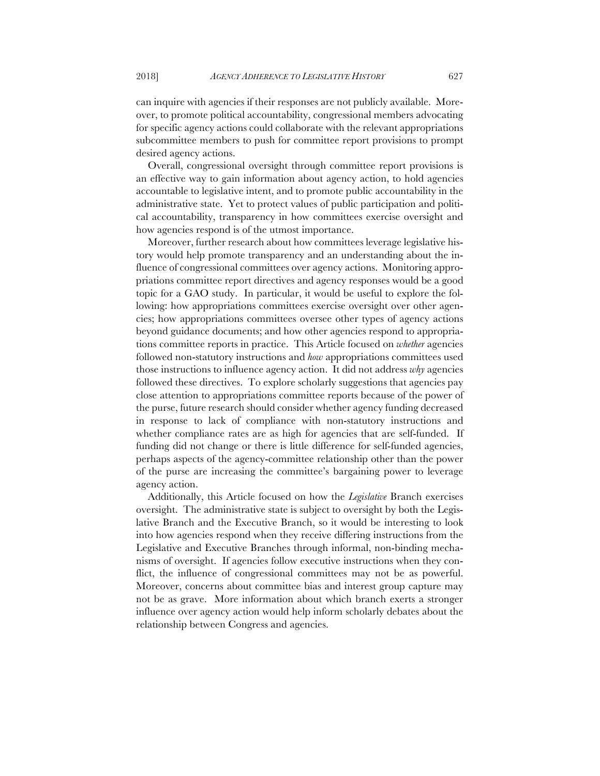can inquire with agencies if their responses are not publicly available. Moreover, to promote political accountability, congressional members advocating for specific agency actions could collaborate with the relevant appropriations subcommittee members to push for committee report provisions to prompt desired agency actions.

Overall, congressional oversight through committee report provisions is an effective way to gain information about agency action, to hold agencies accountable to legislative intent, and to promote public accountability in the administrative state. Yet to protect values of public participation and political accountability, transparency in how committees exercise oversight and how agencies respond is of the utmost importance.

Moreover, further research about how committees leverage legislative history would help promote transparency and an understanding about the influence of congressional committees over agency actions. Monitoring appropriations committee report directives and agency responses would be a good topic for a GAO study. In particular, it would be useful to explore the following: how appropriations committees exercise oversight over other agencies; how appropriations committees oversee other types of agency actions beyond guidance documents; and how other agencies respond to appropriations committee reports in practice. This Article focused on *whether* agencies followed non-statutory instructions and *how* appropriations committees used those instructions to influence agency action. It did not address *why* agencies followed these directives. To explore scholarly suggestions that agencies pay close attention to appropriations committee reports because of the power of the purse, future research should consider whether agency funding decreased in response to lack of compliance with non-statutory instructions and whether compliance rates are as high for agencies that are self-funded. If funding did not change or there is little difference for self-funded agencies, perhaps aspects of the agency-committee relationship other than the power of the purse are increasing the committee's bargaining power to leverage agency action.

Additionally, this Article focused on how the *Legislative* Branch exercises oversight. The administrative state is subject to oversight by both the Legislative Branch and the Executive Branch, so it would be interesting to look into how agencies respond when they receive differing instructions from the Legislative and Executive Branches through informal, non-binding mechanisms of oversight. If agencies follow executive instructions when they conflict, the influence of congressional committees may not be as powerful. Moreover, concerns about committee bias and interest group capture may not be as grave. More information about which branch exerts a stronger influence over agency action would help inform scholarly debates about the relationship between Congress and agencies.